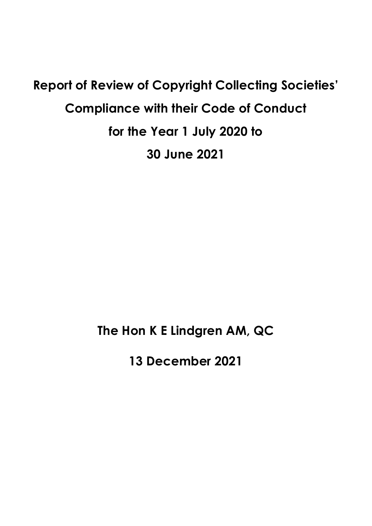# **Report of Review of Copyright Collecting Societies' Compliance with their Code of Conduct for the Year 1 July 2020 to 30 June 2021**

**The Hon K E Lindgren AM, QC**

**13 December 2021**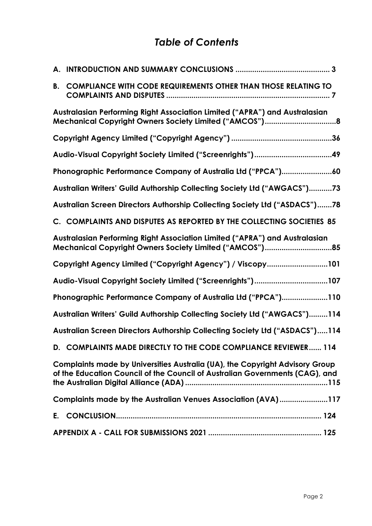# *Table of Contents*

| В. | <b>COMPLIANCE WITH CODE REQUIREMENTS OTHER THAN THOSE RELATING TO</b>                                                                                        |
|----|--------------------------------------------------------------------------------------------------------------------------------------------------------------|
|    | Australasian Performing Right Association Limited ("APRA") and Australasian<br>Mechanical Copyright Owners Society Limited ("AMCOS")8                        |
|    |                                                                                                                                                              |
|    |                                                                                                                                                              |
|    | Phonographic Performance Company of Australia Ltd ("PPCA")60                                                                                                 |
|    | Australian Writers' Guild Authorship Collecting Society Ltd ("AWGACS")73                                                                                     |
|    | Australian Screen Directors Authorship Collecting Society Ltd ("ASDACS")78                                                                                   |
|    | C. COMPLAINTS AND DISPUTES AS REPORTED BY THE COLLECTING SOCIETIES 85                                                                                        |
|    | Australasian Performing Right Association Limited ("APRA") and Australasian<br>Mechanical Copyright Owners Society Limited ("AMCOS")85                       |
|    | Copyright Agency Limited ("Copyright Agency") / Viscopy101                                                                                                   |
|    | Audio-Visual Copyright Society Limited ("Screenrights")107                                                                                                   |
|    | Phonographic Performance Company of Australia Ltd ("PPCA")110                                                                                                |
|    | Australian Writers' Guild Authorship Collecting Society Ltd ("AWGACS")114                                                                                    |
|    | Australian Screen Directors Authorship Collecting Society Ltd ("ASDACS")114                                                                                  |
|    | D. COMPLAINTS MADE DIRECTLY TO THE CODE COMPLIANCE REVIEWER 114                                                                                              |
|    | Complaints made by Universities Australia (UA), the Copyright Advisory Group<br>of the Education Council of the Council of Australian Governments (CAG), and |
|    | Complaints made by the Australian Venues Association (AVA)117                                                                                                |
| Е. |                                                                                                                                                              |
|    |                                                                                                                                                              |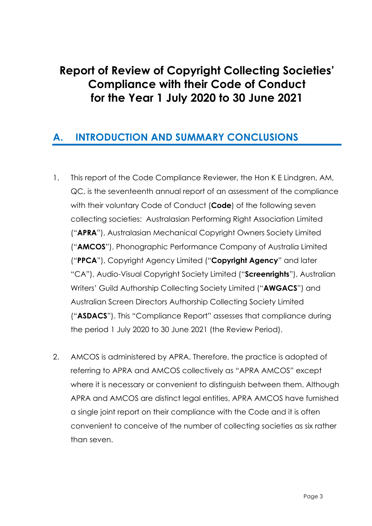# **Report of Review of Copyright Collecting Societies' Compliance with their Code of Conduct for the Year 1 July 2020 to 30 June 2021**

# **A. INTRODUCTION AND SUMMARY CONCLUSIONS**

- 1. This report of the Code Compliance Reviewer, the Hon K E Lindgren, AM, QC, is the seventeenth annual report of an assessment of the compliance with their voluntary Code of Conduct (**Code**) of the following seven collecting societies: Australasian Performing Right Association Limited ("**APRA**"), Australasian Mechanical Copyright Owners Society Limited ("**AMCOS**"), Phonographic Performance Company of Australia Limited ("**PPCA**"), Copyright Agency Limited ("**Copyright Agency**" and later "CA"), Audio-Visual Copyright Society Limited ("**Screenrights**"), Australian Writers' Guild Authorship Collecting Society Limited ("**AWGACS**") and Australian Screen Directors Authorship Collecting Society Limited ("**ASDACS**"). This "Compliance Report" assesses that compliance during the period 1 July 2020 to 30 June 2021 (the Review Period).
- 2. AMCOS is administered by APRA. Therefore, the practice is adopted of referring to APRA and AMCOS collectively as "APRA AMCOS" except where it is necessary or convenient to distinguish between them. Although APRA and AMCOS are distinct legal entities, APRA AMCOS have furnished a single joint report on their compliance with the Code and it is often convenient to conceive of the number of collecting societies as six rather than seven.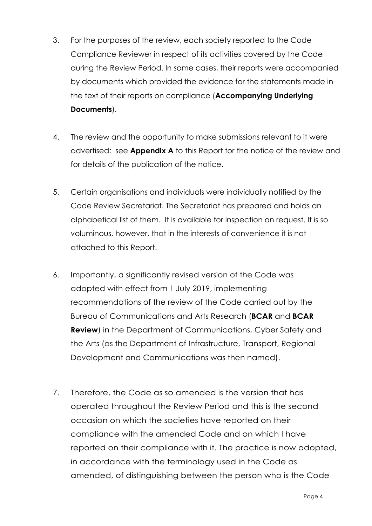- 3. For the purposes of the review, each society reported to the Code Compliance Reviewer in respect of its activities covered by the Code during the Review Period. In some cases, their reports were accompanied by documents which provided the evidence for the statements made in the text of their reports on compliance (**Accompanying Underlying Documents**).
- 4. The review and the opportunity to make submissions relevant to it were advertised: see **Appendix A** to this Report for the notice of the review and for details of the publication of the notice.
- 5. Certain organisations and individuals were individually notified by the Code Review Secretariat. The Secretariat has prepared and holds an alphabetical list of them. It is available for inspection on request. It is so voluminous, however, that in the interests of convenience it is not attached to this Report.
- 6. Importantly, a significantly revised version of the Code was adopted with effect from 1 July 2019, implementing recommendations of the review of the Code carried out by the Bureau of Communications and Arts Research (**BCAR** and **BCAR Review**) in the Department of Communications, Cyber Safety and the Arts (as the Department of Infrastructure, Transport, Regional Development and Communications was then named).
- 7. Therefore, the Code as so amended is the version that has operated throughout the Review Period and this is the second occasion on which the societies have reported on their compliance with the amended Code and on which I have reported on their compliance with it. The practice is now adopted, in accordance with the terminology used in the Code as amended, of distinguishing between the person who is the Code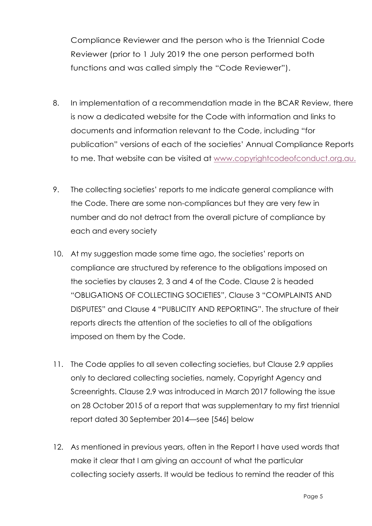Compliance Reviewer and the person who is the Triennial Code Reviewer (prior to 1 July 2019 the one person performed both functions and was called simply the "Code Reviewer").

- 8. In implementation of a recommendation made in the BCAR Review, there is now a dedicated website for the Code with information and links to documents and information relevant to the Code, including "for publication" versions of each of the societies' Annual Compliance Reports to me. That website can be visited at www.copyrightcodeofconduct.org.au.
- 9. The collecting societies' reports to me indicate general compliance with the Code. There are some non-compliances but they are very few in number and do not detract from the overall picture of compliance by each and every society
- 10. At my suggestion made some time ago, the societies' reports on compliance are structured by reference to the obligations imposed on the societies by clauses 2, 3 and 4 of the Code. Clause 2 is headed "OBLIGATIONS OF COLLECTING SOCIETIES", Clause 3 "COMPLAINTS AND DISPUTES" and Clause 4 "PUBLICITY AND REPORTING". The structure of their reports directs the attention of the societies to all of the obligations imposed on them by the Code.
- 11. The Code applies to all seven collecting societies, but Clause 2.9 applies only to declared collecting societies, namely, Copyright Agency and Screenrights. Clause 2.9 was introduced in March 2017 following the issue on 28 October 2015 of a report that was supplementary to my first triennial report dated 30 September 2014—see [546] below
- 12. As mentioned in previous years, often in the Report I have used words that make it clear that I am giving an account of what the particular collecting society asserts. It would be tedious to remind the reader of this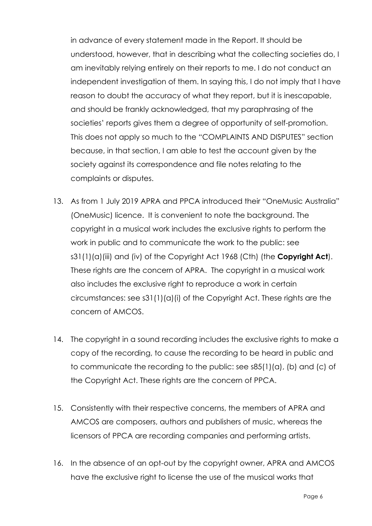in advance of every statement made in the Report. It should be understood, however, that in describing what the collecting societies do, I am inevitably relying entirely on their reports to me. I do not conduct an independent investigation of them. In saying this, I do not imply that I have reason to doubt the accuracy of what they report, but it is inescapable, and should be frankly acknowledged, that my paraphrasing of the societies' reports gives them a degree of opportunity of self-promotion. This does not apply so much to the "COMPLAINTS AND DISPUTES" section because, in that section, I am able to test the account given by the society against its correspondence and file notes relating to the complaints or disputes.

- 13. As from 1 July 2019 APRA and PPCA introduced their "OneMusic Australia" (OneMusic) licence. It is convenient to note the background. The copyright in a musical work includes the exclusive rights to perform the work in public and to communicate the work to the public: see s31(1)(a)(iii) and (iv) of the Copyright Act 1968 (Cth) (the **Copyright Act**). These rights are the concern of APRA. The copyright in a musical work also includes the exclusive right to reproduce a work in certain circumstances: see s31(1)(a)(i) of the Copyright Act. These rights are the concern of AMCOS.
- 14. The copyright in a sound recording includes the exclusive rights to make a copy of the recording, to cause the recording to be heard in public and to communicate the recording to the public: see s85(1)(a), (b) and (c) of the Copyright Act. These rights are the concern of PPCA.
- 15. Consistently with their respective concerns, the members of APRA and AMCOS are composers, authors and publishers of music, whereas the licensors of PPCA are recording companies and performing artists.
- 16. In the absence of an opt-out by the copyright owner, APRA and AMCOS have the exclusive right to license the use of the musical works that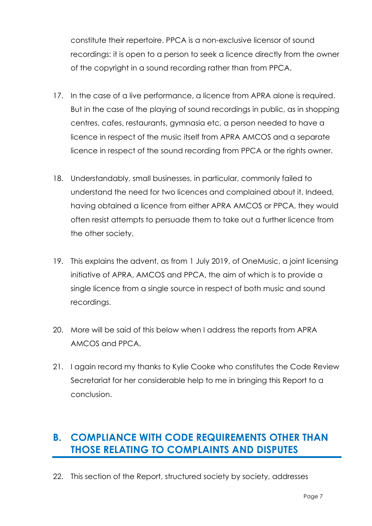constitute their repertoire. PPCA is a non-exclusive licensor of sound recordings: it is open to a person to seek a licence directly from the owner of the copyright in a sound recording rather than from PPCA.

- 17. In the case of a live performance, a licence from APRA alone is required. But in the case of the playing of sound recordings in public, as in shopping centres, cafes, restaurants, gymnasia etc, a person needed to have a licence in respect of the music itself from APRA AMCOS and a separate licence in respect of the sound recording from PPCA or the rights owner.
- 18. Understandably, small businesses, in particular, commonly failed to understand the need for two licences and complained about it. Indeed, having obtained a licence from either APRA AMCOS or PPCA, they would often resist attempts to persuade them to take out a further licence from the other society.
- 19. This explains the advent, as from 1 July 2019, of OneMusic, a joint licensing initiative of APRA, AMCOS and PPCA, the aim of which is to provide a single licence from a single source in respect of both music and sound recordings.
- 20. More will be said of this below when I address the reports from APRA AMCOS and PPCA.
- 21. I again record my thanks to Kylie Cooke who constitutes the Code Review Secretariat for her considerable help to me in bringing this Report to a conclusion.

# **B. COMPLIANCE WITH CODE REQUIREMENTS OTHER THAN THOSE RELATING TO COMPLAINTS AND DISPUTES**

22. This section of the Report, structured society by society, addresses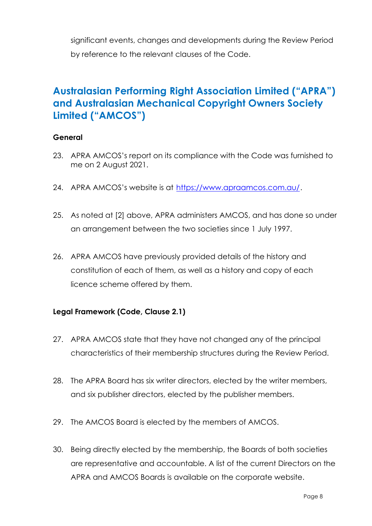significant events, changes and developments during the Review Period by reference to the relevant clauses of the Code.

# **Australasian Performing Right Association Limited ("APRA") and Australasian Mechanical Copyright Owners Society Limited ("AMCOS")**

### **General**

- 23. APRA AMCOS's report on its compliance with the Code was furnished to me on 2 August 2021.
- 24. APRA AMCOS's website is at https://www.apraamcos.com.au/.
- 25. As noted at [2] above, APRA administers AMCOS, and has done so under an arrangement between the two societies since 1 July 1997.
- 26. APRA AMCOS have previously provided details of the history and constitution of each of them, as well as a history and copy of each licence scheme offered by them.

#### **Legal Framework (Code, Clause 2.1)**

- 27. APRA AMCOS state that they have not changed any of the principal characteristics of their membership structures during the Review Period.
- 28. The APRA Board has six writer directors, elected by the writer members, and six publisher directors, elected by the publisher members.
- 29. The AMCOS Board is elected by the members of AMCOS.
- 30. Being directly elected by the membership, the Boards of both societies are representative and accountable. A list of the current Directors on the APRA and AMCOS Boards is available on the corporate website.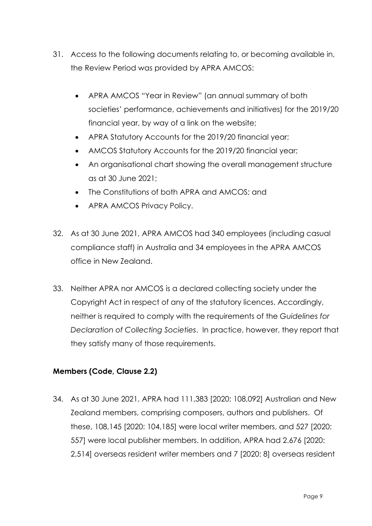- 31. Access to the following documents relating to, or becoming available in, the Review Period was provided by APRA AMCOS:
	- APRA AMCOS "Year in Review" (an annual summary of both societies' performance, achievements and initiatives) for the 2019/20 financial year, by way of a link on the website;
	- APRA Statutory Accounts for the 2019/20 financial year;
	- AMCOS Statutory Accounts for the 2019/20 financial year;
	- An organisational chart showing the overall management structure as at 30 June 2021;
	- The Constitutions of both APRA and AMCOS; and
	- APRA AMCOS Privacy Policy.
- 32. As at 30 June 2021, APRA AMCOS had 340 employees (including casual compliance staff) in Australia and 34 employees in the APRA AMCOS office in New Zealand.
- 33. Neither APRA nor AMCOS is a declared collecting society under the Copyright Act in respect of any of the statutory licences. Accordingly, neither is required to comply with the requirements of the *Guidelines for Declaration of Collecting Societies*. In practice, however, they report that they satisfy many of those requirements.

### **Members (Code, Clause 2.2)**

34. As at 30 June 2021, APRA had 111,383 [2020: 108,092] Australian and New Zealand members, comprising composers, authors and publishers. Of these, 108,145 [2020: 104,185] were local writer members, and 527 [2020: 557] were local publisher members. In addition, APRA had 2.676 [2020: 2,514] overseas resident writer members and 7 [2020: 8] overseas resident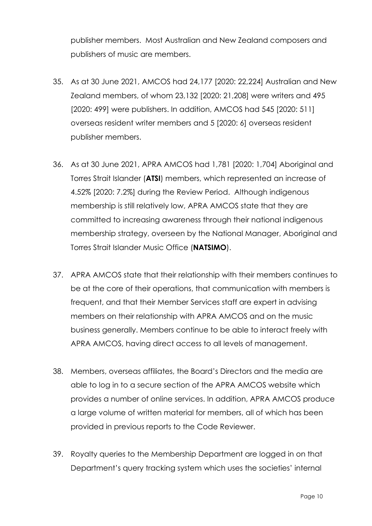publisher members. Most Australian and New Zealand composers and publishers of music are members.

- 35. As at 30 June 2021, AMCOS had 24,177 [2020: 22,224] Australian and New Zealand members, of whom 23,132 [2020: 21,208] were writers and 495 [2020: 499] were publishers. In addition, AMCOS had 545 [2020: 511] overseas resident writer members and 5 [2020: 6] overseas resident publisher members.
- 36. As at 30 June 2021, APRA AMCOS had 1,781 [2020: 1,704] Aboriginal and Torres Strait Islander (**ATSI**) members, which represented an increase of 4.52% [2020: 7.2%] during the Review Period. Although indigenous membership is still relatively low, APRA AMCOS state that they are committed to increasing awareness through their national indigenous membership strategy, overseen by the National Manager, Aboriginal and Torres Strait Islander Music Office (**NATSIMO**).
- 37. APRA AMCOS state that their relationship with their members continues to be at the core of their operations, that communication with members is frequent, and that their Member Services staff are expert in advising members on their relationship with APRA AMCOS and on the music business generally. Members continue to be able to interact freely with APRA AMCOS, having direct access to all levels of management.
- 38. Members, overseas affiliates, the Board's Directors and the media are able to log in to a secure section of the APRA AMCOS website which provides a number of online services. In addition, APRA AMCOS produce a large volume of written material for members, all of which has been provided in previous reports to the Code Reviewer.
- 39. Royalty queries to the Membership Department are logged in on that Department's query tracking system which uses the societies' internal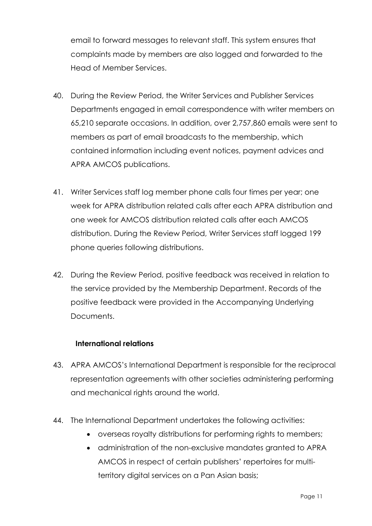email to forward messages to relevant staff. This system ensures that complaints made by members are also logged and forwarded to the Head of Member Services.

- 40. During the Review Period, the Writer Services and Publisher Services Departments engaged in email correspondence with writer members on 65,210 separate occasions. In addition, over 2,757,860 emails were sent to members as part of email broadcasts to the membership, which contained information including event notices, payment advices and APRA AMCOS publications.
- 41. Writer Services staff log member phone calls four times per year; one week for APRA distribution related calls after each APRA distribution and one week for AMCOS distribution related calls after each AMCOS distribution. During the Review Period, Writer Services staff logged 199 phone queries following distributions.
- 42. During the Review Period, positive feedback was received in relation to the service provided by the Membership Department. Records of the positive feedback were provided in the Accompanying Underlying Documents.

# **International relations**

- 43. APRA AMCOS's International Department is responsible for the reciprocal representation agreements with other societies administering performing and mechanical rights around the world.
- 44. The International Department undertakes the following activities:
	- overseas royalty distributions for performing rights to members;
	- administration of the non-exclusive mandates granted to APRA AMCOS in respect of certain publishers' repertoires for multiterritory digital services on a Pan Asian basis;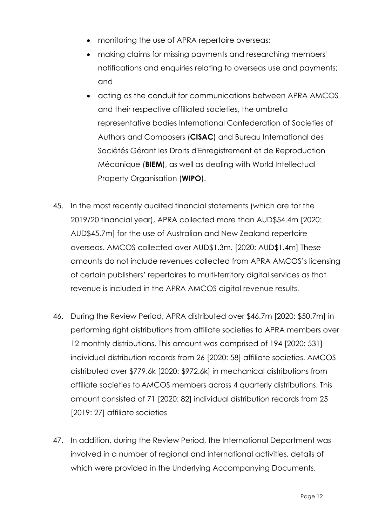- monitoring the use of APRA repertoire overseas;
- making claims for missing payments and researching members' notifications and enquiries relating to overseas use and payments; and
- acting as the conduit for communications between APRA AMCOS and their respective affiliated societies, the umbrella representative bodies International Confederation of Societies of Authors and Composers (**CISAC**) and Bureau International des Sociétés Gérant les Droits d'Enregistrement et de Reproduction Mécanique (**BIEM**), as well as dealing with World Intellectual Property Organisation (**WIPO**).
- 45. In the most recently audited financial statements (which are for the 2019/20 financial year), APRA collected more than AUD\$54.4m [2020: AUD\$45.7m] for the use of Australian and New Zealand repertoire overseas. AMCOS collected over AUD\$1.3m. [2020: AUD\$1.4m] These amounts do not include revenues collected from APRA AMCOS's licensing of certain publishers' repertoires to multi-territory digital services as that revenue is included in the APRA AMCOS digital revenue results.
- 46. During the Review Period, APRA distributed over \$46.7m [2020: \$50.7m] in performing right distributions from affiliate societies to APRA members over 12 monthly distributions. This amount was comprised of 194 [2020: 531] individual distribution records from 26 [2020: 58] affiliate societies. AMCOS distributed over \$779.6k [2020: \$972.6k] in mechanical distributions from affiliate societies to AMCOS members across 4 quarterly distributions. This amount consisted of 71 [2020: 82] individual distribution records from 25 [2019: 27] affiliate societies
- 47. In addition, during the Review Period, the International Department was involved in a number of regional and international activities, details of which were provided in the Underlying Accompanying Documents.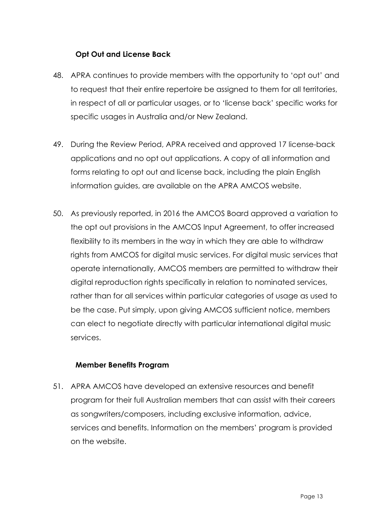# **Opt Out and License Back**

- 48. APRA continues to provide members with the opportunity to 'opt out' and to request that their entire repertoire be assigned to them for all territories, in respect of all or particular usages, or to 'license back' specific works for specific usages in Australia and/or New Zealand.
- 49. During the Review Period, APRA received and approved 17 license-back applications and no opt out applications. A copy of all information and forms relating to opt out and license back, including the plain English information guides, are available on the APRA AMCOS website.
- 50. As previously reported, in 2016 the AMCOS Board approved a variation to the opt out provisions in the AMCOS Input Agreement, to offer increased flexibility to its members in the way in which they are able to withdraw rights from AMCOS for digital music services. For digital music services that operate internationally, AMCOS members are permitted to withdraw their digital reproduction rights specifically in relation to nominated services, rather than for all services within particular categories of usage as used to be the case. Put simply, upon giving AMCOS sufficient notice, members can elect to negotiate directly with particular international digital music services.

### **Member Benefits Program**

51. APRA AMCOS have developed an extensive resources and benefit program for their full Australian members that can assist with their careers as songwriters/composers, including exclusive information, advice, services and benefits. Information on the members' program is provided on the website.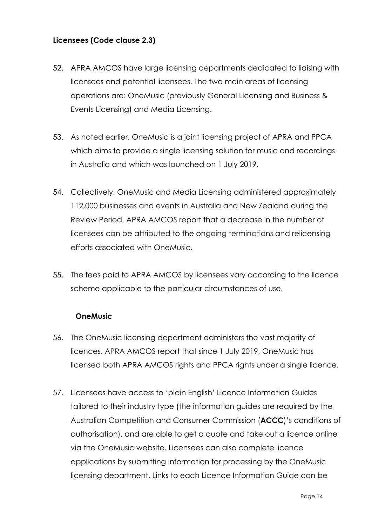# **Licensees (Code clause 2.3)**

- 52. APRA AMCOS have large licensing departments dedicated to liaising with licensees and potential licensees. The two main areas of licensing operations are: OneMusic (previously General Licensing and Business & Events Licensing) and Media Licensing.
- 53. As noted earlier, OneMusic is a joint licensing project of APRA and PPCA which aims to provide a single licensing solution for music and recordings in Australia and which was launched on 1 July 2019.
- 54. Collectively, OneMusic and Media Licensing administered approximately 112,000 businesses and events in Australia and New Zealand during the Review Period. APRA AMCOS report that a decrease in the number of licensees can be attributed to the ongoing terminations and relicensing efforts associated with OneMusic.
- 55. The fees paid to APRA AMCOS by licensees vary according to the licence scheme applicable to the particular circumstances of use.

### **OneMusic**

- 56. The OneMusic licensing department administers the vast majority of licences. APRA AMCOS report that since 1 July 2019, OneMusic has licensed both APRA AMCOS rights and PPCA rights under a single licence.
- 57. Licensees have access to 'plain English' Licence Information Guides tailored to their industry type (the information guides are required by the Australian Competition and Consumer Commission (**ACCC**)'s conditions of authorisation), and are able to get a quote and take out a licence online via the OneMusic website. Licensees can also complete licence applications by submitting information for processing by the OneMusic licensing department. Links to each Licence Information Guide can be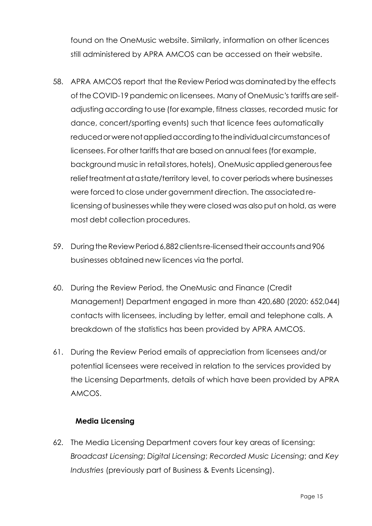found on the OneMusic website. Similarly, information on other licences still administered by APRA AMCOS can be accessed on their website.

- 58. APRA AMCOS report that the Review Period was dominated by the effects of the COVID-19 pandemic on licensees. Many of OneMusic's tariffs are selfadjustingaccording to use (for example, fitness classes, recorded music for dance, concert/sporting events) such that licence fees automatically reducedorwerenotappliedaccordingtotheindividualcircumstancesof licensees. For other tariffs that are based on annual fees (for example, background music in retailstores,hotels), OneMusicappliedgenerousfee relief treatment at a state/territory level, to cover periods where businesses were forced to close under government direction. The associated relicensing of businesses while they were closed was also put on hold, as were most debt collection procedures.
- 59. During the Review Period 6,882 clients re-licensed their accounts and 906 businesses obtained new licences via the portal.
- 60. During the Review Period, the OneMusic and Finance (Credit Management) Department engaged in more than 420,680 (2020: 652,044) contacts with licensees, including by letter, email and telephone calls. A breakdown of the statistics has been provided by APRA AMCOS.
- 61. During the Review Period emails of appreciation from licensees and/or potential licensees were received in relation to the services provided by the Licensing Departments, details of which have been provided by APRA AMCOS.

### **Media Licensing**

62. The Media Licensing Department covers four key areas of licensing: *Broadcast Licensing*; *Digital Licensing*; *Recorded Music Licensing*; and *Key Industries* (previously part of Business & Events Licensing).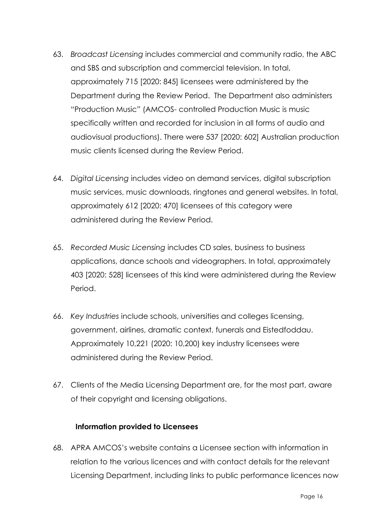- 63. *Broadcast Licensing* includes commercial and community radio, the ABC and SBS and subscription and commercial television. In total, approximately 715 [2020: 845] licensees were administered by the Department during the Review Period. The Department also administers "Production Music" (AMCOS- controlled Production Music is music specifically written and recorded for inclusion in all forms of audio and audiovisual productions). There were 537 [2020: 602] Australian production music clients licensed during the Review Period.
- 64. *Digital Licensing* includes video on demand services, digital subscription music services, music downloads, ringtones and general websites. In total, approximately 612 [2020: 470] licensees of this category were administered during the Review Period.
- 65. *Recorded Music Licensing* includes CD sales, business to business applications, dance schools and videographers. In total, approximately 403 [2020: 528] licensees of this kind were administered during the Review Period.
- 66. *Key Industries* include schools, universities and colleges licensing, government, airlines, dramatic context, funerals and Eistedfoddau. Approximately 10,221 (2020: 10,200) key industry licensees were administered during the Review Period.
- 67. Clients of the Media Licensing Department are, for the most part, aware of their copyright and licensing obligations.

### **Information provided to Licensees**

68. APRA AMCOS's website contains a Licensee section with information in relation to the various licences and with contact details for the relevant Licensing Department, including links to public performance licences now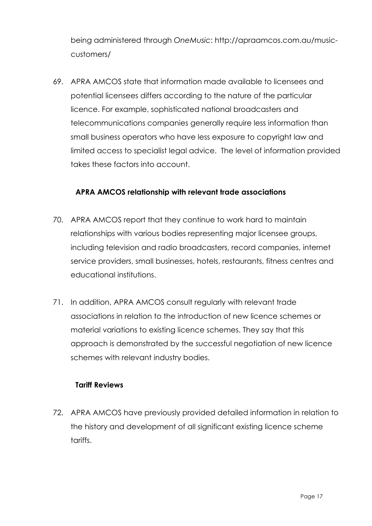being administered through *OneMusic*: http://apraamcos.com.au/musiccustomers/

69. APRA AMCOS state that information made available to licensees and potential licensees differs according to the nature of the particular licence. For example, sophisticated national broadcasters and telecommunications companies generally require less information than small business operators who have less exposure to copyright law and limited access to specialist legal advice. The level of information provided takes these factors into account.

# **APRA AMCOS relationship with relevant trade associations**

- 70. APRA AMCOS report that they continue to work hard to maintain relationships with various bodies representing major licensee groups, including television and radio broadcasters, record companies, internet service providers, small businesses, hotels, restaurants, fitness centres and educational institutions.
- 71. In addition, APRA AMCOS consult regularly with relevant trade associations in relation to the introduction of new licence schemes or material variations to existing licence schemes. They say that this approach is demonstrated by the successful negotiation of new licence schemes with relevant industry bodies.

### **Tariff Reviews**

72. APRA AMCOS have previously provided detailed information in relation to the history and development of all significant existing licence scheme tariffs.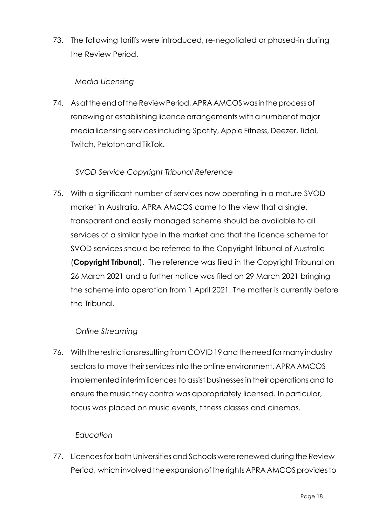73. The following tariffs were introduced, re-negotiated or phased-in during the Review Period.

# *Media Licensing*

74. As at the end of the Review Period, APRA AMCOS was in the process of renewing or establishing licence arrangements with a number of major medialicensing services including Spotify, Apple Fitness, Deezer, Tidal, Twitch, Peloton and TikTok.

# *SVOD Service Copyright Tribunal Reference*

75. With a significant number of services now operating in a mature SVOD market in Australia, APRA AMCOS came to the view that a single, transparent and easily managed scheme should be available to all services of a similar type in the market and that the licence scheme for SVOD services should be referred to the Copyright Tribunal of Australia (**Copyright Tribunal**). The reference was filed in the Copyright Tribunal on 26 March 2021 and a further notice was filed on 29 March 2021 bringing the scheme into operation from 1 April 2021. The matter is currently before the Tribunal.

### *Online Streaming*

76. With the restrictions resulting from COVID19 and the need for many industry sectors to move their services into the online environment, APRA AMCOS implementedinterim licences to assist businessesin their operations and to ensure the music they control was appropriately licensed. Inparticular, focus was placed on music events, fitness classes and cinemas.

### *Education*

77. Licences for both Universities and Schools were renewed during the Review Period, which involved the expansion of the rights APRA AMCOS provides to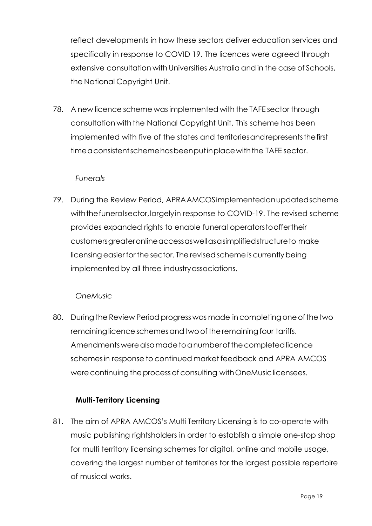reflect developments in how these sectors deliver education services and specifically in response to COVID 19. The licences were agreed through extensive consultation with Universities Australia and in the case of Schools, the National Copyright Unit.

78. A new licence scheme wasimplemented with the TAFE sector through consultation with the National Copyright Unit. This scheme has been implemented with five of the states and territories and represents the first timeaconsistentschemehasbeenputinplacewiththe TAFE sector.

### *Funerals*

79. During the Review Period, APRAAMCOSimplementedanupdatedscheme withthefuneralsector,largelyin response to COVID-19. The revised scheme provides expanded rights to enable funeral operatorstooffertheir customersgreateronlineaccessaswellasasimplifiedstructureto make licensing easier for the sector. The revised scheme is currently being implementedby all three industryassociations.

# *OneMusic*

80. During the Review Period progress was made in completing one of the two remaining licence schemes and two of the remaining four tariffs. Amendments were also made to a number of the completed licence schemesin response to continued market feedback and APRA AMCOS were continuing the process of consulting with OneMusic licensees.

# **Multi-Territory Licensing**

81. The aim of APRA AMCOS's Multi Territory Licensing is to co-operate with music publishing rightsholders in order to establish a simple one-stop shop for multi territory licensing schemes for digital, online and mobile usage, covering the largest number of territories for the largest possible repertoire of musical works.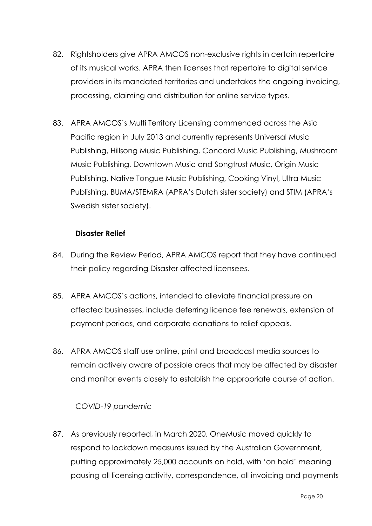- 82. Rightsholders give APRA AMCOS non-exclusive rights in certain repertoire of its musical works. APRA then licenses that repertoire to digital service providers in its mandated territories and undertakes the ongoing invoicing, processing, claiming and distribution for online service types.
- 83. APRA AMCOS's Multi Territory Licensing commenced across the Asia Pacific region in July 2013 and currently represents Universal Music Publishing, Hillsong Music Publishing, Concord Music Publishing, Mushroom Music Publishing, Downtown Music and Songtrust Music, Origin Music Publishing, Native Tongue Music Publishing, Cooking Vinyl, Ultra Music Publishing, BUMA/STEMRA (APRA's Dutch sister society) and STIM (APRA's Swedish sister society).

### **Disaster Relief**

- 84. During the Review Period, APRA AMCOS report that they have continued their policy regarding Disaster affected licensees.
- 85. APRA AMCOS's actions, intended to alleviate financial pressure on affected businesses, include deferring licence fee renewals, extension of payment periods, and corporate donations to relief appeals.
- 86. APRA AMCOS staff use online, print and broadcast media sources to remain actively aware of possible areas that may be affected by disaster and monitor events closely to establish the appropriate course of action.

### *COVID-19 pandemic*

87. As previously reported, in March 2020, OneMusic moved quickly to respond to lockdown measures issued by the Australian Government, putting approximately 25,000 accounts on hold, with 'on hold' meaning pausing all licensing activity, correspondence, all invoicing and payments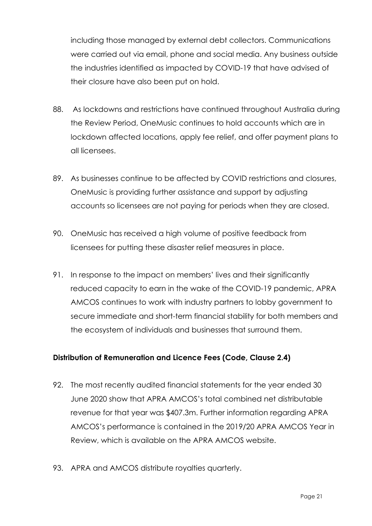including those managed by external debt collectors. Communications were carried out via email, phone and social media. Any business outside the industries identified as impacted by COVID-19 that have advised of their closure have also been put on hold.

- 88. As lockdowns and restrictions have continued throughout Australia during the Review Period, OneMusic continues to hold accounts which are in lockdown affected locations, apply fee relief, and offer payment plans to all licensees.
- 89. As businesses continue to be affected by COVID restrictions and closures, OneMusic is providing further assistance and support by adjusting accounts so licensees are not paying for periods when they are closed.
- 90. OneMusic has received a high volume of positive feedback from licensees for putting these disaster relief measures in place.
- 91. In response to the impact on members' lives and their significantly reduced capacity to earn in the wake of the COVID-19 pandemic, APRA AMCOS continues to work with industry partners to lobby government to secure immediate and short-term financial stability for both members and the ecosystem of individuals and businesses that surround them.

### **Distribution of Remuneration and Licence Fees (Code, Clause 2.4)**

- 92. The most recently audited financial statements for the year ended 30 June 2020 show that APRA AMCOS's total combined net distributable revenue for that year was \$407.3m. Further information regarding APRA AMCOS's performance is contained in the 2019/20 APRA AMCOS Year in Review, which is available on the APRA AMCOS website.
- 93. APRA and AMCOS distribute royalties quarterly.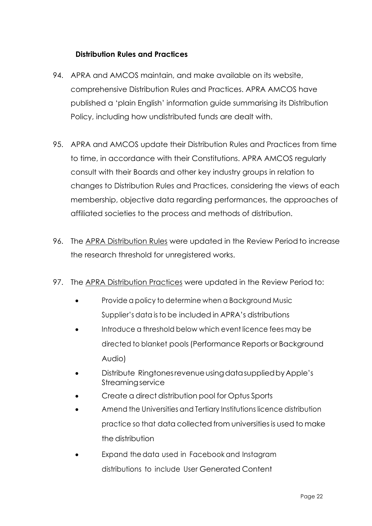# **Distribution Rules and Practices**

- 94. APRA and AMCOS maintain, and make available on its website, comprehensive Distribution Rules and Practices. APRA AMCOS have published a 'plain English' information guide summarising its Distribution Policy, including how undistributed funds are dealt with.
- 95. APRA and AMCOS update their Distribution Rules and Practices from time to time, in accordance with their Constitutions. APRA AMCOS regularly consult with their Boards and other key industry groups in relation to changes to Distribution Rules and Practices, considering the views of each membership, objective data regarding performances, the approaches of affiliated societies to the process and methods of distribution.
- 96. The APRA Distribution Rules were updated in the Review Period to increase the research threshold for unregistered works.
- 97. The APRA Distribution Practices were updated in the Review Period to:
	- Provide a policy to determine when a Background Music Supplier's data is to be included in APRA's distributions
	- Introduce a threshold below which event licence fees may be directed to blanket pools(Performance Reports or Background Audio)
	- Distribute Ringtonesrevenueusing data supplied by Apple's **Streamingservice**
	- Create a direct distribution pool for Optus Sports
	- Amend the Universities and Tertiary Institutions licence distribution practice so that data collected from universitiesis used to make the distribution
	- Expand the data used in Facebook and Instagram distributions to include User Generated Content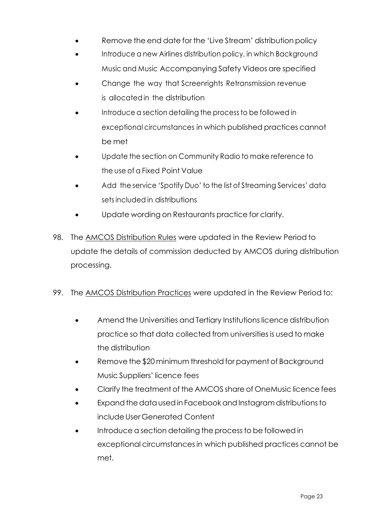- Remove the end date for the 'Live Stream' distribution policy
- Introduce a new Airlines distribution policy, in which Background Music and Music Accompanying Safety Videos are specified
- Change the way that Screenrights Retransmission revenue is allocatedin the distribution
- Introduce a section detailing the process to be followed in exceptional circumstances in which published practices cannot be met
- Update the section on Community Radio to make reference to the use of a Fixed Point Value
- Add the service 'Spotify Duo' to the list of Streaming Services' data sets included in distributions
- Update wording on Restaurants practice for clarity.
- 98. The AMCOS Distribution Rules were updated in the Review Period to update the details of commission deducted by AMCOS during distribution processing.
- 99. The **AMCOS Distribution Practices were updated in the Review Period to:** 
	- Amend the Universities and Tertiary Institutions licence distribution practice so that data collected from universitiesis used to make the distribution
	- Remove the \$20 minimum threshold for payment of Background Music Suppliers' licence fees
	- Clarify the treatment of the AMCOS share of OneMusic licence fees
	- Expand the data used in Facebook and Instagram distributions to include User Generated Content
	- Introduce a section detailing the process to be followed in exceptional circumstancesin which published practices cannot be met.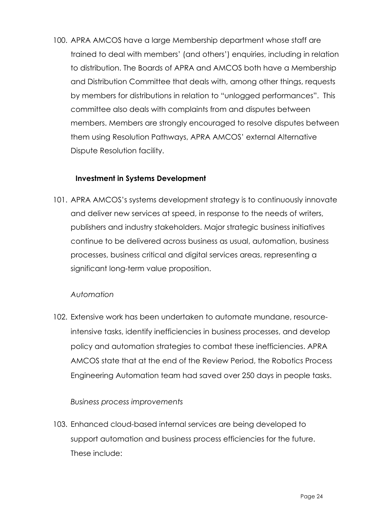100. APRA AMCOS have a large Membership department whose staff are trained to deal with members' (and others') enquiries, including in relation to distribution. The Boards of APRA and AMCOS both have a Membership and Distribution Committee that deals with, among other things, requests by members for distributions in relation to "unlogged performances". This committee also deals with complaints from and disputes between members. Members are strongly encouraged to resolve disputes between them using Resolution Pathways, APRA AMCOS' external Alternative Dispute Resolution facility.

### **Investment in Systems Development**

101. APRA AMCOS's systems development strategy is to continuously innovate and deliver new services at speed, in response to the needs of writers, publishers and industry stakeholders. Major strategic business initiatives continue to be delivered across business as usual, automation, business processes, business critical and digital services areas, representing a significant long-term value proposition.

# *Automation*

102. Extensive work has been undertaken to automate mundane, resourceintensive tasks, identify inefficiencies in business processes, and develop policy and automation strategies to combat these inefficiencies. APRA AMCOS state that at the end of the Review Period, the Robotics Process Engineering Automation team had saved over 250 days in people tasks.

# *Business process improvements*

103. Enhanced cloud-based internal services are being developed to support automation and business process efficiencies for the future. These include: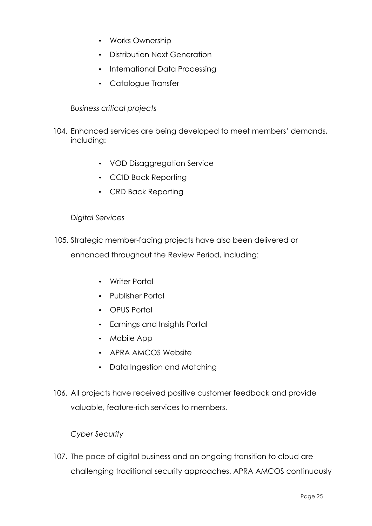- Works Ownership
- Distribution Next Generation
- International Data Processing
- Catalogue Transfer

*Business critical projects*

- 104. Enhanced services are being developed to meet members' demands, including:
	- VOD Disaggregation Service
	- CCID Back Reporting
	- CRD Back Reporting

#### *Digital Services*

- 105. Strategic member-facing projects have also been delivered or enhanced throughout the Review Period, including:
	- Writer Portal
	- Publisher Portal
	- OPUS Portal
	- Earnings and Insights Portal
	- Mobile App
	- APRA AMCOS Website
	- Data Ingestion and Matching
- 106. All projects have received positive customer feedback and provide valuable, feature-rich services to members.

### *Cyber Security*

107. The pace of digital business and an ongoing transition to cloud are challenging traditional security approaches. APRA AMCOS continuously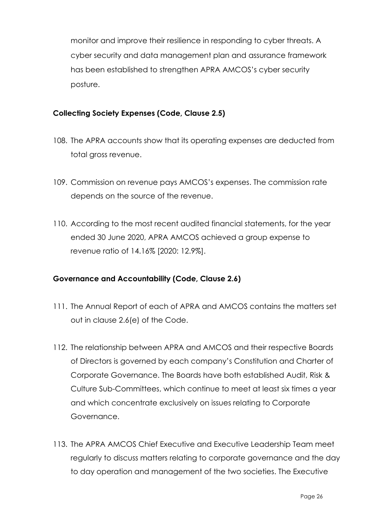monitor and improve their resilience in responding to cyber threats. A cyber security and data management plan and assurance framework has been established to strengthen APRA AMCOS's cyber security posture.

# **Collecting Society Expenses (Code, Clause 2.5)**

- 108. The APRA accounts show that its operating expenses are deducted from total gross revenue.
- 109. Commission on revenue pays AMCOS's expenses. The commission rate depends on the source of the revenue.
- 110. According to the most recent audited financial statements, for the year ended 30 June 2020, APRA AMCOS achieved a group expense to revenue ratio of 14.16% [2020: 12.9%].

### **Governance and Accountability (Code, Clause 2.6)**

- 111. The Annual Report of each of APRA and AMCOS contains the matters set out in clause 2.6(e) of the Code.
- 112. The relationship between APRA and AMCOS and their respective Boards of Directors is governed by each company's Constitution and Charter of Corporate Governance. The Boards have both established Audit, Risk & Culture Sub-Committees, which continue to meet at least six times a year and which concentrate exclusively on issues relating to Corporate Governance.
- 113. The APRA AMCOS Chief Executive and Executive Leadership Team meet regularly to discuss matters relating to corporate governance and the day to day operation and management of the two societies. The Executive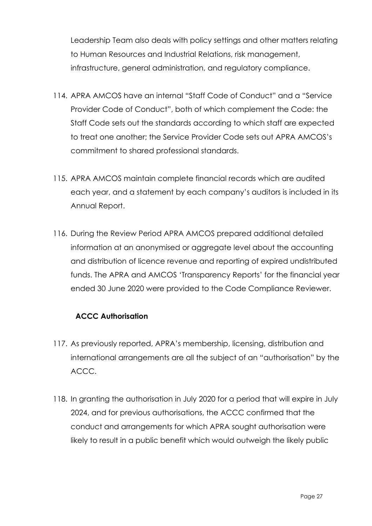Leadership Team also deals with policy settings and other matters relating to Human Resources and Industrial Relations, risk management, infrastructure, general administration, and regulatory compliance.

- 114. APRA AMCOS have an internal "Staff Code of Conduct" and a "Service Provider Code of Conduct", both of which complement the Code: the Staff Code sets out the standards according to which staff are expected to treat one another; the Service Provider Code sets out APRA AMCOS's commitment to shared professional standards.
- 115. APRA AMCOS maintain complete financial records which are audited each year, and a statement by each company's auditors is included in its Annual Report.
- 116. During the Review Period APRA AMCOS prepared additional detailed information at an anonymised or aggregate level about the accounting and distribution of licence revenue and reporting of expired undistributed funds. The APRA and AMCOS 'Transparency Reports' for the financial year ended 30 June 2020 were provided to the Code Compliance Reviewer.

# **ACCC Authorisation**

- 117. As previously reported, APRA's membership, licensing, distribution and international arrangements are all the subject of an "authorisation" by the ACCC.
- 118. In granting the authorisation in July 2020 for a period that will expire in July 2024, and for previous authorisations, the ACCC confirmed that the conduct and arrangements for which APRA sought authorisation were likely to result in a public benefit which would outweigh the likely public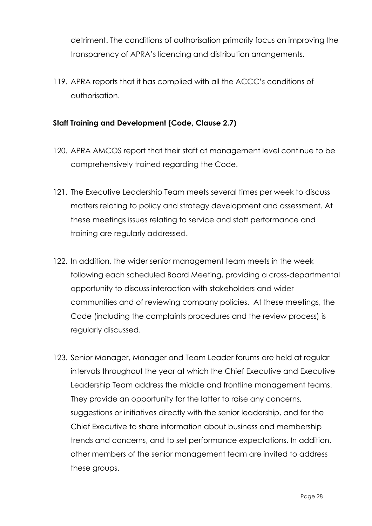detriment. The conditions of authorisation primarily focus on improving the transparency of APRA's licencing and distribution arrangements.

119. APRA reports that it has complied with all the ACCC's conditions of authorisation.

# **Staff Training and Development (Code, Clause 2.7)**

- 120. APRA AMCOS report that their staff at management level continue to be comprehensively trained regarding the Code.
- 121. The Executive Leadership Team meets several times per week to discuss matters relating to policy and strategy development and assessment. At these meetings issues relating to service and staff performance and training are regularly addressed.
- 122. In addition, the wider senior management team meets in the week following each scheduled Board Meeting, providing a cross-departmental opportunity to discuss interaction with stakeholders and wider communities and of reviewing company policies. At these meetings, the Code (including the complaints procedures and the review process) is regularly discussed.
- 123. Senior Manager, Manager and Team Leader forums are held at regular intervals throughout the year at which the Chief Executive and Executive Leadership Team address the middle and frontline management teams. They provide an opportunity for the latter to raise any concerns, suggestions or initiatives directly with the senior leadership, and for the Chief Executive to share information about business and membership trends and concerns, and to set performance expectations. In addition, other members of the senior management team are invited to address these groups.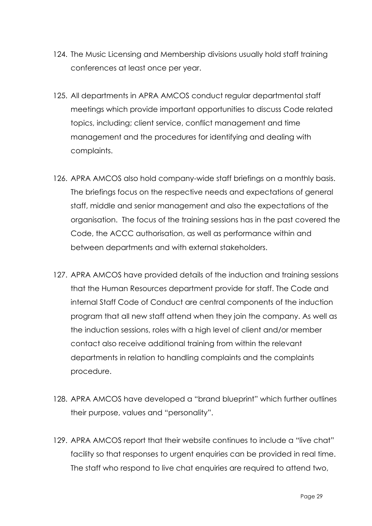- 124. The Music Licensing and Membership divisions usually hold staff training conferences at least once per year.
- 125. All departments in APRA AMCOS conduct regular departmental staff meetings which provide important opportunities to discuss Code related topics, including; client service, conflict management and time management and the procedures for identifying and dealing with complaints.
- 126. APRA AMCOS also hold company-wide staff briefings on a monthly basis. The briefings focus on the respective needs and expectations of general staff, middle and senior management and also the expectations of the organisation. The focus of the training sessions has in the past covered the Code, the ACCC authorisation, as well as performance within and between departments and with external stakeholders.
- 127. APRA AMCOS have provided details of the induction and training sessions that the Human Resources department provide for staff. The Code and internal Staff Code of Conduct are central components of the induction program that all new staff attend when they join the company. As well as the induction sessions, roles with a high level of client and/or member contact also receive additional training from within the relevant departments in relation to handling complaints and the complaints procedure.
- 128. APRA AMCOS have developed a "brand blueprint" which further outlines their purpose, values and "personality".
- 129. APRA AMCOS report that their website continues to include a "live chat" facility so that responses to urgent enquiries can be provided in real time. The staff who respond to live chat enquiries are required to attend two,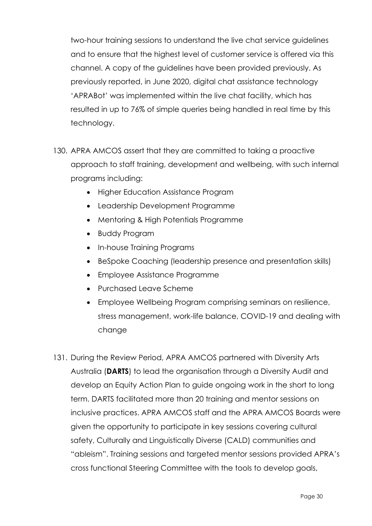two-hour training sessions to understand the live chat service guidelines and to ensure that the highest level of customer service is offered via this channel. A copy of the guidelines have been provided previously. As previously reported, in June 2020, digital chat assistance technology 'APRABot' was implemented within the live chat facility, which has resulted in up to 76% of simple queries being handled in real time by this technology.

- 130. APRA AMCOS assert that they are committed to taking a proactive approach to staff training, development and wellbeing, with such internal programs including:
	- Higher Education Assistance Program
	- Leadership Development Programme
	- Mentoring & High Potentials Programme
	- Buddy Program
	- In-house Training Programs
	- BeSpoke Coaching (leadership presence and presentation skills)
	- Employee Assistance Programme
	- Purchased Leave Scheme
	- Employee Wellbeing Program comprising seminars on resilience, stress management, work-life balance, COVID-19 and dealing with change
- 131. During the Review Period, APRA AMCOS partnered with Diversity Arts Australia (**DARTS**) to lead the organisation through a Diversity Audit and develop an Equity Action Plan to guide ongoing work in the short to long term. DARTS facilitated more than 20 training and mentor sessions on inclusive practices. APRA AMCOS staff and the APRA AMCOS Boards were given the opportunity to participate in key sessions covering cultural safety, Culturally and Linguistically Diverse (CALD) communities and "ableism". Training sessions and targeted mentor sessions provided APRA's cross functional Steering Committee with the tools to develop goals,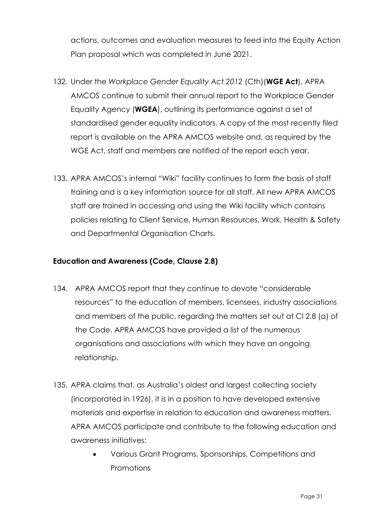actions, outcomes and evaluation measures to feed into the Equity Action Plan proposal which was completed in June 2021.

- 132. Under the *Workplace Gender Equality Act 2012* (Cth)(**WGE Act**), APRA AMCOS continue to submit their annual report to the Workplace Gender Equality Agency (**WGEA**), outlining its performance against a set of standardised gender equality indicators. A copy of the most recently filed report is available on the APRA AMCOS website and, as required by the WGE Act, staff and members are notified of the report each year.
- 133. APRA AMCOS's internal "Wiki" facility continues to form the basis of staff training and is a key information source for all staff. All new APRA AMCOS staff are trained in accessing and using the Wiki facility which contains policies relating to Client Service, Human Resources, Work, Health & Safety and Departmental Organisation Charts.

# **Education and Awareness (Code, Clause 2.8)**

- 134. APRA AMCOS report that they continue to devote "considerable resources" to the education of members, licensees, industry associations and members of the public, regarding the matters set out at Cl 2.8 (a) of the Code. APRA AMCOS have provided a list of the numerous organisations and associations with which they have an ongoing relationship.
- 135. APRA claims that, as Australia's oldest and largest collecting society (incorporated in 1926), it is in a position to have developed extensive materials and expertise in relation to education and awareness matters. APRA AMCOS participate and contribute to the following education and awareness initiatives:
	- Various Grant Programs, Sponsorships, Competitions and **Promotions**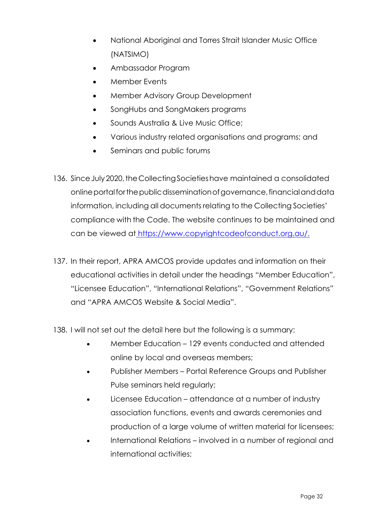- National Aboriginal and Torres Strait Islander Music Office (NATSIMO)
- Ambassador Program
- Member Events
- Member Advisory Group Development
- SongHubs and SongMakers programs
- Sounds Australia & Live Music Office;
- Various industry related organisations and programs; and
- Seminars and public forums
- 136. Since July 2020, the Collecting Societies have maintained a consolidated onlineportalforthepublicdisseminationofgovernance,financialanddata information, including all documents relating to the Collecting Societies' compliance with the Code. The website continues to be maintained and can be viewed at https://www.copyrightcodeofconduct.org.au/.
- 137. In their report, APRA AMCOS provide updates and information on their educational activities in detail under the headings "Member Education", "Licensee Education", "International Relations", "Government Relations" and "APRA AMCOS Website & Social Media".
- 138. I will not set out the detail here but the following is a summary:
	- Member Education 129 events conducted and attended online by local and overseas members;
	- Publisher Members Portal Reference Groups and Publisher Pulse seminars held regularly;
	- Licensee Education attendance at a number of industry association functions, events and awards ceremonies and production of a large volume of written material for licensees;
	- International Relations involved in a number of regional and international activities;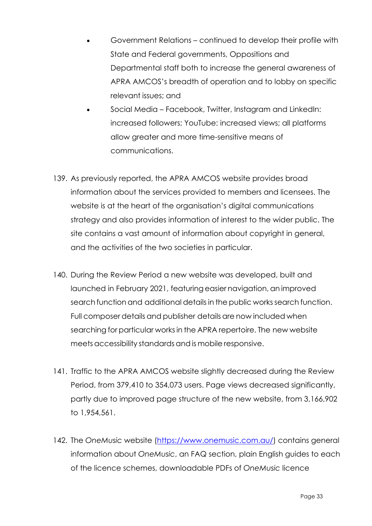- Government Relations continued to develop their profile with State and Federal governments, Oppositions and Departmental staff both to increase the general awareness of APRA AMCOS's breadth of operation and to lobby on specific relevant issues; and
- Social Media Facebook, Twitter, Instagram and LinkedIn: increased followers; YouTube: increased views; all platforms allow greater and more time-sensitive means of communications.
- 139. As previously reported, the APRA AMCOS website provides broad information about the services provided to members and licensees. The website is at the heart of the organisation's digital communications strategy and also provides information of interest to the wider public. The site contains a vast amount of information about copyright in general, and the activities of the two societies in particular.
- 140. During the Review Period a new website was developed, built and launched in February 2021, featuring easier navigation, an improved search function and additional details in the public works search function. Full composer details and publisher details are now included when searching for particular worksin the APRA repertoire. The new website meets accessibility standards and is mobile responsive.
- 141. Traffic to the APRA AMCOS website slightly decreased during the Review Period, from 379,410 to 354,073 users. Page views decreased significantly, partly due to improved page structure of the new website, from 3,166,902 to 1,954,561.
- 142. The *OneMusic* website (https://www.onemusic.com.au/) contains general information about *OneMusic*, an FAQ section, plain English guides to each of the licence schemes, downloadable PDFs of *OneMusic* licence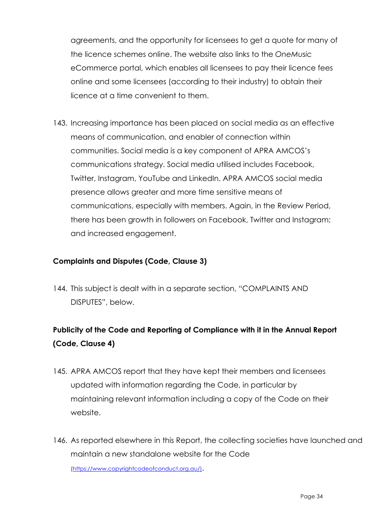agreements, and the opportunity for licensees to get a quote for many of the licence schemes online. The website also links to the *OneMusic* eCommerce portal, which enables all licensees to pay their licence fees online and some licensees (according to their industry) to obtain their licence at a time convenient to them.

143. Increasing importance has been placed on social media as an effective means of communication, and enabler of connection within communities. Social media is a key component of APRA AMCOS's communications strategy. Social media utilised includes Facebook, Twitter, Instagram, YouTube and LinkedIn. APRA AMCOS social media presence allows greater and more time sensitive means of communications, especially with members. Again, in the Review Period, there has been growth in followers on Facebook, Twitter and Instagram; and increased engagement.

# **Complaints and Disputes (Code, Clause 3)**

144. This subject is dealt with in a separate section, "COMPLAINTS AND DISPUTES", below.

# **Publicity of the Code and Reporting of Compliance with it in the Annual Report (Code, Clause 4)**

- 145. APRA AMCOS report that they have kept their members and licensees updated with information regarding the Code, in particular by maintaining relevant information including a copy of the Code on their website.
- 146. As reported elsewhere in this Report, the collecting societies have launched and maintain a new standalone website for the Code

(https://www.copyrightcodeofconduct.org.au/).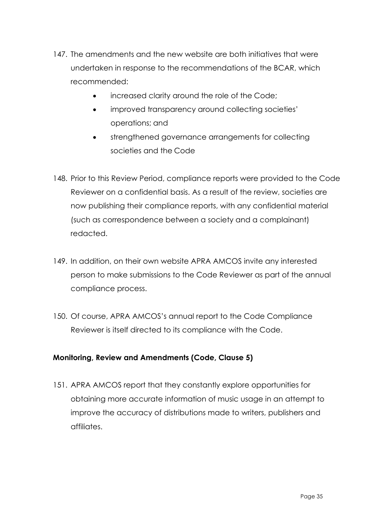- 147. The amendments and the new website are both initiatives that were undertaken in response to the recommendations of the BCAR, which recommended:
	- increased clarity around the role of the Code;
	- improved transparency around collecting societies' operations; and
	- strengthened governance arrangements for collecting societies and the Code
- 148. Prior to this Review Period, compliance reports were provided to the Code Reviewer on a confidential basis. As a result of the review, societies are now publishing their compliance reports, with any confidential material (such as correspondence between a society and a complainant) redacted.
- 149. In addition, on their own website APRA AMCOS invite any interested person to make submissions to the Code Reviewer as part of the annual compliance process.
- 150. Of course, APRA AMCOS's annual report to the Code Compliance Reviewer is itself directed to its compliance with the Code.

# **Monitoring, Review and Amendments (Code, Clause 5)**

151. APRA AMCOS report that they constantly explore opportunities for obtaining more accurate information of music usage in an attempt to improve the accuracy of distributions made to writers, publishers and affiliates.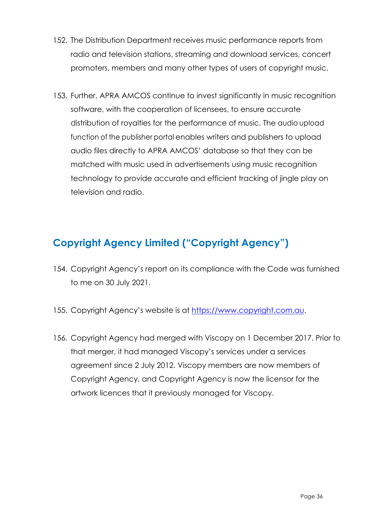- 152. The Distribution Department receives music performance reports from radio and television stations, streaming and download services, concert promoters, members and many other types of users of copyright music.
- 153. Further, APRA AMCOS continue to invest significantly in music recognition software, with the cooperation of licensees, to ensure accurate distribution of royalties for the performance of music. The audio upload function of the publisher portal enables writers and publishers to upload audio files directly to APRA AMCOS' database so that they can be matched with music used in advertisements using music recognition technology to provide accurate and efficient tracking of jingle play on television and radio.

# **Copyright Agency Limited ("Copyright Agency")**

- 154. Copyright Agency's report on its compliance with the Code was furnished to me on 30 July 2021.
- 155. Copyright Agency's website is at https://www.copyright.com.au.
- 156. Copyright Agency had merged with Viscopy on 1 December 2017. Prior to that merger, it had managed Viscopy's services under a services agreement since 2 July 2012. Viscopy members are now members of Copyright Agency, and Copyright Agency is now the licensor for the artwork licences that it previously managed for Viscopy.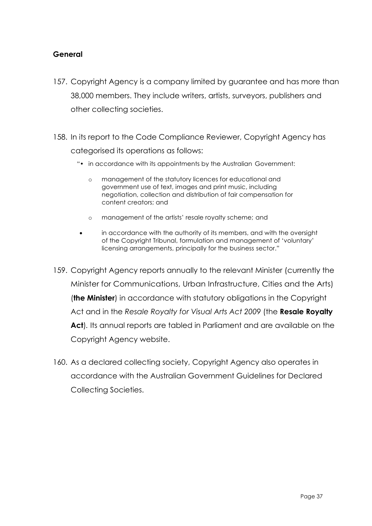# **General**

- 157. Copyright Agency is a company limited by guarantee and has more than 38,000 members. They include writers, artists, surveyors, publishers and other collecting societies.
- 158. In its report to the Code Compliance Reviewer, Copyright Agency has categorised its operations as follows:
	- "• in accordance with its appointments by the Australian Government:
		- o management of the statutory licences for educational and government use of text, images and print music, including negotiation, collection and distribution of fair compensation for content creators; and
		- o management of the artists' resale royalty scheme; and
		- in accordance with the authority of its members, and with the oversight of the Copyright Tribunal, formulation and management of 'voluntary' licensing arrangements, principally for the business sector."
- 159. Copyright Agency reports annually to the relevant Minister (currently the Minister for Communications, Urban Infrastructure, Cities and the Arts) (**the Minister**) in accordance with statutory obligations in the Copyright Act and in the *Resale Royalty for Visual Arts Act 2009* (the **Resale Royalty**  Act). Its annual reports are tabled in Parliament and are available on the Copyright Agency website.
- 160. As a declared collecting society, Copyright Agency also operates in accordance with the Australian Government Guidelines for Declared Collecting Societies.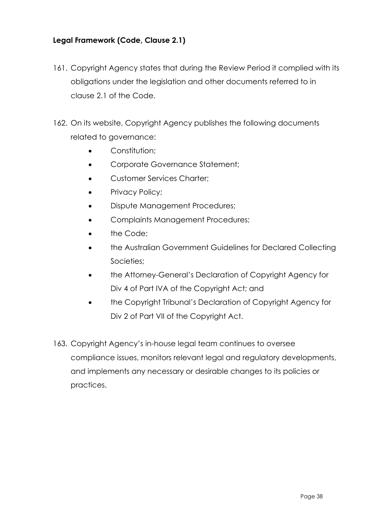# **Legal Framework (Code, Clause 2.1)**

- 161. Copyright Agency states that during the Review Period it complied with its obligations under the legislation and other documents referred to in clause 2.1 of the Code.
- 162. On its website, Copyright Agency publishes the following documents related to governance:
	- Constitution;
	- Corporate Governance Statement;
	- Customer Services Charter;
	- Privacy Policy;
	- Dispute Management Procedures;
	- Complaints Management Procedures;
	- the Code:
	- the Australian Government Guidelines for Declared Collecting Societies;
	- the Attorney-General's Declaration of Copyright Agency for Div 4 of Part IVA of the Copyright Act; and
	- the Copyright Tribunal's Declaration of Copyright Agency for Div 2 of Part VII of the Copyright Act.
- 163. Copyright Agency's in-house legal team continues to oversee compliance issues, monitors relevant legal and regulatory developments, and implements any necessary or desirable changes to its policies or practices.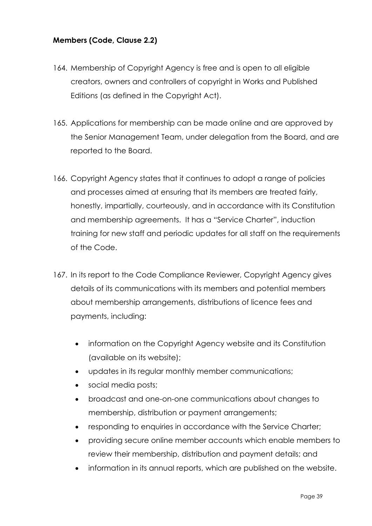# **Members (Code, Clause 2.2)**

- 164. Membership of Copyright Agency is free and is open to all eligible creators, owners and controllers of copyright in Works and Published Editions (as defined in the Copyright Act).
- 165. Applications for membership can be made online and are approved by the Senior Management Team, under delegation from the Board, and are reported to the Board.
- 166. Copyright Agency states that it continues to adopt a range of policies and processes aimed at ensuring that its members are treated fairly, honestly, impartially, courteously, and in accordance with its Constitution and membership agreements. It has a "Service Charter", induction training for new staff and periodic updates for all staff on the requirements of the Code.
- 167. In its report to the Code Compliance Reviewer, Copyright Agency gives details of its communications with its members and potential members about membership arrangements, distributions of licence fees and payments, including:
	- information on the Copyright Agency website and its Constitution (available on its website);
	- updates in its regular monthly member communications;
	- social media posts;
	- broadcast and one-on-one communications about changes to membership, distribution or payment arrangements;
	- responding to enquiries in accordance with the Service Charter;
	- providing secure online member accounts which enable members to review their membership, distribution and payment details; and
	- information in its annual reports, which are published on the website.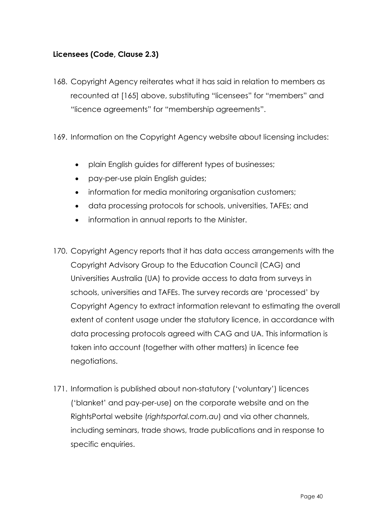# **Licensees (Code, Clause 2.3)**

- 168. Copyright Agency reiterates what it has said in relation to members as recounted at [165] above, substituting "licensees" for "members" and "licence agreements" for "membership agreements".
- 169. Information on the Copyright Agency website about licensing includes:
	- plain English guides for different types of businesses;
	- pay-per-use plain English guides;
	- information for media monitoring organisation customers;
	- data processing protocols for schools, universities, TAFEs; and
	- information in annual reports to the Minister.
- 170. Copyright Agency reports that it has data access arrangements with the Copyright Advisory Group to the Education Council (CAG) and Universities Australia (UA) to provide access to data from surveys in schools, universities and TAFEs. The survey records are 'processed' by Copyright Agency to extract information relevant to estimating the overall extent of content usage under the statutory licence, in accordance with data processing protocols agreed with CAG and UA. This information is taken into account (together with other matters) in licence fee negotiations.
- 171. Information is published about non-statutory ('voluntary') licences ('blanket' and pay-per-use) on the corporate website and on the RightsPortal website (*rightsportal.com.au*) and via other channels, including seminars, trade shows, trade publications and in response to specific enquiries.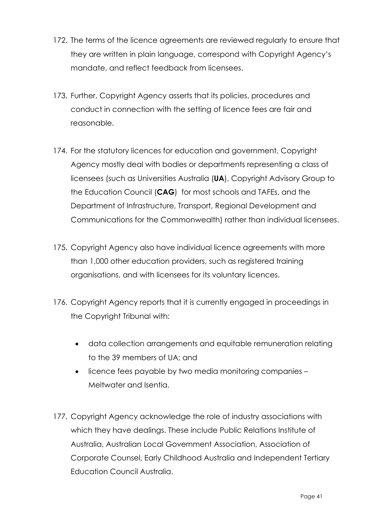- 172. The terms of the licence agreements are reviewed regularly to ensure that they are written in plain language, correspond with Copyright Agency's mandate, and reflect feedback from licensees.
- 173. Further, Copyright Agency asserts that its policies, procedures and conduct in connection with the setting of licence fees are fair and reasonable.
- 174. For the statutory licences for education and government, Copyright Agency mostly deal with bodies or departments representing a class of licensees (such as Universities Australia (**UA**), Copyright Advisory Group to the Education Council (**CAG**) for most schools and TAFEs, and the Department of Infrastructure, Transport, Regional Development and Communications for the Commonwealth) rather than individual licensees.
- 175. Copyright Agency also have individual licence agreements with more than 1,000 other education providers, such as registered training organisations, and with licensees for its voluntary licences.
- 176. Copyright Agency reports that it is currently engaged in proceedings in the Copyright Tribunal with:
	- data collection arrangements and equitable remuneration relating to the 39 members of UA; and
	- licence fees payable by two media monitoring companies Meltwater and Isentia.
- 177. Copyright Agency acknowledge the role of industry associations with which they have dealings. These include Public Relations Institute of Australia, Australian Local Government Association, Association of Corporate Counsel, Early Childhood Australia and Independent Tertiary Education Council Australia.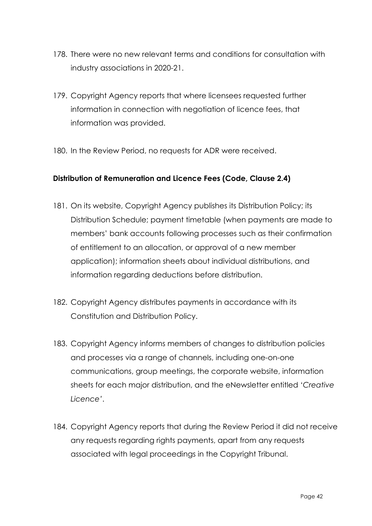- 178. There were no new relevant terms and conditions for consultation with industry associations in 2020-21.
- 179. Copyright Agency reports that where licensees requested further information in connection with negotiation of licence fees, that information was provided.
- 180. In the Review Period, no requests for ADR were received.

#### **Distribution of Remuneration and Licence Fees (Code, Clause 2.4)**

- 181. On its website, Copyright Agency publishes its Distribution Policy; its Distribution Schedule; payment timetable (when payments are made to members' bank accounts following processes such as their confirmation of entitlement to an allocation, or approval of a new member application); information sheets about individual distributions, and information regarding deductions before distribution.
- 182. Copyright Agency distributes payments in accordance with its Constitution and Distribution Policy.
- 183. Copyright Agency informs members of changes to distribution policies and processes via a range of channels, including one-on-one communications, group meetings, the corporate website, information sheets for each major distribution, and the eNewsletter entitled '*Creative Licence'*.
- 184. Copyright Agency reports that during the Review Period it did not receive any requests regarding rights payments, apart from any requests associated with legal proceedings in the Copyright Tribunal.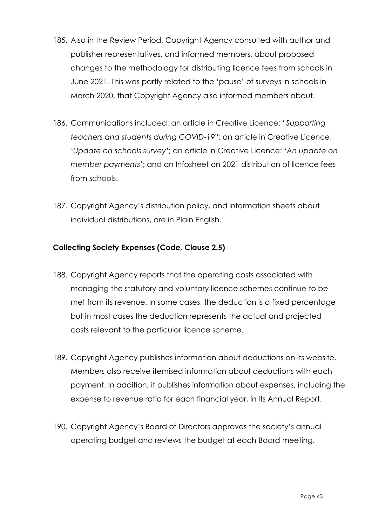- 185. Also in the Review Period, Copyright Agency consulted with author and publisher representatives, and informed members, about proposed changes to the methodology for distributing licence fees from schools in June 2021. This was partly related to the 'pause' of surveys in schools in March 2020, that Copyright Agency also informed members about.
- 186. Communications included: an article in Creative Licence: "*Supporting teachers and students during COVID-19*"; an article in Creative Licence: '*Update on schools survey'*; an article in Creative Licence: '*An update on member payments'*; and an Infosheet on 2021 distribution of licence fees from schools.
- 187. Copyright Agency's distribution policy, and information sheets about individual distributions, are in Plain English.

# **Collecting Society Expenses (Code, Clause 2.5)**

- 188. Copyright Agency reports that the operating costs associated with managing the statutory and voluntary licence schemes continue to be met from its revenue. In some cases, the deduction is a fixed percentage but in most cases the deduction represents the actual and projected costs relevant to the particular licence scheme.
- 189. Copyright Agency publishes information about deductions on its website. Members also receive itemised information about deductions with each payment. In addition, it publishes information about expenses, including the expense to revenue ratio for each financial year, in its Annual Report.
- 190. Copyright Agency's Board of Directors approves the society's annual operating budget and reviews the budget at each Board meeting.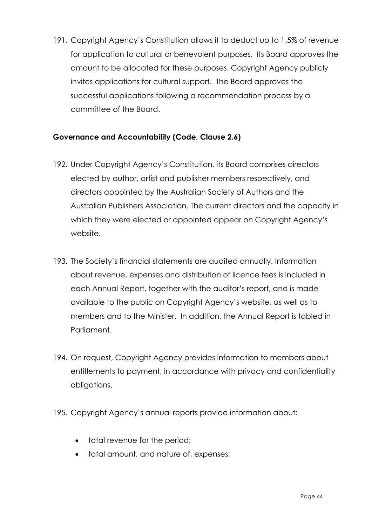191. Copyright Agency's Constitution allows it to deduct up to 1.5% of revenue for application to cultural or benevolent purposes. Its Board approves the amount to be allocated for these purposes. Copyright Agency publicly invites applications for cultural support. The Board approves the successful applications following a recommendation process by a committee of the Board.

# **Governance and Accountability (Code, Clause 2.6)**

- 192. Under Copyright Agency's Constitution, its Board comprises directors elected by author, artist and publisher members respectively, and directors appointed by the Australian Society of Authors and the Australian Publishers Association. The current directors and the capacity in which they were elected or appointed appear on Copyright Agency's website.
- 193. The Society's financial statements are audited annually. Information about revenue, expenses and distribution of licence fees is included in each Annual Report, together with the auditor's report, and is made available to the public on Copyright Agency's website, as well as to members and to the Minister. In addition, the Annual Report is tabled in Parliament.
- 194. On request, Copyright Agency provides information to members about entitlements to payment, in accordance with privacy and confidentiality obligations.
- 195. Copyright Agency's annual reports provide information about:
	- total revenue for the period;
	- total amount, and nature of, expenses;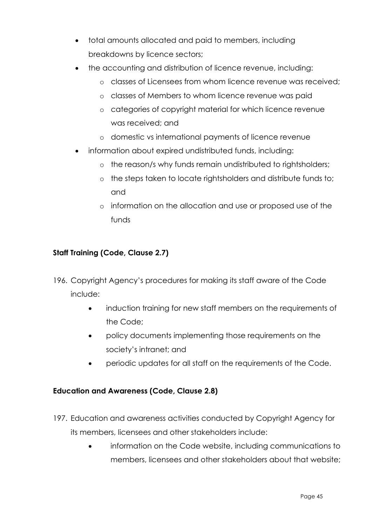- total amounts allocated and paid to members, including breakdowns by licence sectors;
- the accounting and distribution of licence revenue, including:
	- o classes of Licensees from whom licence revenue was received;
	- o classes of Members to whom licence revenue was paid
	- o categories of copyright material for which licence revenue was received; and
	- o domestic vs international payments of licence revenue
- information about expired undistributed funds, including:
	- o the reason/s why funds remain undistributed to rightsholders;
	- o the steps taken to locate rightsholders and distribute funds to; and
	- o information on the allocation and use or proposed use of the funds

# **Staff Training (Code, Clause 2.7)**

- 196. Copyright Agency's procedures for making its staff aware of the Code include:
	- induction training for new staff members on the requirements of the Code;
	- policy documents implementing those requirements on the society's intranet; and
	- periodic updates for all staff on the requirements of the Code.

#### **Education and Awareness (Code, Clause 2.8)**

- 197. Education and awareness activities conducted by Copyright Agency for its members, licensees and other stakeholders include:
	- information on the Code website, including communications to members, licensees and other stakeholders about that website;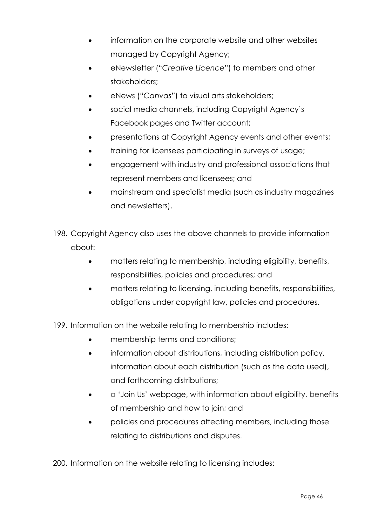- information on the corporate website and other websites managed by Copyright Agency;
- eNewsletter ("*Creative Licence*") to members and other stakeholders;
- eNews ("*Canvas*") to visual arts stakeholders;
- social media channels, including Copyright Agency's Facebook pages and Twitter account;
- presentations at Copyright Agency events and other events;
- training for licensees participating in surveys of usage;
- engagement with industry and professional associations that represent members and licensees; and
- mainstream and specialist media (such as industry magazines and newsletters).
- 198. Copyright Agency also uses the above channels to provide information about:
	- matters relating to membership, including eligibility, benefits, responsibilities, policies and procedures; and
	- matters relating to licensing, including benefits, responsibilities, obligations under copyright law, policies and procedures.
- 199. Information on the website relating to membership includes:
	- membership terms and conditions;
	- information about distributions, including distribution policy, information about each distribution (such as the data used), and forthcoming distributions;
	- a 'Join Us' webpage, with information about eligibility, benefits of membership and how to join; and
	- policies and procedures affecting members, including those relating to distributions and disputes.

200. Information on the website relating to licensing includes: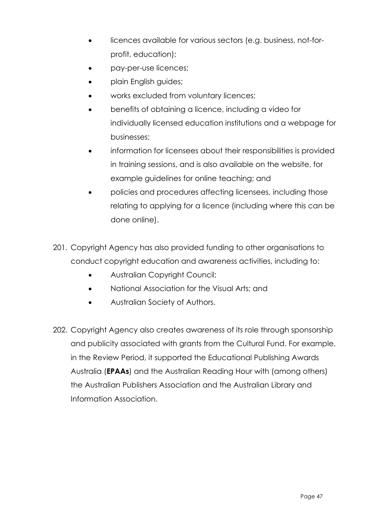- licences available for various sectors (e.g. business, not-forprofit, education);
- pay-per-use licences;
- plain English guides;
- works excluded from voluntary licences;
- benefits of obtaining a licence, including a video for individually licensed education institutions and a webpage for businesses;
- information for licensees about their responsibilities is provided in training sessions, and is also available on the website, for example guidelines for online teaching; and
- policies and procedures affecting licensees, including those relating to applying for a licence (including where this can be done online).
- 201. Copyright Agency has also provided funding to other organisations to conduct copyright education and awareness activities, including to:
	- Australian Copyright Council;
	- National Association for the Visual Arts; and
	- Australian Society of Authors.
- 202. Copyright Agency also creates awareness of its role through sponsorship and publicity associated with grants from the Cultural Fund. For example, in the Review Period, it supported the Educational Publishing Awards Australia (**EPAAs**) and the Australian Reading Hour with (among others) the Australian Publishers Association and the Australian Library and Information Association.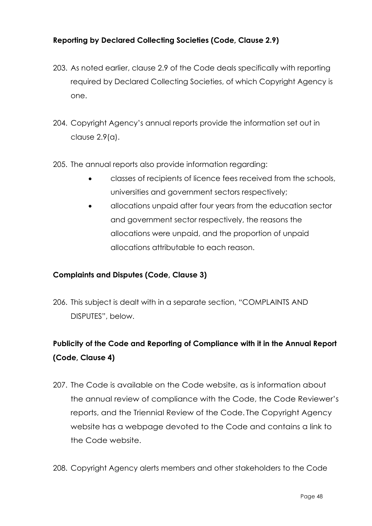# **Reporting by Declared Collecting Societies (Code, Clause 2.9)**

- 203. As noted earlier, clause 2.9 of the Code deals specifically with reporting required by Declared Collecting Societies, of which Copyright Agency is one.
- 204. Copyright Agency's annual reports provide the information set out in clause 2.9(a).
- 205. The annual reports also provide information regarding:
	- classes of recipients of licence fees received from the schools, universities and government sectors respectively;
	- allocations unpaid after four years from the education sector and government sector respectively, the reasons the allocations were unpaid, and the proportion of unpaid allocations attributable to each reason.

#### **Complaints and Disputes (Code, Clause 3)**

206. This subject is dealt with in a separate section, "COMPLAINTS AND DISPUTES", below.

# **Publicity of the Code and Reporting of Compliance with it in the Annual Report (Code, Clause 4)**

- 207. The Code is available on the Code website, as is information about the annual review of compliance with the Code, the Code Reviewer's reports, and the Triennial Review of the Code. The Copyright Agency website has a webpage devoted to the Code and contains a link to the Code website.
- 208. Copyright Agency alerts members and other stakeholders to the Code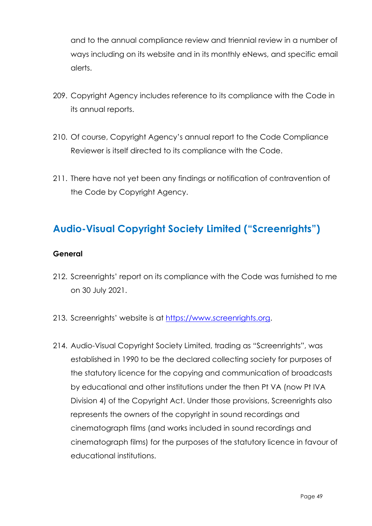and to the annual compliance review and triennial review in a number of ways including on its website and in its monthly eNews, and specific email alerts.

- 209. Copyright Agency includes reference to its compliance with the Code in its annual reports.
- 210. Of course, Copyright Agency's annual report to the Code Compliance Reviewer is itself directed to its compliance with the Code.
- 211. There have not yet been any findings or notification of contravention of the Code by Copyright Agency.

# **Audio-Visual Copyright Society Limited ("Screenrights")**

#### **General**

- 212. Screenrights' report on its compliance with the Code was furnished to me on 30 July 2021.
- 213. Screenrights' website is at https://www.screenrights.org.
- 214. Audio-Visual Copyright Society Limited, trading as "Screenrights", was established in 1990 to be the declared collecting society for purposes of the statutory licence for the copying and communication of broadcasts by educational and other institutions under the then Pt VA (now Pt IVA Division 4) of the Copyright Act. Under those provisions, Screenrights also represents the owners of the copyright in sound recordings and cinematograph films (and works included in sound recordings and cinematograph films) for the purposes of the statutory licence in favour of educational institutions.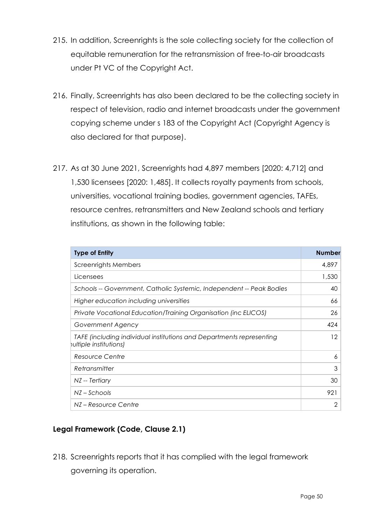- 215. In addition, Screenrights is the sole collecting society for the collection of equitable remuneration for the retransmission of free-to-air broadcasts under Pt VC of the Copyright Act.
- 216. Finally, Screenrights has also been declared to be the collecting society in respect of television, radio and internet broadcasts under the government copying scheme under s 183 of the Copyright Act (Copyright Agency is also declared for that purpose).
- 217. As at 30 June 2021, Screenrights had 4,897 members [2020: 4,712] and 1,530 licensees [2020: 1,485]. It collects royalty payments from schools, universities, vocational training bodies, government agencies, TAFEs, resource centres, retransmitters and New Zealand schools and tertiary institutions, as shown in the following table:

| <b>Type of Entity</b>                                                                         | <b>Number</b>  |
|-----------------------------------------------------------------------------------------------|----------------|
| <b>Screenrights Members</b>                                                                   | 4,897          |
| Licensees                                                                                     | 1,530          |
| Schools -- Government, Catholic Systemic, Independent -- Peak Bodies                          | 40             |
| Higher education including universities                                                       | 66             |
| Private Vocational Education/Training Organisation (inc ELICOS)                               | 26             |
| Government Agency                                                                             | 424            |
| TAFE (including individual institutions and Departments representing<br>ultiple institutions) | $12 \,$        |
| <b>Resource Centre</b>                                                                        | 6              |
| Retransmitter                                                                                 | 3              |
| NZ -- Tertiary                                                                                | 30             |
| $NZ - Schools$                                                                                | 921            |
| NZ-Resource Centre                                                                            | $\overline{2}$ |

# **Legal Framework (Code, Clause 2.1)**

218. Screenrights reports that it has complied with the legal framework governing its operation.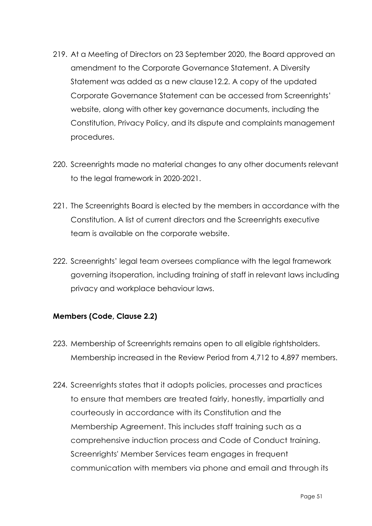- 219. At a Meeting of Directors on 23 September 2020, the Board approved an amendment to the Corporate Governance Statement. A Diversity Statement was added as a new clause12.2. A copy of the updated Corporate Governance Statement can be accessed from Screenrights' website, along with other key governance documents, including the Constitution, Privacy Policy, and its dispute and complaints management procedures.
- 220. Screenrights made no material changes to any other documents relevant to the legal framework in 2020-2021.
- 221. The Screenrights Board is elected by the members in accordance with the Constitution. A list of current directors and the Screenrights executive team is available on the corporate website.
- 222. Screenrights' legal team oversees compliance with the legal framework governing itsoperation, including training of staff in relevant laws including privacy and workplace behaviour laws.

# **Members (Code, Clause 2.2)**

- 223. Membership of Screenrights remains open to all eligible rightsholders. Membership increased in the Review Period from 4,712 to 4,897 members.
- 224. Screenrights states that it adopts policies, processes and practices to ensure that members are treated fairly, honestly, impartially and courteously in accordance with its Constitution and the Membership Agreement. This includes staff training such as a comprehensive induction process and Code of Conduct training. Screenrights' Member Services team engages in frequent communication with members via phone and email and through its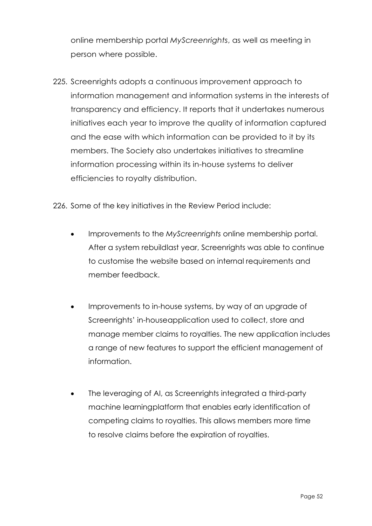online membership portal *MyScreenrights*, as well as meeting in person where possible.

- 225. Screenrights adopts a continuous improvement approach to information management and information systems in the interests of transparency and efficiency. It reports that it undertakes numerous initiatives each year to improve the quality of information captured and the ease with which information can be provided to it by its members. The Society also undertakes initiatives to streamline information processing within its in-house systems to deliver efficiencies to royalty distribution.
- 226. Some of the key initiatives in the Review Period include:
	- Improvements to the *MyScreenrights* online membership portal. After a system rebuildlast year, Screenrights was able to continue to customise the website based on internal requirements and member feedback.
	- Improvements to in-house systems, by way of an upgrade of Screenrights' in-houseapplication used to collect, store and manage member claims to royalties. The new application includes a range of new features to support the efficient management of information.
	- The leveraging of AI, as Screenrights integrated a third-party machine learningplatform that enables early identification of competing claims to royalties. This allows members more time to resolve claims before the expiration of royalties.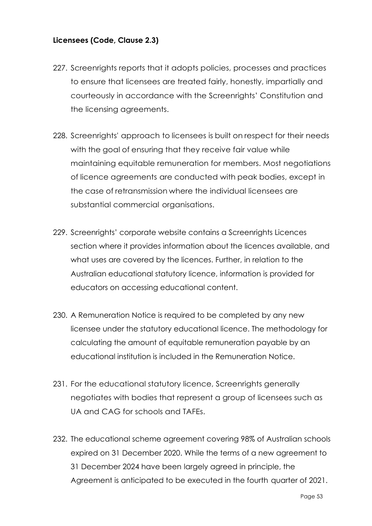## **Licensees (Code, Clause 2.3)**

- 227. Screenrights reports that it adopts policies, processes and practices to ensure that licensees are treated fairly, honestly, impartially and courteously in accordance with the Screenrights' Constitution and the licensing agreements.
- 228. Screenrights' approach to licensees is built on respect for their needs with the goal of ensuring that they receive fair value while maintaining equitable remuneration for members. Most negotiations of licence agreements are conducted with peak bodies, except in the case of retransmission where the individual licensees are substantial commercial organisations.
- 229. Screenrights' corporate website contains a Screenrights Licences section where it provides information about the licences available, and what uses are covered by the licences. Further, in relation to the Australian educational statutory licence, information is provided for educators on accessing educational content.
- 230. A Remuneration Notice is required to be completed by any new licensee under the statutory educational licence. The methodology for calculating the amount of equitable remuneration payable by an educational institution is included in the Remuneration Notice.
- 231. For the educational statutory licence, Screenrights generally negotiates with bodies that represent a group of licensees such as UA and CAG for schools and TAFEs.
- 232. The educational scheme agreement covering 98% of Australian schools expired on 31 December 2020. While the terms of a new agreement to 31 December 2024 have been largely agreed in principle, the Agreement is anticipated to be executed in the fourth quarter of 2021.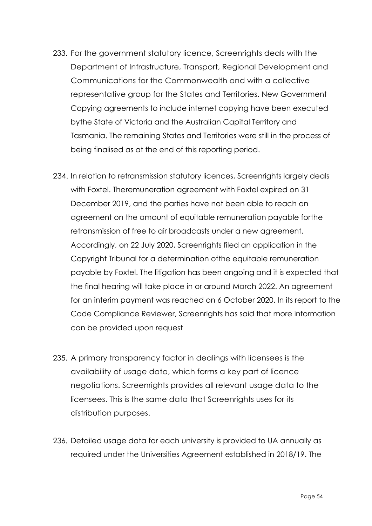- 233. For the government statutory licence, Screenrights deals with the Department of Infrastructure, Transport, Regional Development and Communications for the Commonwealth and with a collective representative group for the States and Territories. New Government Copying agreements to include internet copying have been executed bythe State of Victoria and the Australian Capital Territory and Tasmania. The remaining States and Territories were still in the process of being finalised as at the end of this reporting period.
- 234. In relation to retransmission statutory licences, Screenrights largely deals with Foxtel. Theremuneration agreement with Foxtel expired on 31 December 2019, and the parties have not been able to reach an agreement on the amount of equitable remuneration payable forthe retransmission of free to air broadcasts under a new agreement. Accordingly, on 22 July 2020, Screenrights filed an application in the Copyright Tribunal for a determination ofthe equitable remuneration payable by Foxtel. The litigation has been ongoing and it is expected that the final hearing will take place in or around March 2022. An agreement for an interim payment was reached on 6 October 2020. In its report to the Code Compliance Reviewer, Screenrights has said that more information can be provided upon request
- 235. A primary transparency factor in dealings with licensees is the availability of usage data, which forms a key part of licence negotiations. Screenrights provides all relevant usage data to the licensees. This is the same data that Screenrights uses for its distribution purposes.
- 236. Detailed usage data for each university is provided to UA annually as required under the Universities Agreement established in 2018/19. The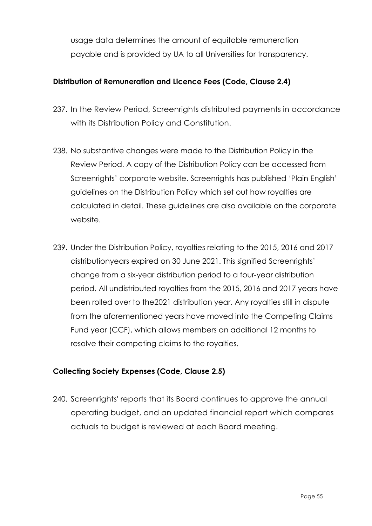usage data determines the amount of equitable remuneration payable and is provided by UA to all Universities for transparency.

## **Distribution of Remuneration and Licence Fees (Code, Clause 2.4)**

- 237. In the Review Period, Screenrights distributed payments in accordance with its Distribution Policy and Constitution.
- 238. No substantive changes were made to the Distribution Policy in the Review Period. A copy of the Distribution Policy can be accessed from Screenrights' corporate website. Screenrights has published 'Plain English' guidelines on the Distribution Policy which set out how royalties are calculated in detail. These guidelines are also available on the corporate website.
- 239. Under the Distribution Policy, royalties relating to the 2015, 2016 and 2017 distributionyears expired on 30 June 2021. This signified Screenrights' change from a six-year distribution period to a four-year distribution period. All undistributed royalties from the 2015, 2016 and 2017 years have been rolled over to the2021 distribution year. Any royalties still in dispute from the aforementioned years have moved into the Competing Claims Fund year (CCF), which allows members an additional 12 months to resolve their competing claims to the royalties.

# **Collecting Society Expenses (Code, Clause 2.5)**

240. Screenrights' reports that its Board continues to approve the annual operating budget, and an updated financial report which compares actuals to budget is reviewed at each Board meeting.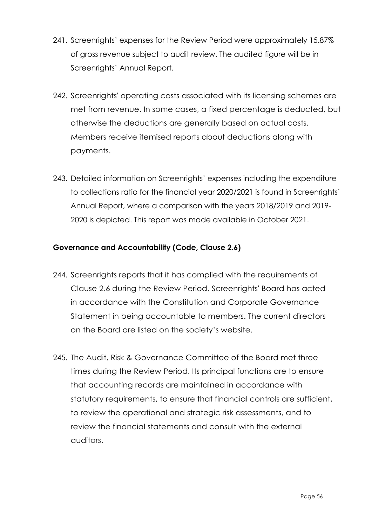- 241. Screenrights' expenses for the Review Period were approximately 15.87% of gross revenue subject to audit review. The audited figure will be in Screenrights' Annual Report.
- 242. Screenrights' operating costs associated with its licensing schemes are met from revenue. In some cases, a fixed percentage is deducted, but otherwise the deductions are generally based on actual costs. Members receive itemised reports about deductions along with payments.
- 243. Detailed information on Screenrights' expenses including the expenditure to collections ratio for the financial year 2020/2021 is found in Screenrights' Annual Report, where a comparison with the years 2018/2019 and 2019- 2020 is depicted. This report was made available in October 2021.

# **Governance and Accountability (Code, Clause 2.6)**

- 244. Screenrights reports that it has complied with the requirements of Clause 2.6 during the Review Period. Screenrights' Board has acted in accordance with the Constitution and Corporate Governance Statement in being accountable to members. The current directors on the Board are listed on the society's website.
- 245. The Audit, Risk & Governance Committee of the Board met three times during the Review Period. Its principal functions are to ensure that accounting records are maintained in accordance with statutory requirements, to ensure that financial controls are sufficient, to review the operational and strategic risk assessments, and to review the financial statements and consult with the external auditors.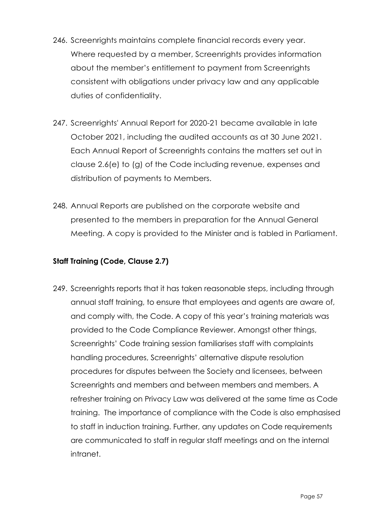- 246. Screenrights maintains complete financial records every year. Where requested by a member, Screenrights provides information about the member's entitlement to payment from Screenrights consistent with obligations under privacy law and any applicable duties of confidentiality.
- 247. Screenrights' Annual Report for 2020-21 became available in late October 2021, including the audited accounts as at 30 June 2021. Each Annual Report of Screenrights contains the matters set out in clause 2.6(e) to (g) of the Code including revenue, expenses and distribution of payments to Members.
- 248. Annual Reports are published on the corporate website and presented to the members in preparation for the Annual General Meeting. A copy is provided to the Minister and is tabled in Parliament.

# **Staff Training (Code, Clause 2.7)**

249. Screenrights reports that it has taken reasonable steps, including through annual staff training, to ensure that employees and agents are aware of, and comply with, the Code. A copy of this year's training materials was provided to the Code Compliance Reviewer. Amongst other things, Screenrights' Code training session familiarises staff with complaints handling procedures, Screenrights' alternative dispute resolution procedures for disputes between the Society and licensees, between Screenrights and members and between members and members. A refresher training on Privacy Law was delivered at the same time as Code training. The importance of compliance with the Code is also emphasised to staff in induction training. Further, any updates on Code requirements are communicated to staff in regular staff meetings and on the internal intranet.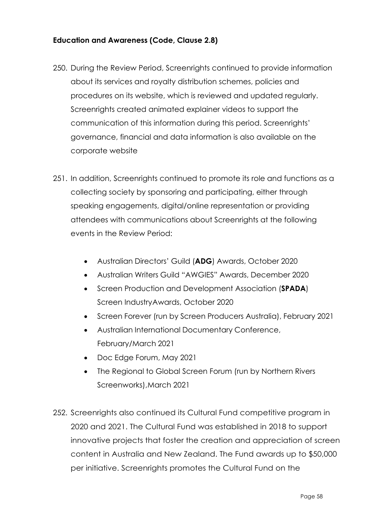## **Education and Awareness (Code, Clause 2.8)**

- 250. During the Review Period, Screenrights continued to provide information about its services and royalty distribution schemes, policies and procedures on its website, which is reviewed and updated regularly. Screenrights created animated explainer videos to support the communication of this information during this period. Screenrights' governance, financial and data information is also available on the corporate website
- 251. In addition, Screenrights continued to promote its role and functions as a collecting society by sponsoring and participating, either through speaking engagements, digital/online representation or providing attendees with communications about Screenrights at the following events in the Review Period:
	- Australian Directors' Guild (**ADG**) Awards, October 2020
	- Australian Writers Guild "AWGIES" Awards, December 2020
	- Screen Production and Development Association (**SPADA**) Screen IndustryAwards, October 2020
	- Screen Forever (run by Screen Producers Australia), February 2021
	- Australian International Documentary Conference, February/March 2021
	- Doc Edge Forum, May 2021
	- The Regional to Global Screen Forum (run by Northern Rivers Screenworks),March 2021
- 252. Screenrights also continued its Cultural Fund competitive program in 2020 and 2021. The Cultural Fund was established in 2018 to support innovative projects that foster the creation and appreciation of screen content in Australia and New Zealand. The Fund awards up to \$50,000 per initiative. Screenrights promotes the Cultural Fund on the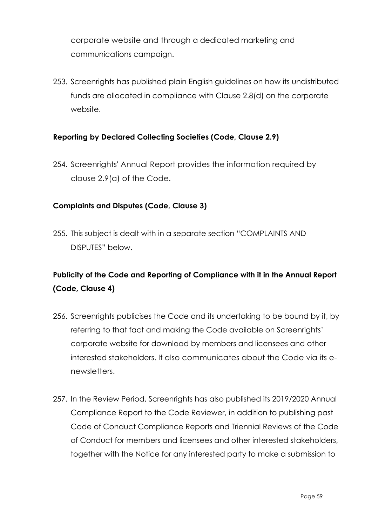corporate website and through a dedicated marketing and communications campaign.

253. Screenrights has published plain English guidelines on how its undistributed funds are allocated in compliance with Clause 2.8(d) on the corporate website.

#### **Reporting by Declared Collecting Societies (Code, Clause 2.9)**

254. Screenrights' Annual Report provides the information required by clause 2.9(a) of the Code.

#### **Complaints and Disputes (Code, Clause 3)**

255. This subject is dealt with in a separate section "COMPLAINTS AND DISPUTES" below.

# **Publicity of the Code and Reporting of Compliance with it in the Annual Report (Code, Clause 4)**

- 256. Screenrights publicises the Code and its undertaking to be bound by it, by referring to that fact and making the Code available on Screenrights' corporate website for download by members and licensees and other interested stakeholders. It also communicates about the Code via its enewsletters.
- 257. In the Review Period, Screenrights has also published its 2019/2020 Annual Compliance Report to the Code Reviewer, in addition to publishing past Code of Conduct Compliance Reports and Triennial Reviews of the Code of Conduct for members and licensees and other interested stakeholders, together with the Notice for any interested party to make a submission to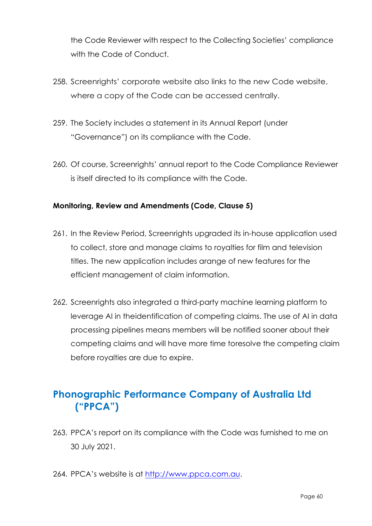the Code Reviewer with respect to the Collecting Societies' compliance with the Code of Conduct.

- 258. Screenrights' corporate website also links to the new Code website, where a copy of the Code can be accessed centrally.
- 259. The Society includes a statement in its Annual Report (under "Governance") on its compliance with the Code.
- 260. Of course, Screenrights' annual report to the Code Compliance Reviewer is itself directed to its compliance with the Code.

#### **Monitoring, Review and Amendments (Code, Clause 5)**

- 261. In the Review Period, Screenrights upgraded its in-house application used to collect, store and manage claims to royalties for film and television titles. The new application includes arange of new features for the efficient management of claim information.
- 262. Screenrights also integrated a third-party machine learning platform to leverage AI in theidentification of competing claims. The use of AI in data processing pipelines means members will be notified sooner about their competing claims and will have more time toresolve the competing claim before royalties are due to expire.

# **Phonographic Performance Company of Australia Ltd ("PPCA")**

- 263. PPCA's report on its compliance with the Code was furnished to me on 30 July 2021.
- 264. PPCA's website is at http://www.ppca.com.au.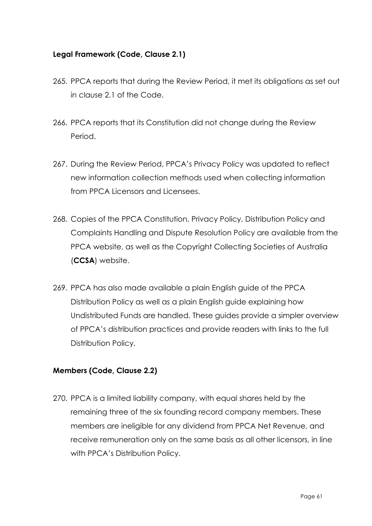# **Legal Framework (Code, Clause 2.1)**

- 265. PPCA reports that during the Review Period, it met its obligations as set out in clause 2.1 of the Code.
- 266. PPCA reports that its Constitution did not change during the Review Period.
- 267. During the Review Period, PPCA's Privacy Policy was updated to reflect new information collection methods used when collecting information from PPCA Licensors and Licensees.
- 268. Copies of the PPCA Constitution, Privacy Policy, Distribution Policy and Complaints Handling and Dispute Resolution Policy are available from the PPCA website, as well as the Copyright Collecting Societies of Australia (**CCSA**) website.
- 269. PPCA has also made available a plain English guide of the PPCA Distribution Policy as well as a plain English guide explaining how Undistributed Funds are handled. These guides provide a simpler overview of PPCA's distribution practices and provide readers with links to the full Distribution Policy.

#### **Members (Code, Clause 2.2)**

270. PPCA is a limited liability company, with equal shares held by the remaining three of the six founding record company members. These members are ineligible for any dividend from PPCA Net Revenue, and receive remuneration only on the same basis as all other licensors, in line with PPCA's Distribution Policy.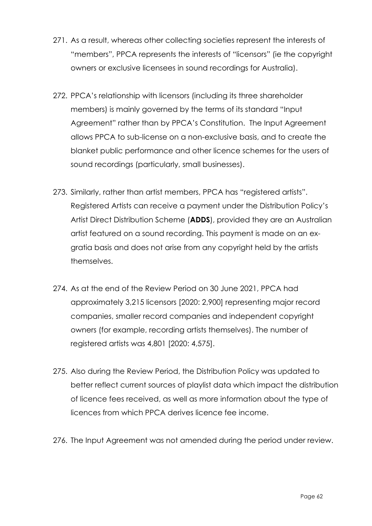- 271. As a result, whereas other collecting societies represent the interests of "members", PPCA represents the interests of "licensors" (ie the copyright owners or exclusive licensees in sound recordings for Australia).
- 272. PPCA's relationship with licensors (including its three shareholder members) is mainly governed by the terms of its standard "Input Agreement" rather than by PPCA's Constitution. The Input Agreement allows PPCA to sub-license on a non-exclusive basis, and to create the blanket public performance and other licence schemes for the users of sound recordings (particularly, small businesses).
- 273. Similarly, rather than artist members, PPCA has "registered artists". Registered Artists can receive a payment under the Distribution Policy's Artist Direct Distribution Scheme (**ADDS**), provided they are an Australian artist featured on a sound recording. This payment is made on an exgratia basis and does not arise from any copyright held by the artists themselves.
- 274. As at the end of the Review Period on 30 June 2021, PPCA had approximately 3,215 licensors [2020: 2,900] representing major record companies, smaller record companies and independent copyright owners (for example, recording artists themselves). The number of registered artists was 4,801 [2020: 4,575].
- 275. Also during the Review Period, the Distribution Policy was updated to better reflect current sources of playlist data which impact the distribution of licence fees received, as well as more information about the type of licences from which PPCA derives licence fee income.
- 276. The Input Agreement was not amended during the period under review.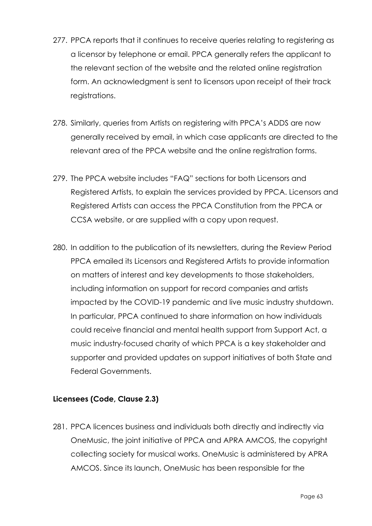- 277. PPCA reports that it continues to receive queries relating to registering as a licensor by telephone or email. PPCA generally refers the applicant to the relevant section of the website and the related online registration form. An acknowledgment is sent to licensors upon receipt of their track registrations.
- 278. Similarly, queries from Artists on registering with PPCA's ADDS are now generally received by email, in which case applicants are directed to the relevant area of the PPCA website and the online registration forms.
- 279. The PPCA website includes "FAQ" sections for both Licensors and Registered Artists, to explain the services provided by PPCA. Licensors and Registered Artists can access the PPCA Constitution from the PPCA or CCSA website, or are supplied with a copy upon request.
- 280. In addition to the publication of its newsletters, during the Review Period PPCA emailed its Licensors and Registered Artists to provide information on matters of interest and key developments to those stakeholders, including information on support for record companies and artists impacted by the COVID-19 pandemic and live music industry shutdown. In particular, PPCA continued to share information on how individuals could receive financial and mental health support from Support Act, a music industry-focused charity of which PPCA is a key stakeholder and supporter and provided updates on support initiatives of both State and Federal Governments.

#### **Licensees (Code, Clause 2.3)**

281. PPCA licences business and individuals both directly and indirectly via OneMusic, the joint initiative of PPCA and APRA AMCOS, the copyright collecting society for musical works. OneMusic is administered by APRA AMCOS. Since its launch, OneMusic has been responsible for the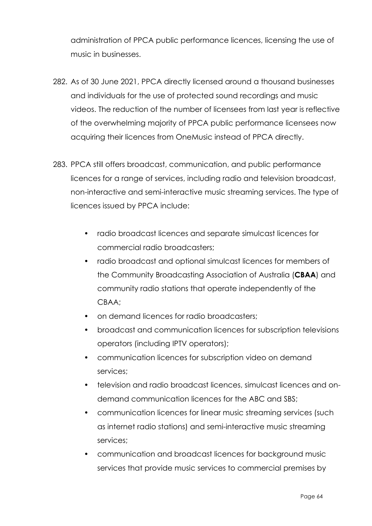administration of PPCA public performance licences, licensing the use of music in businesses.

- 282. As of 30 June 2021, PPCA directly licensed around a thousand businesses and individuals for the use of protected sound recordings and music videos. The reduction of the number of licensees from last year is reflective of the overwhelming majority of PPCA public performance licensees now acquiring their licences from OneMusic instead of PPCA directly.
- 283. PPCA still offers broadcast, communication, and public performance licences for a range of services, including radio and television broadcast, non-interactive and semi-interactive music streaming services. The type of licences issued by PPCA include:
	- radio broadcast licences and separate simulcast licences for commercial radio broadcasters;
	- radio broadcast and optional simulcast licences for members of the Community Broadcasting Association of Australia (**CBAA**) and community radio stations that operate independently of the CBAA;
	- on demand licences for radio broadcasters;
	- broadcast and communication licences for subscription televisions operators (including IPTV operators);
	- communication licences for subscription video on demand services;
	- television and radio broadcast licences, simulcast licences and ondemand communication licences for the ABC and SBS;
	- communication licences for linear music streaming services (such as internet radio stations) and semi-interactive music streaming services;
	- communication and broadcast licences for background music services that provide music services to commercial premises by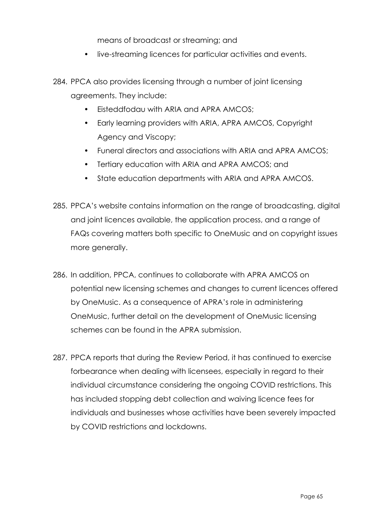means of broadcast or streaming; and

- live-streaming licences for particular activities and events.
- 284. PPCA also provides licensing through a number of joint licensing agreements. They include:
	- Eisteddfodau with ARIA and APRA AMCOS;
	- Early learning providers with ARIA, APRA AMCOS, Copyright Agency and Viscopy;
	- Funeral directors and associations with ARIA and APRA AMCOS;
	- Tertiary education with ARIA and APRA AMCOS; and
	- State education departments with ARIA and APRA AMCOS.
- 285. PPCA's website contains information on the range of broadcasting, digital and joint licences available, the application process, and a range of FAQs covering matters both specific to OneMusic and on copyright issues more generally.
- 286. In addition, PPCA, continues to collaborate with APRA AMCOS on potential new licensing schemes and changes to current licences offered by OneMusic. As a consequence of APRA's role in administering OneMusic, further detail on the development of OneMusic licensing schemes can be found in the APRA submission.
- 287. PPCA reports that during the Review Period, it has continued to exercise forbearance when dealing with licensees, especially in regard to their individual circumstance considering the ongoing COVID restrictions. This has included stopping debt collection and waiving licence fees for individuals and businesses whose activities have been severely impacted by COVID restrictions and lockdowns.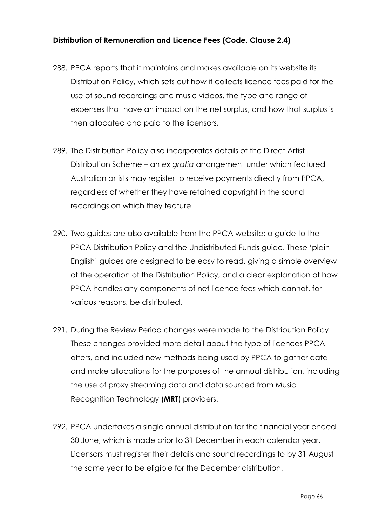# **Distribution of Remuneration and Licence Fees (Code, Clause 2.4)**

- 288. PPCA reports that it maintains and makes available on its website its Distribution Policy, which sets out how it collects licence fees paid for the use of sound recordings and music videos, the type and range of expenses that have an impact on the net surplus, and how that surplus is then allocated and paid to the licensors.
- 289. The Distribution Policy also incorporates details of the Direct Artist Distribution Scheme – an *ex gratia* arrangement under which featured Australian artists may register to receive payments directly from PPCA, regardless of whether they have retained copyright in the sound recordings on which they feature.
- 290. Two guides are also available from the PPCA website: a guide to the PPCA Distribution Policy and the Undistributed Funds guide. These 'plain-English' guides are designed to be easy to read, giving a simple overview of the operation of the Distribution Policy, and a clear explanation of how PPCA handles any components of net licence fees which cannot, for various reasons, be distributed.
- 291. During the Review Period changes were made to the Distribution Policy. These changes provided more detail about the type of licences PPCA offers, and included new methods being used by PPCA to gather data and make allocations for the purposes of the annual distribution, including the use of proxy streaming data and data sourced from Music Recognition Technology (**MRT**) providers.
- 292. PPCA undertakes a single annual distribution for the financial year ended 30 June, which is made prior to 31 December in each calendar year. Licensors must register their details and sound recordings to by 31 August the same year to be eligible for the December distribution.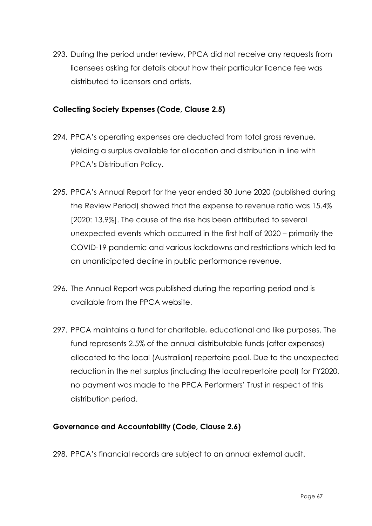293. During the period under review, PPCA did not receive any requests from licensees asking for details about how their particular licence fee was distributed to licensors and artists.

## **Collecting Society Expenses (Code, Clause 2.5)**

- 294. PPCA's operating expenses are deducted from total gross revenue, yielding a surplus available for allocation and distribution in line with PPCA's Distribution Policy.
- 295. PPCA's Annual Report for the year ended 30 June 2020 (published during the Review Period) showed that the expense to revenue ratio was 15.4% [2020: 13.9%]. The cause of the rise has been attributed to several unexpected events which occurred in the first half of 2020 – primarily the COVID-19 pandemic and various lockdowns and restrictions which led to an unanticipated decline in public performance revenue.
- 296. The Annual Report was published during the reporting period and is available from the PPCA website.
- 297. PPCA maintains a fund for charitable, educational and like purposes. The fund represents 2.5% of the annual distributable funds (after expenses) allocated to the local (Australian) repertoire pool. Due to the unexpected reduction in the net surplus (including the local repertoire pool) for FY2020, no payment was made to the PPCA Performers' Trust in respect of this distribution period.

#### **Governance and Accountability (Code, Clause 2.6)**

298. PPCA's financial records are subject to an annual external audit.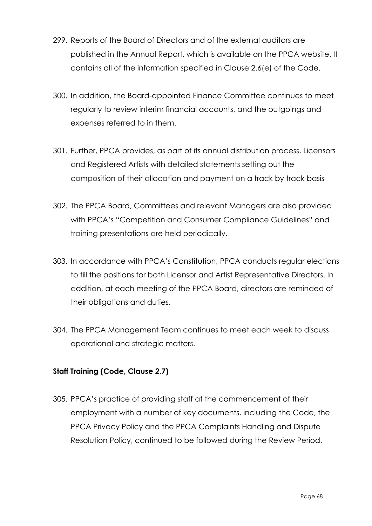- 299. Reports of the Board of Directors and of the external auditors are published in the Annual Report, which is available on the PPCA website. It contains all of the information specified in Clause 2.6(e) of the Code.
- 300. In addition, the Board-appointed Finance Committee continues to meet regularly to review interim financial accounts, and the outgoings and expenses referred to in them.
- 301. Further, PPCA provides, as part of its annual distribution process, Licensors and Registered Artists with detailed statements setting out the composition of their allocation and payment on a track by track basis
- 302. The PPCA Board, Committees and relevant Managers are also provided with PPCA's "Competition and Consumer Compliance Guidelines" and training presentations are held periodically.
- 303. In accordance with PPCA's Constitution, PPCA conducts regular elections to fill the positions for both Licensor and Artist Representative Directors. In addition, at each meeting of the PPCA Board, directors are reminded of their obligations and duties.
- 304. The PPCA Management Team continues to meet each week to discuss operational and strategic matters.

#### **Staff Training (Code, Clause 2.7)**

305. PPCA's practice of providing staff at the commencement of their employment with a number of key documents, including the Code, the PPCA Privacy Policy and the PPCA Complaints Handling and Dispute Resolution Policy, continued to be followed during the Review Period.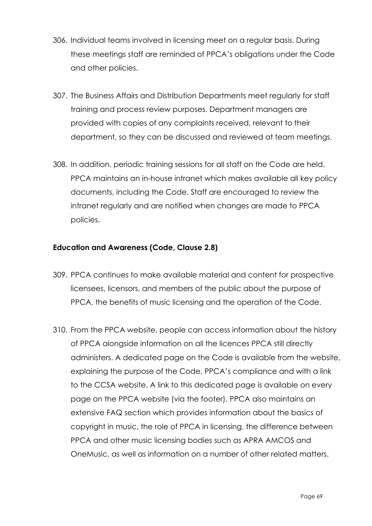- 306. Individual teams involved in licensing meet on a regular basis. During these meetings staff are reminded of PPCA's obligations under the Code and other policies.
- 307. The Business Affairs and Distribution Departments meet regularly for staff training and process review purposes. Department managers are provided with copies of any complaints received, relevant to their department, so they can be discussed and reviewed at team meetings.
- 308. In addition, periodic training sessions for all staff on the Code are held. PPCA maintains an in-house intranet which makes available all key policy documents, including the Code. Staff are encouraged to review the intranet regularly and are notified when changes are made to PPCA policies.

#### **Education and Awareness (Code, Clause 2.8)**

- 309. PPCA continues to make available material and content for prospective licensees, licensors, and members of the public about the purpose of PPCA, the benefits of music licensing and the operation of the Code.
- 310. From the PPCA website, people can access information about the history of PPCA alongside information on all the licences PPCA still directly administers. A dedicated page on the Code is available from the website, explaining the purpose of the Code, PPCA's compliance and with a link to the CCSA website. A link to this dedicated page is available on every page on the PPCA website (via the footer). PPCA also maintains an extensive FAQ section which provides information about the basics of copyright in music, the role of PPCA in licensing, the difference between PPCA and other music licensing bodies such as APRA AMCOS and OneMusic, as well as information on a number of other related matters.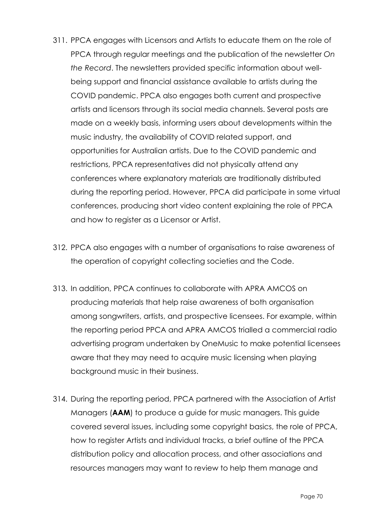- 311. PPCA engages with Licensors and Artists to educate them on the role of PPCA through regular meetings and the publication of the newsletter *On the Record*. The newsletters provided specific information about wellbeing support and financial assistance available to artists during the COVID pandemic. PPCA also engages both current and prospective artists and licensors through its social media channels. Several posts are made on a weekly basis, informing users about developments within the music industry, the availability of COVID related support, and opportunities for Australian artists. Due to the COVID pandemic and restrictions, PPCA representatives did not physically attend any conferences where explanatory materials are traditionally distributed during the reporting period. However, PPCA did participate in some virtual conferences, producing short video content explaining the role of PPCA and how to register as a Licensor or Artist.
- 312. PPCA also engages with a number of organisations to raise awareness of the operation of copyright collecting societies and the Code.
- 313. In addition, PPCA continues to collaborate with APRA AMCOS on producing materials that help raise awareness of both organisation among songwriters, artists, and prospective licensees. For example, within the reporting period PPCA and APRA AMCOS trialled a commercial radio advertising program undertaken by OneMusic to make potential licensees aware that they may need to acquire music licensing when playing background music in their business.
- 314. During the reporting period, PPCA partnered with the Association of Artist Managers (**AAM**) to produce a guide for music managers. This guide covered several issues, including some copyright basics, the role of PPCA, how to register Artists and individual tracks, a brief outline of the PPCA distribution policy and allocation process, and other associations and resources managers may want to review to help them manage and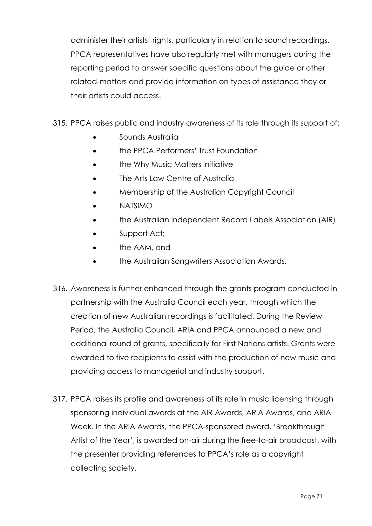administer their artists' rights, particularly in relation to sound recordings. PPCA representatives have also regularly met with managers during the reporting period to answer specific questions about the guide or other related-matters and provide information on types of assistance they or their artists could access.

- 315. PPCA raises public and industry awareness of its role through its support of:
	- Sounds Australia
	- the PPCA Performers' Trust Foundation
	- the Why Music Matters initiative
	- The Arts Law Centre of Australia
	- Membership of the Australian Copyright Council
	- NATSIMO
	- the Australian Independent Record Labels Association (AIR)
	- Support Act;
	- the AAM, and
	- the Australian Songwriters Association Awards.
- 316. Awareness is further enhanced through the grants program conducted in partnership with the Australia Council each year, through which the creation of new Australian recordings is facilitated. During the Review Period, the Australia Council, ARIA and PPCA announced a new and additional round of grants, specifically for First Nations artists. Grants were awarded to five recipients to assist with the production of new music and providing access to managerial and industry support.
- 317. PPCA raises its profile and awareness of its role in music licensing through sponsoring individual awards at the AIR Awards, ARIA Awards, and ARIA Week. In the ARIA Awards, the PPCA-sponsored award, 'Breakthrough Artist of the Year', is awarded on-air during the free-to-air broadcast, with the presenter providing references to PPCA's role as a copyright collecting society.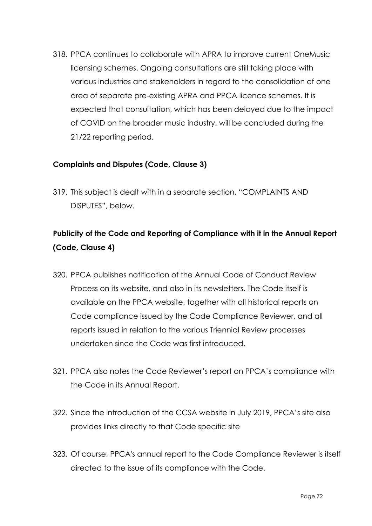318. PPCA continues to collaborate with APRA to improve current OneMusic licensing schemes. Ongoing consultations are still taking place with various industries and stakeholders in regard to the consolidation of one area of separate pre-existing APRA and PPCA licence schemes. It is expected that consultation, which has been delayed due to the impact of COVID on the broader music industry, will be concluded during the 21/22 reporting period.

#### **Complaints and Disputes (Code, Clause 3)**

319. This subject is dealt with in a separate section, "COMPLAINTS AND DISPUTES", below.

# **Publicity of the Code and Reporting of Compliance with it in the Annual Report (Code, Clause 4)**

- 320. PPCA publishes notification of the Annual Code of Conduct Review Process on its website, and also in its newsletters. The Code itself is available on the PPCA website, together with all historical reports on Code compliance issued by the Code Compliance Reviewer, and all reports issued in relation to the various Triennial Review processes undertaken since the Code was first introduced.
- 321. PPCA also notes the Code Reviewer's report on PPCA's compliance with the Code in its Annual Report.
- 322. Since the introduction of the CCSA website in July 2019, PPCA's site also provides links directly to that Code specific site
- 323. Of course, PPCA's annual report to the Code Compliance Reviewer is itself directed to the issue of its compliance with the Code.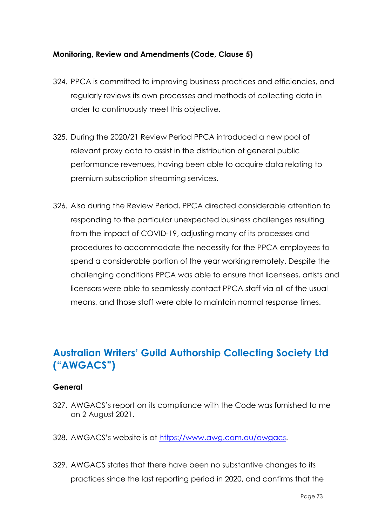## **Monitoring, Review and Amendments (Code, Clause 5)**

- 324. PPCA is committed to improving business practices and efficiencies, and regularly reviews its own processes and methods of collecting data in order to continuously meet this objective.
- 325. During the 2020/21 Review Period PPCA introduced a new pool of relevant proxy data to assist in the distribution of general public performance revenues, having been able to acquire data relating to premium subscription streaming services.
- 326. Also during the Review Period, PPCA directed considerable attention to responding to the particular unexpected business challenges resulting from the impact of COVID-19, adjusting many of its processes and procedures to accommodate the necessity for the PPCA employees to spend a considerable portion of the year working remotely. Despite the challenging conditions PPCA was able to ensure that licensees, artists and licensors were able to seamlessly contact PPCA staff via all of the usual means, and those staff were able to maintain normal response times.

# **Australian Writers' Guild Authorship Collecting Society Ltd ("AWGACS")**

## **General**

- 327. AWGACS's report on its compliance with the Code was furnished to me on 2 August 2021.
- 328. AWGACS's website is at https://www.awg.com.au/awgacs.
- 329. AWGACS states that there have been no substantive changes to its practices since the last reporting period in 2020, and confirms that the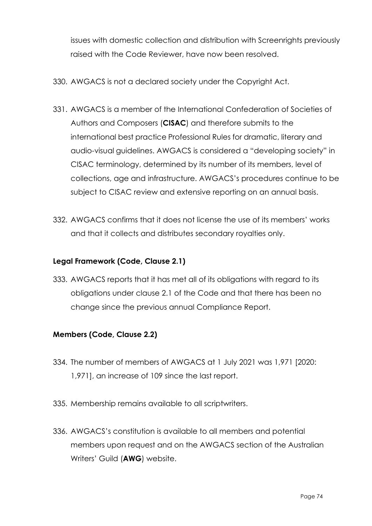issues with domestic collection and distribution with Screenrights previously raised with the Code Reviewer, have now been resolved.

330. AWGACS is not a declared society under the Copyright Act.

- 331. AWGACS is a member of the International Confederation of Societies of Authors and Composers (**CISAC**) and therefore submits to the international best practice Professional Rules for dramatic, literary and audio-visual guidelines. AWGACS is considered a "developing society" in CISAC terminology, determined by its number of its members, level of collections, age and infrastructure. AWGACS's procedures continue to be subject to CISAC review and extensive reporting on an annual basis.
- 332. AWGACS confirms that it does not license the use of its members' works and that it collects and distributes secondary royalties only.

## **Legal Framework (Code, Clause 2.1)**

333. AWGACS reports that it has met all of its obligations with regard to its obligations under clause 2.1 of the Code and that there has been no change since the previous annual Compliance Report.

# **Members (Code, Clause 2.2)**

- 334. The number of members of AWGACS at 1 July 2021 was 1,971 [2020: 1,971], an increase of 109 since the last report.
- 335. Membership remains available to all scriptwriters.
- 336. AWGACS's constitution is available to all members and potential members upon request and on the AWGACS section of the Australian Writers' Guild (**AWG**) website.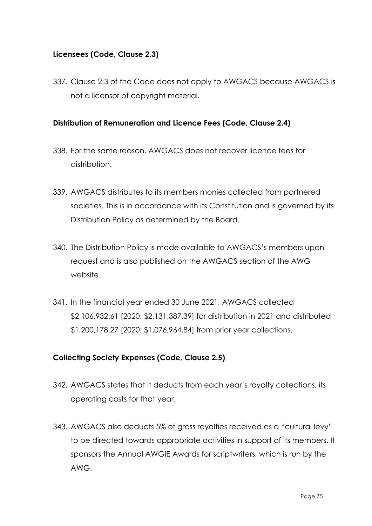# **Licensees (Code, Clause 2.3)**

337. Clause 2.3 of the Code does not apply to AWGACS because AWGACS is not a licensor of copyright material.

## **Distribution of Remuneration and Licence Fees (Code, Clause 2.4)**

- 338. For the same reason, AWGACS does not recover licence fees for distribution.
- 339. AWGACS distributes to its members monies collected from partnered societies. This is in accordance with its Constitution and is governed by its Distribution Policy as determined by the Board.
- 340. The Distribution Policy is made available to AWGACS's members upon request and is also published on the AWGACS section of the AWG website.
- 341. In the financial year ended 30 June 2021, AWGACS collected \$2,106,932.61 [2020: \$2,131,387.39] for distribution in 2021 and distributed \$1,200,178.27 [2020: \$1,076,964.84] from prior year collections.

## **Collecting Society Expenses (Code, Clause 2.5)**

- 342. AWGACS states that it deducts from each year's royalty collections, its operating costs for that year.
- 343. AWGACS also deducts 5% of gross royalties received as a "cultural levy" to be directed towards appropriate activities in support of its members. It sponsors the Annual AWGIE Awards for scriptwriters, which is run by the AWG.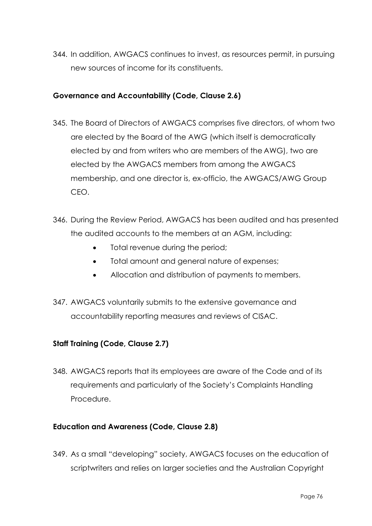344. In addition, AWGACS continues to invest, as resources permit, in pursuing new sources of income for its constituents.

#### **Governance and Accountability (Code, Clause 2.6)**

- 345. The Board of Directors of AWGACS comprises five directors, of whom two are elected by the Board of the AWG (which itself is democratically elected by and from writers who are members of the AWG), two are elected by the AWGACS members from among the AWGACS membership, and one director is, ex-officio, the AWGACS/AWG Group CEO.
- 346. During the Review Period, AWGACS has been audited and has presented the audited accounts to the members at an AGM, including:
	- Total revenue during the period;
	- Total amount and general nature of expenses:
	- Allocation and distribution of payments to members.
- 347. AWGACS voluntarily submits to the extensive governance and accountability reporting measures and reviews of CISAC.

## **Staff Training (Code, Clause 2.7)**

348. AWGACS reports that its employees are aware of the Code and of its requirements and particularly of the Society's Complaints Handling Procedure.

## **Education and Awareness (Code, Clause 2.8)**

349. As a small "developing" society, AWGACS focuses on the education of scriptwriters and relies on larger societies and the Australian Copyright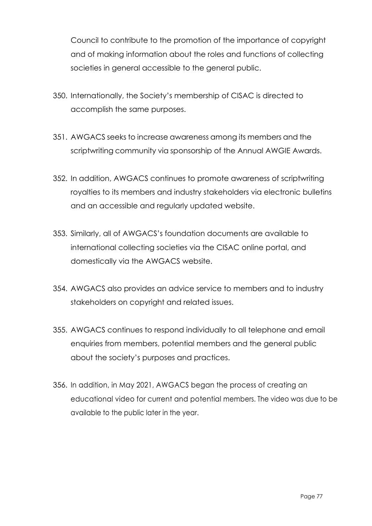Council to contribute to the promotion of the importance of copyright and of making information about the roles and functions of collecting societies in general accessible to the general public.

- 350. Internationally, the Society's membership of CISAC is directed to accomplish the same purposes.
- 351. AWGACS seeks to increase awareness among its members and the scriptwriting community via sponsorship of the Annual AWGIE Awards.
- 352. In addition, AWGACS continues to promote awareness of scriptwriting royalties to its members and industry stakeholders via electronic bulletins and an accessible and regularly updated website.
- 353. Similarly, all of AWGACS's foundation documents are available to international collecting societies via the CISAC online portal, and domestically via the AWGACS website.
- 354. AWGACS also provides an advice service to members and to industry stakeholders on copyright and related issues.
- 355. AWGACS continues to respond individually to all telephone and email enquiries from members, potential members and the general public about the society's purposes and practices.
- 356. In addition, in May 2021, AWGACS began the process of creating an educational video for current and potential members. The video was due to be available to the public later in the year.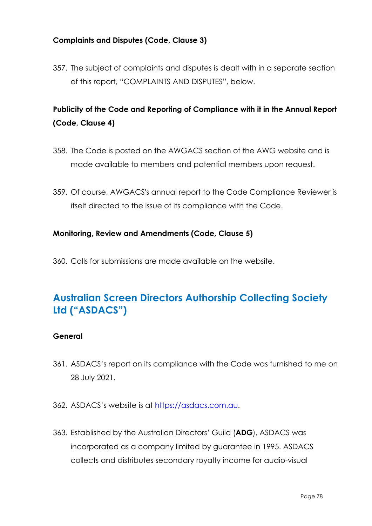# **Complaints and Disputes (Code, Clause 3)**

357. The subject of complaints and disputes is dealt with in a separate section of this report, "COMPLAINTS AND DISPUTES", below.

# **Publicity of the Code and Reporting of Compliance with it in the Annual Report (Code, Clause 4)**

- 358. The Code is posted on the AWGACS section of the AWG website and is made available to members and potential members upon request.
- 359. Of course, AWGACS's annual report to the Code Compliance Reviewer is itself directed to the issue of its compliance with the Code.

## **Monitoring, Review and Amendments (Code, Clause 5)**

360. Calls for submissions are made available on the website.

# **Australian Screen Directors Authorship Collecting Society Ltd ("ASDACS")**

#### **General**

- 361. ASDACS's report on its compliance with the Code was furnished to me on 28 July 2021.
- 362. ASDACS's website is at https://asdacs.com.au.
- 363. Established by the Australian Directors' Guild (**ADG**), ASDACS was incorporated as a company limited by guarantee in 1995. ASDACS collects and distributes secondary royalty income for audio-visual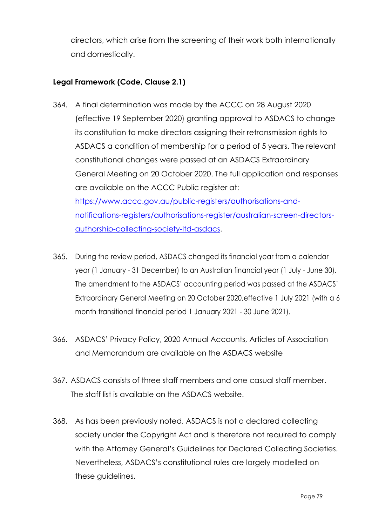directors, which arise from the screening of their work both internationally and domestically.

# **Legal Framework (Code, Clause 2.1)**

- 364. A final determination was made by the ACCC on 28 August 2020 (effective 19 September 2020) granting approval to ASDACS to change its constitution to make directors assigning their retransmission rights to ASDACS a condition of membership for a period of 5 years. The relevant constitutional changes were passed at an ASDACS Extraordinary General Meeting on 20 October 2020. The full application and responses are available on the ACCC Public register at: https://www.accc.gov.au/public-registers/authorisations-andnotifications-registers/authorisations-register/australian-screen-directorsauthorship-collecting-society-ltd-asdacs.
- 365. During the review period, ASDACS changed its financial year from a calendar year (1 January - 31 December) to an Australian financial year (1 July - June 30). The amendment to the ASDACS' accounting period was passed at the ASDACS' Extraordinary General Meeting on 20 October 2020,effective 1 July 2021 (with a 6 month transitional financial period 1 January 2021 - 30 June 2021).
- 366. ASDACS' Privacy Policy, 2020 Annual Accounts, Articles of Association and Memorandum are available on the ASDACS website
- 367. ASDACS consists of three staff members and one casual staff member. The staff list is available on the ASDACS website.
- 368. As has been previously noted, ASDACS is not a declared collecting society under the Copyright Act and is therefore not required to comply with the Attorney General's Guidelines for Declared Collecting Societies. Nevertheless, ASDACS's constitutional rules are largely modelled on these guidelines.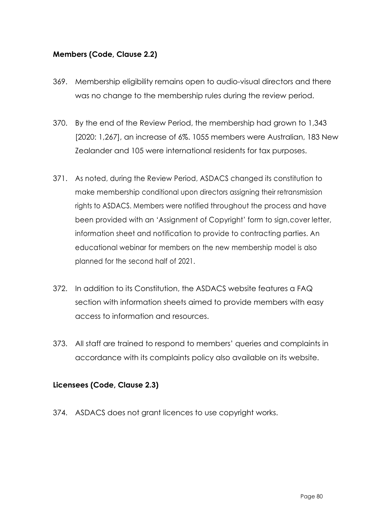# **Members (Code, Clause 2.2)**

- 369. Membership eligibility remains open to audio-visual directors and there was no change to the membership rules during the review period.
- 370. By the end of the Review Period, the membership had grown to 1,343 [2020: 1,267], an increase of 6%. 1055 members were Australian, 183 New Zealander and 105 were international residents for tax purposes.
- 371. As noted, during the Review Period, ASDACS changed its constitution to make membership conditional upon directors assigning their retransmission rights to ASDACS. Members were notified throughout the process and have been provided with an 'Assignment of Copyright' form to sign,cover letter, information sheet and notification to provide to contracting parties. An educational webinar for members on the new membership model is also planned for the second half of 2021.
- 372. In addition to its Constitution, the ASDACS website features a FAQ section with information sheets aimed to provide members with easy access to information and resources.
- 373. All staff are trained to respond to members' queries and complaints in accordance with its complaints policy also available on its website.

# **Licensees (Code, Clause 2.3)**

374. ASDACS does not grant licences to use copyright works.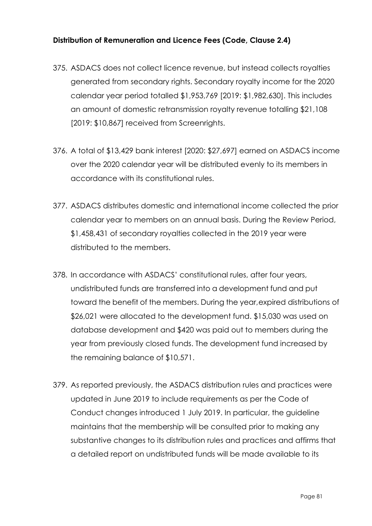# **Distribution of Remuneration and Licence Fees (Code, Clause 2.4)**

- 375. ASDACS does not collect licence revenue, but instead collects royalties generated from secondary rights. Secondary royalty income for the 2020 calendar year period totalled \$1,953,769 [2019: \$1,982,630]. This includes an amount of domestic retransmission royalty revenue totalling \$21,108 [2019: \$10,867] received from Screenrights.
- 376. A total of \$13,429 bank interest [2020: \$27,697] earned on ASDACS income over the 2020 calendar year will be distributed evenly to its members in accordance with its constitutional rules.
- 377. ASDACS distributes domestic and international income collected the prior calendar year to members on an annual basis. During the Review Period, \$1,458,431 of secondary royalties collected in the 2019 year were distributed to the members.
- 378. In accordance with ASDACS' constitutional rules, after four years, undistributed funds are transferred into a development fund and put toward the benefit of the members. During the year,expired distributions of \$26,021 were allocated to the development fund. \$15,030 was used on database development and \$420 was paid out to members during the year from previously closed funds. The development fund increased by the remaining balance of \$10,571.
- 379. As reported previously, the ASDACS distribution rules and practices were updated in June 2019 to include requirements as per the Code of Conduct changes introduced 1 July 2019. In particular, the guideline maintains that the membership will be consulted prior to making any substantive changes to its distribution rules and practices and affirms that a detailed report on undistributed funds will be made available to its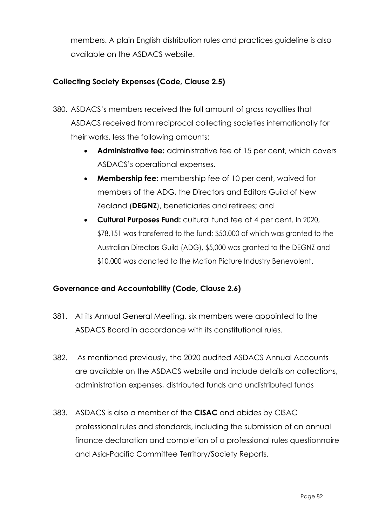members. A plain English distribution rules and practices guideline is also available on the ASDACS website.

# **Collecting Society Expenses (Code, Clause 2.5)**

- 380. ASDACS's members received the full amount of gross royalties that ASDACS received from reciprocal collecting societies internationally for their works, less the following amounts:
	- **Administrative fee:** administrative fee of 15 per cent, which covers ASDACS's operational expenses.
	- **Membership fee:** membership fee of 10 per cent, waived for members of the ADG, the Directors and Editors Guild of New Zealand (**DEGNZ**), beneficiaries and retirees; and
	- **Cultural Purposes Fund:** cultural fund fee of 4 per cent. In 2020, \$78,151 was transferred to the fund; \$50,000 of which was granted to the Australian Directors Guild (ADG), \$5,000 was granted to the DEGNZ and \$10,000 was donated to the Motion Picture Industry Benevolent.

# **Governance and Accountability (Code, Clause 2.6)**

- 381. At its Annual General Meeting, six members were appointed to the ASDACS Board in accordance with its constitutional rules.
- 382. As mentioned previously, the 2020 audited ASDACS Annual Accounts are available on the ASDACS website and include details on collections, administration expenses, distributed funds and undistributed funds
- 383. ASDACS is also a member of the **CISAC** and abides by CISAC professional rules and standards, including the submission of an annual finance declaration and completion of a professional rules questionnaire and Asia-Pacific Committee Territory/Society Reports.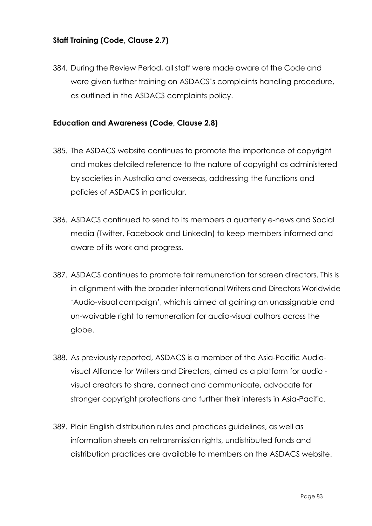## **Staff Training (Code, Clause 2.7)**

384. During the Review Period, all staff were made aware of the Code and were given further training on ASDACS's complaints handling procedure, as outlined in the ASDACS complaints policy.

#### **Education and Awareness (Code, Clause 2.8)**

- 385. The ASDACS website continues to promote the importance of copyright and makes detailed reference to the nature of copyright as administered by societies in Australia and overseas, addressing the functions and policies of ASDACS in particular.
- 386. ASDACS continued to send to its members a quarterly e-news and Social media (Twitter, Facebook and LinkedIn) to keep members informed and aware of its work and progress.
- 387. ASDACS continues to promote fair remuneration for screen directors. This is in alignment with the broader international Writers and Directors Worldwide 'Audio-visual campaign', which is aimed at gaining an unassignable and un-waivable right to remuneration for audio-visual authors across the globe.
- 388. As previously reported, ASDACS is a member of the Asia-Pacific Audiovisual Alliance for Writers and Directors, aimed as a platform for audio visual creators to share, connect and communicate, advocate for stronger copyright protections and further their interests in Asia-Pacific.
- 389. Plain English distribution rules and practices guidelines, as well as information sheets on retransmission rights, undistributed funds and distribution practices are available to members on the ASDACS website.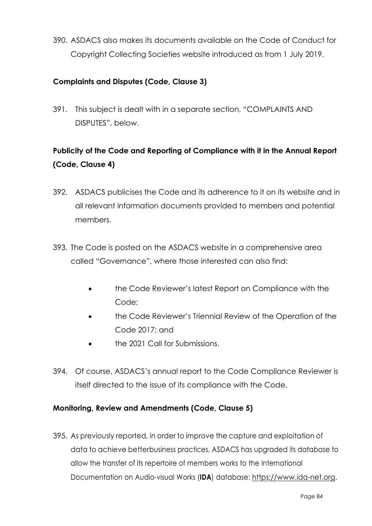390. ASDACS also makes its documents available on the Code of Conduct for Copyright Collecting Societies website introduced as from 1 July 2019.

# **Complaints and Disputes (Code, Clause 3)**

391. This subject is dealt with in a separate section, "COMPLAINTS AND DISPUTES", below.

# **Publicity of the Code and Reporting of Compliance with it in the Annual Report (Code, Clause 4)**

- 392. ASDACS publicises the Code and its adherence to it on its website and in all relevant information documents provided to members and potential members.
- 393. The Code is posted on the ASDACS website in a comprehensive area called "Governance", where those interested can also find:
	- the Code Reviewer's latest Report on Compliance with the Code;
	- the Code Reviewer's Triennial Review of the Operation of the Code 2017; and
	- the 2021 Call for Submissions.
- 394. Of course, ASDACS's annual report to the Code Compliance Reviewer is itself directed to the issue of its compliance with the Code.

## **Monitoring, Review and Amendments (Code, Clause 5)**

395. As previously reported, in order to improve the capture and exploitation of data to achieve betterbusiness practices, ASDACS has upgraded its database to allow the transfer of its repertoire of members works to the International Documentation on Audio-visual Works (**IDA**) database: https://www.ida-net.org.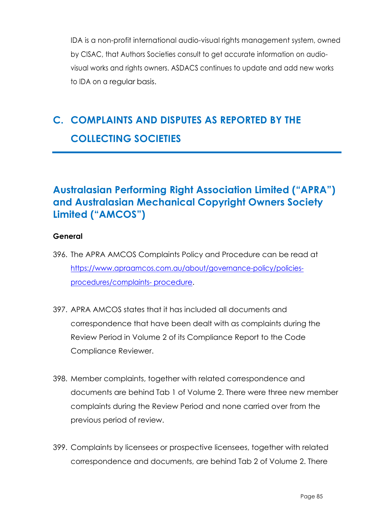IDA is a non-profit international audio-visual rights management system, owned by CISAC, that Authors Societies consult to get accurate information on audiovisual works and rights owners. ASDACS continues to update and add new works to IDA on a regular basis.

# **C. COMPLAINTS AND DISPUTES AS REPORTED BY THE COLLECTING SOCIETIES**

# **Australasian Performing Right Association Limited ("APRA") and Australasian Mechanical Copyright Owners Society Limited ("AMCOS")**

#### **General**

- 396. The APRA AMCOS Complaints Policy and Procedure can be read at https://www.apraamcos.com.au/about/governance-policy/policiesprocedures/complaints- procedure.
- 397. APRA AMCOS states that it has included all documents and correspondence that have been dealt with as complaints during the Review Period in Volume 2 of its Compliance Report to the Code Compliance Reviewer.
- 398. Member complaints, together with related correspondence and documents are behind Tab 1 of Volume 2. There were three new member complaints during the Review Period and none carried over from the previous period of review.
- 399. Complaints by licensees or prospective licensees, together with related correspondence and documents, are behind Tab 2 of Volume 2. There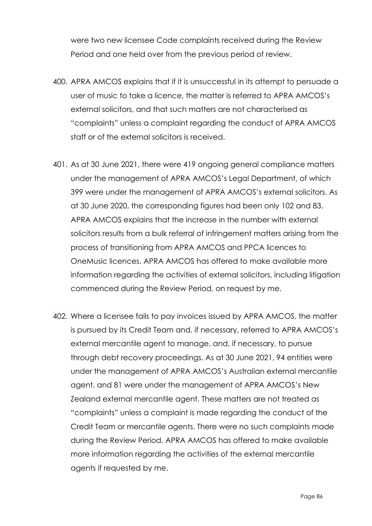were two new licensee Code complaints received during the Review Period and one held over from the previous period of review.

- 400. APRA AMCOS explains that if it is unsuccessful in its attempt to persuade a user of music to take a licence, the matter is referred to APRA AMCOS's external solicitors, and that such matters are not characterised as "complaints" unless a complaint regarding the conduct of APRA AMCOS staff or of the external solicitors is received.
- 401. As at 30 June 2021, there were 419 ongoing general compliance matters under the management of APRA AMCOS's Legal Department, of which 399 were under the management of APRA AMCOS's external solicitors. As at 30 June 2020, the corresponding figures had been only 102 and 83. APRA AMCOS explains that the increase in the number with external solicitors results from a bulk referral of infringement matters arising from the process of transitioning from APRA AMCOS and PPCA licences to OneMusic licences. APRA AMCOS has offered to make available more information regarding the activities of external solicitors, including litigation commenced during the Review Period, on request by me.
- 402. Where a licensee fails to pay invoices issued by APRA AMCOS, the matter is pursued by its Credit Team and, if necessary, referred to APRA AMCOS's external mercantile agent to manage, and, if necessary, to pursue through debt recovery proceedings. As at 30 June 2021, 94 entities were under the management of APRA AMCOS's Australian external mercantile agent, and 81 were under the management of APRA AMCOS's New Zealand external mercantile agent. These matters are not treated as "complaints" unless a complaint is made regarding the conduct of the Credit Team or mercantile agents. There were no such complaints made during the Review Period. APRA AMCOS has offered to make available more information regarding the activities of the external mercantile agents if requested by me.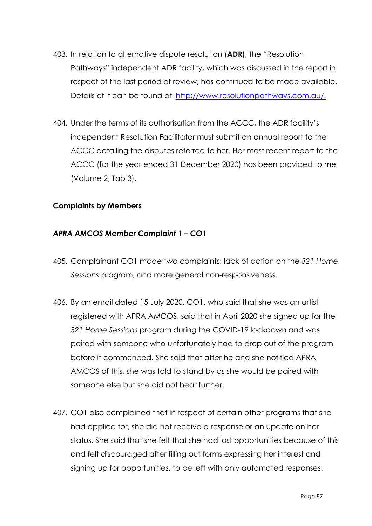- 403. In relation to alternative dispute resolution (**ADR**), the "Resolution Pathways" independent ADR facility, which was discussed in the report in respect of the last period of review, has continued to be made available. Details of it can be found at http://www.resolutionpathways.com.au/.
- 404. Under the terms of its authorisation from the ACCC, the ADR facility's independent Resolution Facilitator must submit an annual report to the ACCC detailing the disputes referred to her. Her most recent report to the ACCC (for the year ended 31 December 2020) has been provided to me (Volume 2, Tab 3).

## **Complaints by Members**

#### *APRA AMCOS Member Complaint 1 – CO1*

- 405. Complainant CO1 made two complaints: lack of action on the *321 Home Sessions* program, and more general non-responsiveness.
- 406. By an email dated 15 July 2020, CO1, who said that she was an artist registered with APRA AMCOS, said that in April 2020 she signed up for the *321 Home Sessions* program during the COVID-19 lockdown and was paired with someone who unfortunately had to drop out of the program before it commenced. She said that after he and she notified APRA AMCOS of this, she was told to stand by as she would be paired with someone else but she did not hear further.
- 407. CO1 also complained that in respect of certain other programs that she had applied for, she did not receive a response or an update on her status. She said that she felt that she had lost opportunities because of this and felt discouraged after filling out forms expressing her interest and signing up for opportunities, to be left with only automated responses.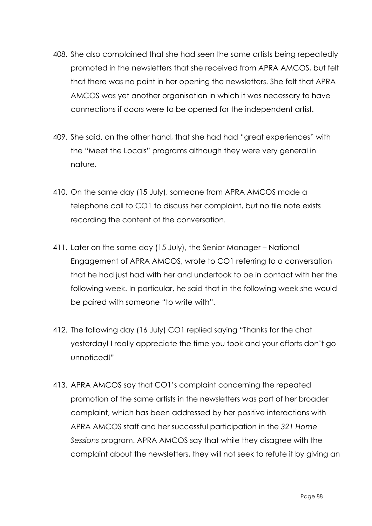- 408. She also complained that she had seen the same artists being repeatedly promoted in the newsletters that she received from APRA AMCOS, but felt that there was no point in her opening the newsletters. She felt that APRA AMCOS was yet another organisation in which it was necessary to have connections if doors were to be opened for the independent artist.
- 409. She said, on the other hand, that she had had "great experiences" with the "Meet the Locals" programs although they were very general in nature.
- 410. On the same day (15 July), someone from APRA AMCOS made a telephone call to CO1 to discuss her complaint, but no file note exists recording the content of the conversation.
- 411. Later on the same day (15 July), the Senior Manager National Engagement of APRA AMCOS, wrote to CO1 referring to a conversation that he had just had with her and undertook to be in contact with her the following week. In particular, he said that in the following week she would be paired with someone "to write with".
- 412. The following day (16 July) CO1 replied saying "Thanks for the chat yesterday! I really appreciate the time you took and your efforts don't go unnoticed!"
- 413. APRA AMCOS say that CO1's complaint concerning the repeated promotion of the same artists in the newsletters was part of her broader complaint, which has been addressed by her positive interactions with APRA AMCOS staff and her successful participation in the *321 Home Sessions* program. APRA AMCOS say that while they disagree with the complaint about the newsletters, they will not seek to refute it by giving an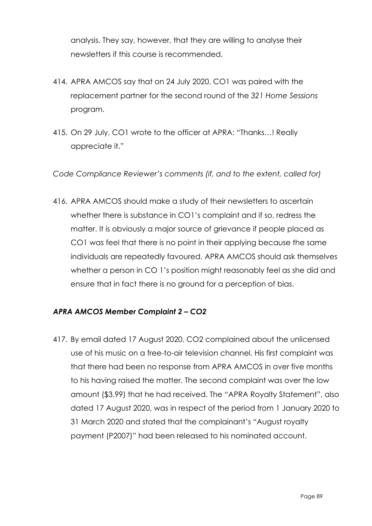analysis. They say, however, that they are willing to analyse their newsletters if this course is recommended.

- 414. APRA AMCOS say that on 24 July 2020, CO1 was paired with the replacement partner for the second round of the *321 Home Sessions* program.
- 415. On 29 July, CO1 wrote to the officer at APRA: "Thanks…! Really appreciate it."

*Code Compliance Reviewer's comments (if, and to the extent, called for)*

416. APRA AMCOS should make a study of their newsletters to ascertain whether there is substance in CO1's complaint and if so, redress the matter. It is obviously a major source of grievance if people placed as CO1 was feel that there is no point in their applying because the same individuals are repeatedly favoured. APRA AMCOS should ask themselves whether a person in CO 1's position might reasonably feel as she did and ensure that in fact there is no ground for a perception of bias.

## *APRA AMCOS Member Complaint 2 – CO2*

417. By email dated 17 August 2020, CO2 complained about the unlicensed use of his music on a free-to-air television channel. His first complaint was that there had been no response from APRA AMCOS in over five months to his having raised the matter. The second complaint was over the low amount (\$3.99) that he had received. The "APRA Royalty Statement", also dated 17 August 2020, was in respect of the period from 1 January 2020 to 31 March 2020 and stated that the complainant's "August royalty payment (P2007)" had been released to his nominated account.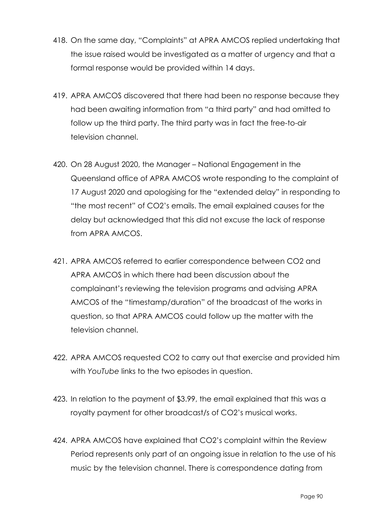- 418. On the same day, "Complaints" at APRA AMCOS replied undertaking that the issue raised would be investigated as a matter of urgency and that a formal response would be provided within 14 days.
- 419. APRA AMCOS discovered that there had been no response because they had been awaiting information from "a third party" and had omitted to follow up the third party. The third party was in fact the free-to-air television channel.
- 420. On 28 August 2020, the Manager National Engagement in the Queensland office of APRA AMCOS wrote responding to the complaint of 17 August 2020 and apologising for the "extended delay" in responding to "the most recent" of CO2's emails. The email explained causes for the delay but acknowledged that this did not excuse the lack of response from APRA AMCOS.
- 421. APRA AMCOS referred to earlier correspondence between CO2 and APRA AMCOS in which there had been discussion about the complainant's reviewing the television programs and advising APRA AMCOS of the "timestamp/duration" of the broadcast of the works in question, so that APRA AMCOS could follow up the matter with the television channel.
- 422. APRA AMCOS requested CO2 to carry out that exercise and provided him with *YouTube* links to the two episodes in question.
- 423. In relation to the payment of \$3.99, the email explained that this was a royalty payment for other broadcast/s of CO2's musical works.
- 424. APRA AMCOS have explained that CO2's complaint within the Review Period represents only part of an ongoing issue in relation to the use of his music by the television channel. There is correspondence dating from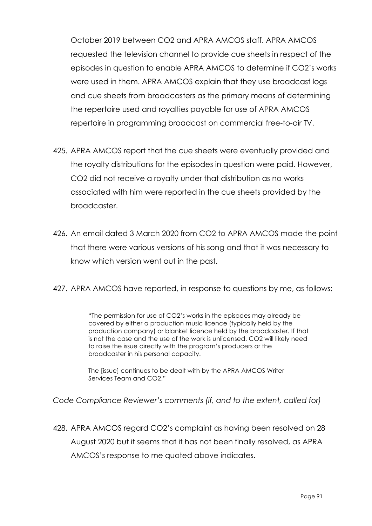October 2019 between CO2 and APRA AMCOS staff. APRA AMCOS requested the television channel to provide cue sheets in respect of the episodes in question to enable APRA AMCOS to determine if CO2's works were used in them. APRA AMCOS explain that they use broadcast logs and cue sheets from broadcasters as the primary means of determining the repertoire used and royalties payable for use of APRA AMCOS repertoire in programming broadcast on commercial free-to-air TV.

- 425. APRA AMCOS report that the cue sheets were eventually provided and the royalty distributions for the episodes in question were paid. However, CO2 did not receive a royalty under that distribution as no works associated with him were reported in the cue sheets provided by the broadcaster.
- 426. An email dated 3 March 2020 from CO2 to APRA AMCOS made the point that there were various versions of his song and that it was necessary to know which version went out in the past.
- 427. APRA AMCOS have reported, in response to questions by me, as follows:

"The permission for use of CO2's works in the episodes may already be covered by either a production music licence (typically held by the production company) or blanket licence held by the broadcaster. If that is not the case and the use of the work is unlicensed, CO2 will likely need to raise the issue directly with the program's producers or the broadcaster in his personal capacity.

The [issue] continues to be dealt with by the APRA AMCOS Writer Services Team and CO2."

*Code Compliance Reviewer's comments (if, and to the extent, called for)*

428. APRA AMCOS regard CO2's complaint as having been resolved on 28 August 2020 but it seems that it has not been finally resolved, as APRA AMCOS's response to me quoted above indicates.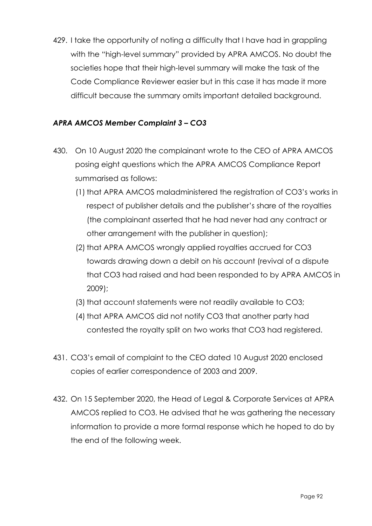429. I take the opportunity of noting a difficulty that I have had in grappling with the "high-level summary" provided by APRA AMCOS. No doubt the societies hope that their high-level summary will make the task of the Code Compliance Reviewer easier but in this case it has made it more difficult because the summary omits important detailed background.

# *APRA AMCOS Member Complaint 3 – CO3*

- 430. On 10 August 2020 the complainant wrote to the CEO of APRA AMCOS posing eight questions which the APRA AMCOS Compliance Report summarised as follows:
	- (1) that APRA AMCOS maladministered the registration of CO3's works in respect of publisher details and the publisher's share of the royalties (the complainant asserted that he had never had any contract or other arrangement with the publisher in question);
	- (2) that APRA AMCOS wrongly applied royalties accrued for CO3 towards drawing down a debit on his account (revival of a dispute that CO3 had raised and had been responded to by APRA AMCOS in 2009);
	- (3) that account statements were not readily available to CO3;
	- (4) that APRA AMCOS did not notify CO3 that another party had contested the royalty split on two works that CO3 had registered.
- 431. CO3's email of complaint to the CEO dated 10 August 2020 enclosed copies of earlier correspondence of 2003 and 2009.
- 432. On 15 September 2020, the Head of Legal & Corporate Services at APRA AMCOS replied to CO3. He advised that he was gathering the necessary information to provide a more formal response which he hoped to do by the end of the following week.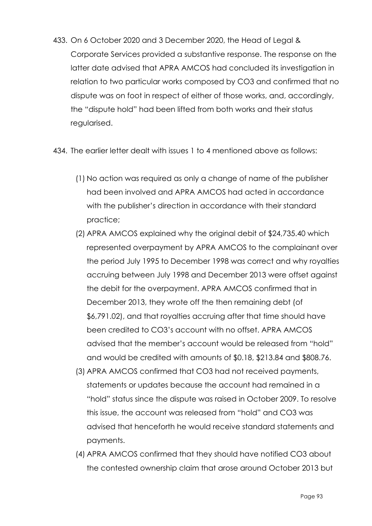- 433. On 6 October 2020 and 3 December 2020, the Head of Legal & Corporate Services provided a substantive response. The response on the latter date advised that APRA AMCOS had concluded its investigation in relation to two particular works composed by CO3 and confirmed that no dispute was on foot in respect of either of those works, and, accordingly, the "dispute hold" had been lifted from both works and their status regularised.
- 434. The earlier letter dealt with issues 1 to 4 mentioned above as follows:
	- (1) No action was required as only a change of name of the publisher had been involved and APRA AMCOS had acted in accordance with the publisher's direction in accordance with their standard practice;
	- (2) APRA AMCOS explained why the original debit of \$24,735.40 which represented overpayment by APRA AMCOS to the complainant over the period July 1995 to December 1998 was correct and why royalties accruing between July 1998 and December 2013 were offset against the debit for the overpayment. APRA AMCOS confirmed that in December 2013, they wrote off the then remaining debt (of \$6,791.02), and that royalties accruing after that time should have been credited to CO3's account with no offset. APRA AMCOS advised that the member's account would be released from "hold" and would be credited with amounts of \$0.18, \$213.84 and \$808.76.
	- (3) APRA AMCOS confirmed that CO3 had not received payments, statements or updates because the account had remained in a "hold" status since the dispute was raised in October 2009. To resolve this issue, the account was released from "hold" and CO3 was advised that henceforth he would receive standard statements and payments.
	- (4) APRA AMCOS confirmed that they should have notified CO3 about the contested ownership claim that arose around October 2013 but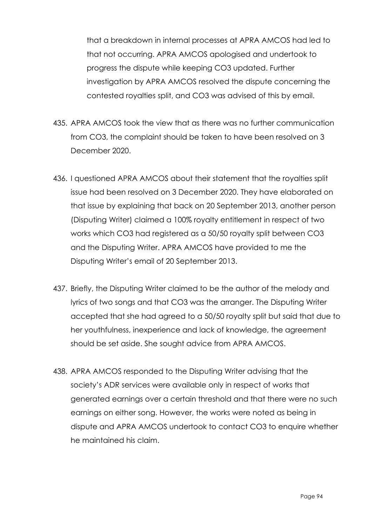that a breakdown in internal processes at APRA AMCOS had led to that not occurring. APRA AMCOS apologised and undertook to progress the dispute while keeping CO3 updated. Further investigation by APRA AMCOS resolved the dispute concerning the contested royalties split, and CO3 was advised of this by email.

- 435. APRA AMCOS took the view that as there was no further communication from CO3, the complaint should be taken to have been resolved on 3 December 2020.
- 436. I questioned APRA AMCOS about their statement that the royalties split issue had been resolved on 3 December 2020. They have elaborated on that issue by explaining that back on 20 September 2013, another person (Disputing Writer) claimed a 100% royalty entitlement in respect of two works which CO3 had registered as a 50/50 royalty split between CO3 and the Disputing Writer. APRA AMCOS have provided to me the Disputing Writer's email of 20 September 2013.
- 437. Briefly, the Disputing Writer claimed to be the author of the melody and lyrics of two songs and that CO3 was the arranger. The Disputing Writer accepted that she had agreed to a 50/50 royalty split but said that due to her youthfulness, inexperience and lack of knowledge, the agreement should be set aside. She sought advice from APRA AMCOS.
- 438. APRA AMCOS responded to the Disputing Writer advising that the society's ADR services were available only in respect of works that generated earnings over a certain threshold and that there were no such earnings on either song. However, the works were noted as being in dispute and APRA AMCOS undertook to contact CO3 to enquire whether he maintained his claim.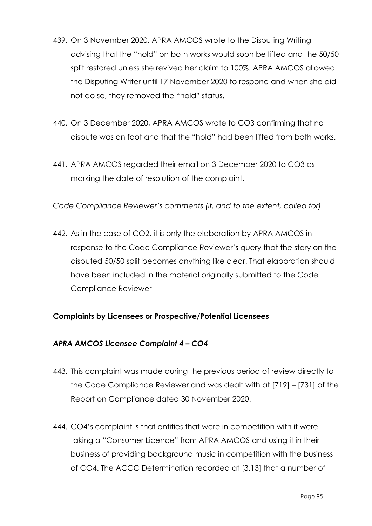- 439. On 3 November 2020, APRA AMCOS wrote to the Disputing Writing advising that the "hold" on both works would soon be lifted and the 50/50 split restored unless she revived her claim to 100%. APRA AMCOS allowed the Disputing Writer until 17 November 2020 to respond and when she did not do so, they removed the "hold" status.
- 440. On 3 December 2020, APRA AMCOS wrote to CO3 confirming that no dispute was on foot and that the "hold" had been lifted from both works.
- 441. APRA AMCOS regarded their email on 3 December 2020 to CO3 as marking the date of resolution of the complaint.

*Code Compliance Reviewer's comments (if, and to the extent, called for)*

442. As in the case of CO2, it is only the elaboration by APRA AMCOS in response to the Code Compliance Reviewer's query that the story on the disputed 50/50 split becomes anything like clear. That elaboration should have been included in the material originally submitted to the Code Compliance Reviewer

# **Complaints by Licensees or Prospective/Potential Licensees**

## *APRA AMCOS Licensee Complaint 4 – CO4*

- 443. This complaint was made during the previous period of review directly to the Code Compliance Reviewer and was dealt with at [719] – [731] of the Report on Compliance dated 30 November 2020.
- 444. CO4's complaint is that entities that were in competition with it were taking a "Consumer Licence" from APRA AMCOS and using it in their business of providing background music in competition with the business of CO4. The ACCC Determination recorded at [3.13] that a number of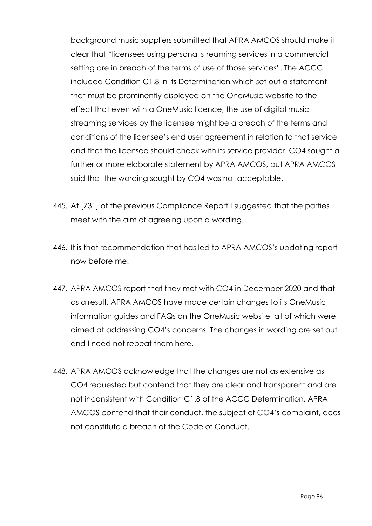background music suppliers submitted that APRA AMCOS should make it clear that "licensees using personal streaming services in a commercial setting are in breach of the terms of use of those services". The ACCC included Condition C1.8 in its Determination which set out a statement that must be prominently displayed on the OneMusic website to the effect that even with a OneMusic licence, the use of digital music streaming services by the licensee might be a breach of the terms and conditions of the licensee's end user agreement in relation to that service, and that the licensee should check with its service provider. CO4 sought a further or more elaborate statement by APRA AMCOS, but APRA AMCOS said that the wording sought by CO4 was not acceptable.

- 445. At [731] of the previous Compliance Report I suggested that the parties meet with the aim of agreeing upon a wording.
- 446. It is that recommendation that has led to APRA AMCOS's updating report now before me.
- 447. APRA AMCOS report that they met with CO4 in December 2020 and that as a result, APRA AMCOS have made certain changes to its OneMusic information guides and FAQs on the OneMusic website, all of which were aimed at addressing CO4's concerns. The changes in wording are set out and I need not repeat them here.
- 448. APRA AMCOS acknowledge that the changes are not as extensive as CO4 requested but contend that they are clear and transparent and are not inconsistent with Condition C1.8 of the ACCC Determination. APRA AMCOS contend that their conduct, the subject of CO4's complaint, does not constitute a breach of the Code of Conduct.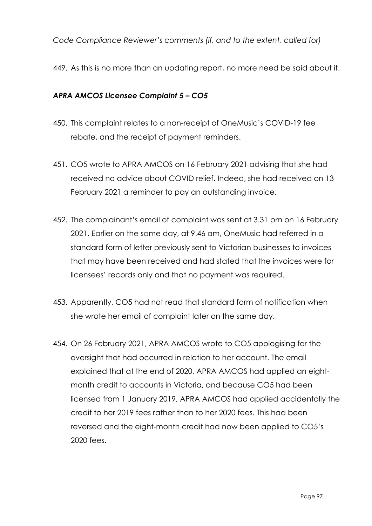# *Code Compliance Reviewer's comments (if, and to the extent, called for)*

449. As this is no more than an updating report, no more need be said about it.

#### *APRA AMCOS Licensee Complaint 5 – CO5*

- 450. This complaint relates to a non-receipt of OneMusic's COVID-19 fee rebate, and the receipt of payment reminders.
- 451. CO5 wrote to APRA AMCOS on 16 February 2021 advising that she had received no advice about COVID relief. Indeed, she had received on 13 February 2021 a reminder to pay an outstanding invoice.
- 452. The complainant's email of complaint was sent at 3.31 pm on 16 February 2021. Earlier on the same day, at 9.46 am, OneMusic had referred in a standard form of letter previously sent to Victorian businesses to invoices that may have been received and had stated that the invoices were for licensees' records only and that no payment was required.
- 453. Apparently, CO5 had not read that standard form of notification when she wrote her email of complaint later on the same day.
- 454. On 26 February 2021, APRA AMCOS wrote to CO5 apologising for the oversight that had occurred in relation to her account. The email explained that at the end of 2020, APRA AMCOS had applied an eightmonth credit to accounts in Victoria, and because CO5 had been licensed from 1 January 2019, APRA AMCOS had applied accidentally the credit to her 2019 fees rather than to her 2020 fees. This had been reversed and the eight-month credit had now been applied to CO5's 2020 fees.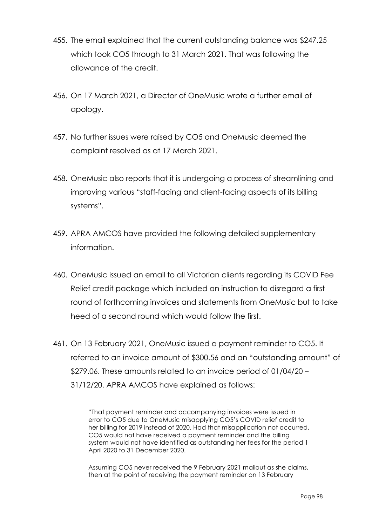- 455. The email explained that the current outstanding balance was \$247.25 which took CO5 through to 31 March 2021. That was following the allowance of the credit.
- 456. On 17 March 2021, a Director of OneMusic wrote a further email of apology.
- 457. No further issues were raised by CO5 and OneMusic deemed the complaint resolved as at 17 March 2021.
- 458. OneMusic also reports that it is undergoing a process of streamlining and improving various "staff-facing and client-facing aspects of its billing systems".
- 459. APRA AMCOS have provided the following detailed supplementary information.
- 460. OneMusic issued an email to all Victorian clients regarding its COVID Fee Relief credit package which included an instruction to disregard a first round of forthcoming invoices and statements from OneMusic but to take heed of a second round which would follow the first.
- 461. On 13 February 2021, OneMusic issued a payment reminder to CO5. It referred to an invoice amount of \$300.56 and an "outstanding amount" of \$279.06. These amounts related to an invoice period of 01/04/20 – 31/12/20. APRA AMCOS have explained as follows:

"That payment reminder and accompanying invoices were issued in error to CO5 due to OneMusic misapplying CO5's COVID relief credit to her billing for 2019 instead of 2020. Had that misapplication not occurred, CO5 would not have received a payment reminder and the billing system would not have identified as outstanding her fees for the period 1 April 2020 to 31 December 2020.

Assuming CO5 never received the 9 February 2021 mailout as she claims, then at the point of receiving the payment reminder on 13 February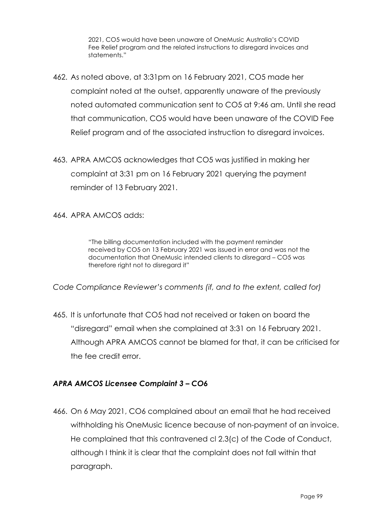2021, CO5 would have been unaware of OneMusic Australia's COVID Fee Relief program and the related instructions to disregard invoices and statements."

- 462. As noted above, at 3:31pm on 16 February 2021, CO5 made her complaint noted at the outset, apparently unaware of the previously noted automated communication sent to CO5 at 9:46 am. Until she read that communication, CO5 would have been unaware of the COVID Fee Relief program and of the associated instruction to disregard invoices.
- 463. APRA AMCOS acknowledges that CO5 was justified in making her complaint at 3:31 pm on 16 February 2021 querying the payment reminder of 13 February 2021.
- 464. APRA AMCOS adds:

"The billing documentation included with the payment reminder received by CO5 on 13 February 2021 was issued in error and was not the documentation that OneMusic intended clients to disregard – CO5 was therefore right not to disregard it"

*Code Compliance Reviewer's comments (if, and to the extent, called for)*

465. It is unfortunate that CO5 had not received or taken on board the "disregard" email when she complained at 3:31 on 16 February 2021. Although APRA AMCOS cannot be blamed for that, it can be criticised for the fee credit error.

## *APRA AMCOS Licensee Complaint 3 – CO6*

466. On 6 May 2021, CO6 complained about an email that he had received withholding his OneMusic licence because of non-payment of an invoice. He complained that this contravened cl 2.3(c) of the Code of Conduct, although I think it is clear that the complaint does not fall within that paragraph.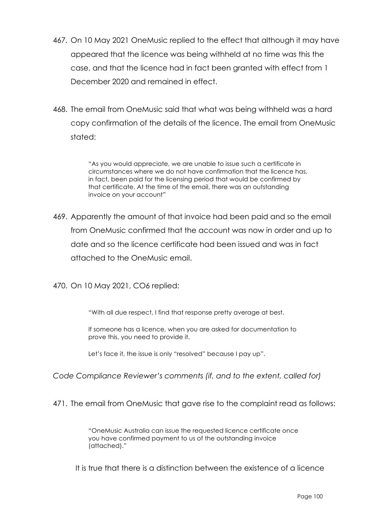- 467. On 10 May 2021 OneMusic replied to the effect that although it may have appeared that the licence was being withheld at no time was this the case, and that the licence had in fact been granted with effect from 1 December 2020 and remained in effect.
- 468. The email from OneMusic said that what was being withheld was a hard copy confirmation of the details of the licence. The email from OneMusic stated:

"As you would appreciate, we are unable to issue such a certificate in circumstances where we do not have confirmation that the licence has, in fact, been paid for the licensing period that would be confirmed by that certificate. At the time of the email, there was an outstanding invoice on your account"

469. Apparently the amount of that invoice had been paid and so the email from OneMusic confirmed that the account was now in order and up to date and so the licence certificate had been issued and was in fact attached to the OneMusic email.

470. On 10 May 2021, CO6 replied:

"With all due respect, I find that response pretty average at best.

If someone has a licence, when you are asked for documentation to prove this, you need to provide it.

Let's face it, the issue is only "resolved" because I pay up".

*Code Compliance Reviewer's comments (if, and to the extent, called for)*

471. The email from OneMusic that gave rise to the complaint read as follows:

"OneMusic Australia can issue the requested licence certificate once you have confirmed payment to us of the outstanding invoice (attached)."

It is true that there is a distinction between the existence of a licence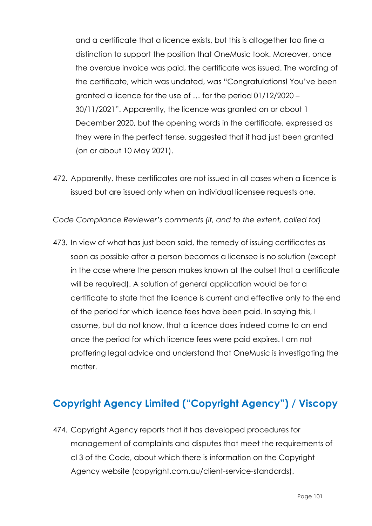and a certificate that a licence exists, but this is altogether too fine a distinction to support the position that OneMusic took. Moreover, once the overdue invoice was paid, the certificate was issued. The wording of the certificate, which was undated, was "Congratulations! You've been granted a licence for the use of … for the period 01/12/2020 – 30/11/2021". Apparently, the licence was granted on or about 1 December 2020, but the opening words in the certificate, expressed as they were in the perfect tense, suggested that it had just been granted (on or about 10 May 2021).

472. Apparently, these certificates are not issued in all cases when a licence is issued but are issued only when an individual licensee requests one.

*Code Compliance Reviewer's comments (if, and to the extent, called for)*

473. In view of what has just been said, the remedy of issuing certificates as soon as possible after a person becomes a licensee is no solution (except in the case where the person makes known at the outset that a certificate will be required). A solution of general application would be for a certificate to state that the licence is current and effective only to the end of the period for which licence fees have been paid. In saying this, I assume, but do not know, that a licence does indeed come to an end once the period for which licence fees were paid expires. I am not proffering legal advice and understand that OneMusic is investigating the matter.

# **Copyright Agency Limited ("Copyright Agency") / Viscopy**

474. Copyright Agency reports that it has developed procedures for management of complaints and disputes that meet the requirements of cl 3 of the Code, about which there is information on the Copyright Agency website (copyright.com.au/client-service-standards).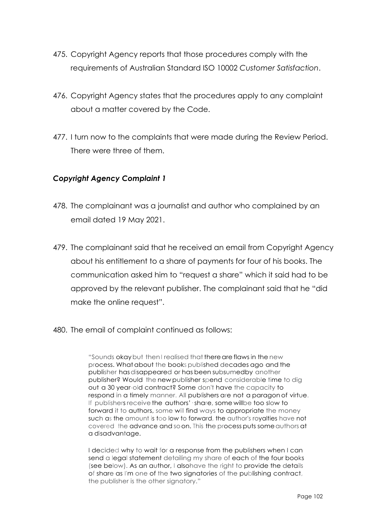- 475. Copyright Agency reports that those procedures comply with the requirements of Australian Standard ISO 10002 *Customer Satisfaction*.
- 476. Copyright Agency states that the procedures apply to any complaint about a matter covered by the Code.
- 477. I turn now to the complaints that were made during the Review Period. There were three of them.

## *Copyright Agency Complaint 1*

- 478. The complainant was a journalist and author who complained by an email dated 19 May 2021.
- 479. The complainant said that he received an email from Copyright Agency about his entitlement to a share of payments for four of his books. The communication asked him to "request a share" which it said had to be approved by the relevant publisher. The complainant said that he "did make the online request".
- 480. The email of complaint continued as follows:

"Sounds okay but thenI realised that there are flaws in the new process. What about the books published decades ago and the publisher hasdisappeared or has been subsumedby another publisher? Would the new publisher spend considerable time to dig out a 30 year-old contract? Some don't have the capacity to respond in a timely manner. All publishers are not a paragonof virtue. If publishers receive the authors'· share, some willbe too slow to forward it to authors, some will find ways to appropriate the money such as the amount is too low to forward, the author's royalties have not covered the advance and soon. This the process puts someauthors at a disadvantage.

I decided why to wait for a response from the publishers when I can send a legal statement detailing my share of each of the four books (see below). As an author, I alsohave the right to provide the details of share as I'm one of the two signatories of the publishing contract, the publisher is the other signatory."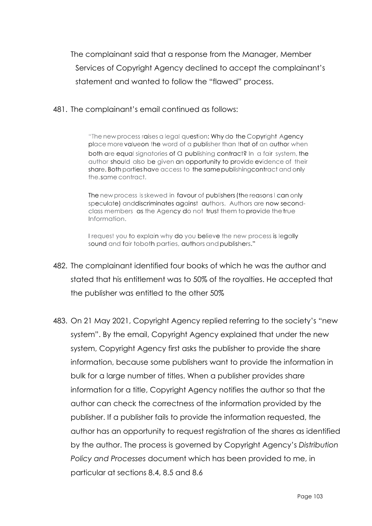The complainant said that a response from the Manager, Member Services of Copyright Agency declined to accept the complainant's statement and wanted to follow the "flawed" process.

481. The complainant's email continued as follows:

"The new process raises a legal question: Why do the Copyright Agency place morevalueon the word of a publisher than that of an author when both are equal signatories of a publishing contract? In a fair system, the author should also be given an opportunity to provide evidence of their share. Both parties have access to the samepublishingcontract and only the.same contract.

The new process is skewed in favour of publishers (the reasons I can only speculate) anddiscriminates against authors. Authors are now secondclass members as the Agency do not trust them to provide thetrue Information.

I request you to explain why do you believe the new process is legally sound and fair toboth parties, authors and publishers."

- 482. The complainant identified four books of which he was the author and stated that his entitlement was to 50% of the royalties. He accepted that the publisher was entitled to the other 50%
- 483. On 21 May 2021, Copyright Agency replied referring to the society's "new system". By the email, Copyright Agency explained that under the new system, Copyright Agency first asks the publisher to provide the share information, because some publishers want to provide the information in bulk for a large number of titles. When a publisher provides share information for a title, Copyright Agency notifies the author so that the author can check the correctness of the information provided by the publisher. If a publisher fails to provide the information requested, the author has an opportunity to request registration of the shares as identified by the author. The process is governed by Copyright Agency's *Distribution Policy and Processes* document which has been provided to me, in particular at sections 8.4, 8.5 and 8.6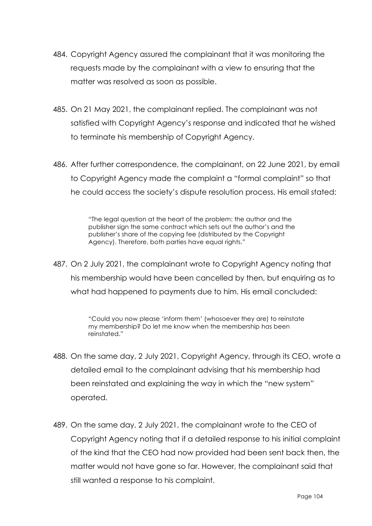- 484. Copyright Agency assured the complainant that it was monitoring the requests made by the complainant with a view to ensuring that the matter was resolved as soon as possible.
- 485. On 21 May 2021, the complainant replied. The complainant was not satisfied with Copyright Agency's response and indicated that he wished to terminate his membership of Copyright Agency.
- 486. After further correspondence, the complainant, on 22 June 2021, by email to Copyright Agency made the complaint a "formal complaint" so that he could access the society's dispute resolution process. His email stated:

"The legal question at the heart of the problem: the author and the publisher sign the same contract which sets out the author's and the publisher's share of the copying fee (distributed by the Copyright Agency). Therefore, both parties have equal rights."

487. On 2 July 2021, the complainant wrote to Copyright Agency noting that his membership would have been cancelled by then, but enquiring as to what had happened to payments due to him. His email concluded:

> "Could you now please 'inform them' (whosoever they are) to reinstate my membership? Do let me know when the membership has been reinstated."

- 488. On the same day, 2 July 2021, Copyright Agency, through its CEO, wrote a detailed email to the complainant advising that his membership had been reinstated and explaining the way in which the "new system" operated.
- 489. On the same day, 2 July 2021, the complainant wrote to the CEO of Copyright Agency noting that if a detailed response to his initial complaint of the kind that the CEO had now provided had been sent back then, the matter would not have gone so far. However, the complainant said that still wanted a response to his complaint.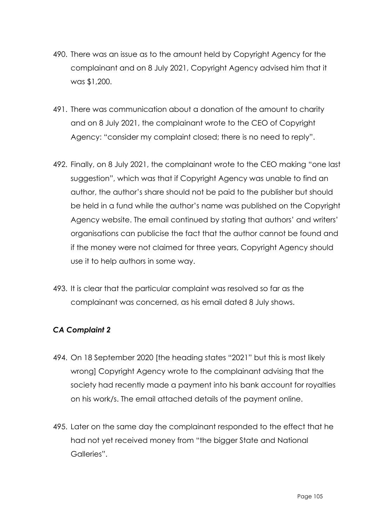- 490. There was an issue as to the amount held by Copyright Agency for the complainant and on 8 July 2021, Copyright Agency advised him that it was \$1,200.
- 491. There was communication about a donation of the amount to charity and on 8 July 2021, the complainant wrote to the CEO of Copyright Agency: "consider my complaint closed; there is no need to reply".
- 492. Finally, on 8 July 2021, the complainant wrote to the CEO making "one last suggestion", which was that if Copyright Agency was unable to find an author, the author's share should not be paid to the publisher but should be held in a fund while the author's name was published on the Copyright Agency website. The email continued by stating that authors' and writers' organisations can publicise the fact that the author cannot be found and if the money were not claimed for three years, Copyright Agency should use it to help authors in some way.
- 493. It is clear that the particular complaint was resolved so far as the complainant was concerned, as his email dated 8 July shows.

# *CA Complaint 2*

- 494. On 18 September 2020 [the heading states "2021" but this is most likely wrong] Copyright Agency wrote to the complainant advising that the society had recently made a payment into his bank account for royalties on his work/s. The email attached details of the payment online.
- 495. Later on the same day the complainant responded to the effect that he had not yet received money from "the bigger State and National Galleries".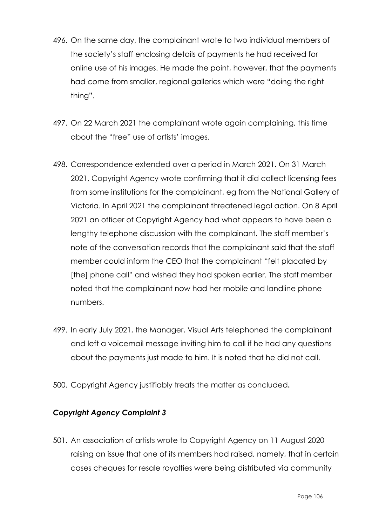- 496. On the same day, the complainant wrote to two individual members of the society's staff enclosing details of payments he had received for online use of his images. He made the point, however, that the payments had come from smaller, regional galleries which were "doing the right thing".
- 497. On 22 March 2021 the complainant wrote again complaining, this time about the "free" use of artists' images.
- 498. Correspondence extended over a period in March 2021. On 31 March 2021, Copyright Agency wrote confirming that it did collect licensing fees from some institutions for the complainant, eg from the National Gallery of Victoria. In April 2021 the complainant threatened legal action. On 8 April 2021 an officer of Copyright Agency had what appears to have been a lengthy telephone discussion with the complainant. The staff member's note of the conversation records that the complainant said that the staff member could inform the CEO that the complainant "felt placated by [the] phone call" and wished they had spoken earlier. The staff member noted that the complainant now had her mobile and landline phone numbers.
- 499. In early July 2021, the Manager, Visual Arts telephoned the complainant and left a voicemail message inviting him to call if he had any questions about the payments just made to him. It is noted that he did not call.
- 500. Copyright Agency justifiably treats the matter as concluded**.**

# *Copyright Agency Complaint 3*

501. An association of artists wrote to Copyright Agency on 11 August 2020 raising an issue that one of its members had raised, namely, that in certain cases cheques for resale royalties were being distributed via community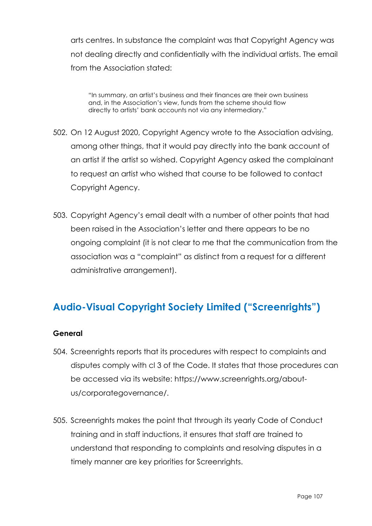arts centres. In substance the complaint was that Copyright Agency was not dealing directly and confidentially with the individual artists. The email from the Association stated:

"In summary, an artist's business and their finances are their own business and, in the Association's view, funds from the scheme should flow directly to artists' bank accounts not via any intermediary."

- 502. On 12 August 2020, Copyright Agency wrote to the Association advising, among other things, that it would pay directly into the bank account of an artist if the artist so wished. Copyright Agency asked the complainant to request an artist who wished that course to be followed to contact Copyright Agency.
- 503. Copyright Agency's email dealt with a number of other points that had been raised in the Association's letter and there appears to be no ongoing complaint (it is not clear to me that the communication from the association was a "complaint" as distinct from a request for a different administrative arrangement).

# **Audio-Visual Copyright Society Limited ("Screenrights")**

## **General**

- 504. Screenrights reports that its procedures with respect to complaints and disputes comply with cl 3 of the Code. It states that those procedures can be accessed via its website: https://www.screenrights.org/aboutus/corporategovernance/.
- 505. Screenrights makes the point that through its yearly Code of Conduct training and in staff inductions, it ensures that staff are trained to understand that responding to complaints and resolving disputes in a timely manner are key priorities for Screenrights.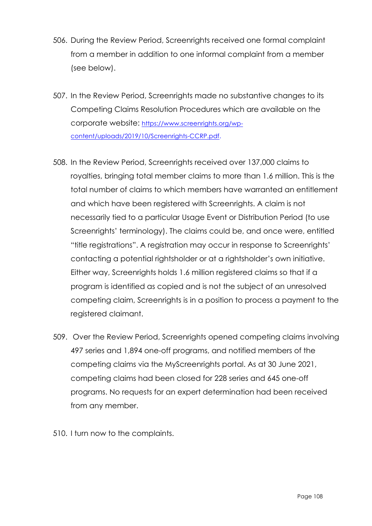- 506. During the Review Period, Screenrights received one formal complaint from a member in addition to one informal complaint from a member (see below).
- 507. In the Review Period, Screenrights made no substantive changes to its Competing Claims Resolution Procedures which are available on the corporate website: https://www.screenrights.org/wpcontent/uploads/2019/10/Screenrights-CCRP.pdf.
- 508. In the Review Period, Screenrights received over 137,000 claims to royalties, bringing total member claims to more than 1.6 million. This is the total number of claims to which members have warranted an entitlement and which have been registered with Screenrights. A claim is not necessarily tied to a particular Usage Event or Distribution Period (to use Screenrights' terminology). The claims could be, and once were, entitled "title registrations". A registration may occur in response to Screenrights' contacting a potential rightsholder or at a rightsholder's own initiative. Either way, Screenrights holds 1.6 million registered claims so that if a program is identified as copied and is not the subject of an unresolved competing claim, Screenrights is in a position to process a payment to the registered claimant.
- 509. Over the Review Period, Screenrights opened competing claims involving 497 series and 1,894 one-off programs, and notified members of the competing claims via the MyScreenrights portal. As at 30 June 2021, competing claims had been closed for 228 series and 645 one-off programs. No requests for an expert determination had been received from any member.
- 510. I turn now to the complaints.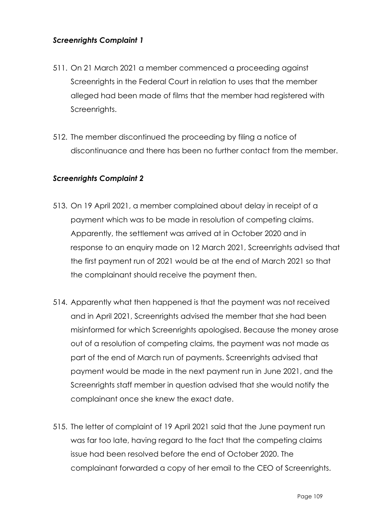### *Screenrights Complaint 1*

- 511. On 21 March 2021 a member commenced a proceeding against Screenrights in the Federal Court in relation to uses that the member alleged had been made of films that the member had registered with Screenrights.
- 512. The member discontinued the proceeding by filing a notice of discontinuance and there has been no further contact from the member.

#### *Screenrights Complaint 2*

- 513. On 19 April 2021, a member complained about delay in receipt of a payment which was to be made in resolution of competing claims. Apparently, the settlement was arrived at in October 2020 and in response to an enquiry made on 12 March 2021, Screenrights advised that the first payment run of 2021 would be at the end of March 2021 so that the complainant should receive the payment then.
- 514. Apparently what then happened is that the payment was not received and in April 2021, Screenrights advised the member that she had been misinformed for which Screenrights apologised. Because the money arose out of a resolution of competing claims, the payment was not made as part of the end of March run of payments. Screenrights advised that payment would be made in the next payment run in June 2021, and the Screenrights staff member in question advised that she would notify the complainant once she knew the exact date.
- 515. The letter of complaint of 19 April 2021 said that the June payment run was far too late, having regard to the fact that the competing claims issue had been resolved before the end of October 2020. The complainant forwarded a copy of her email to the CEO of Screenrights.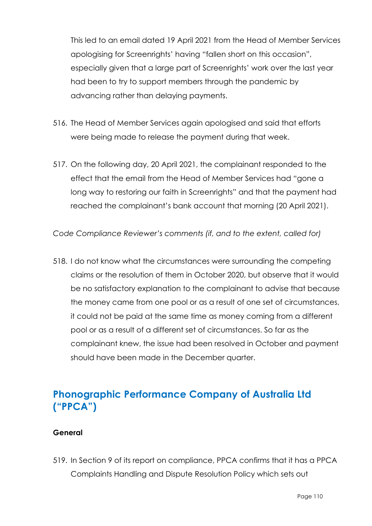This led to an email dated 19 April 2021 from the Head of Member Services apologising for Screenrights' having "fallen short on this occasion", especially given that a large part of Screenrights' work over the last year had been to try to support members through the pandemic by advancing rather than delaying payments.

- 516. The Head of Member Services again apologised and said that efforts were being made to release the payment during that week.
- 517. On the following day, 20 April 2021, the complainant responded to the effect that the email from the Head of Member Services had "gone a long way to restoring our faith in Screenrights" and that the payment had reached the complainant's bank account that morning (20 April 2021).

*Code Compliance Reviewer's comments (if, and to the extent, called for)*

518. I do not know what the circumstances were surrounding the competing claims or the resolution of them in October 2020, but observe that it would be no satisfactory explanation to the complainant to advise that because the money came from one pool or as a result of one set of circumstances, it could not be paid at the same time as money coming from a different pool or as a result of a different set of circumstances. So far as the complainant knew, the issue had been resolved in October and payment should have been made in the December quarter.

### **Phonographic Performance Company of Australia Ltd ("PPCA")**

#### **General**

519. In Section 9 of its report on compliance, PPCA confirms that it has a PPCA Complaints Handling and Dispute Resolution Policy which sets out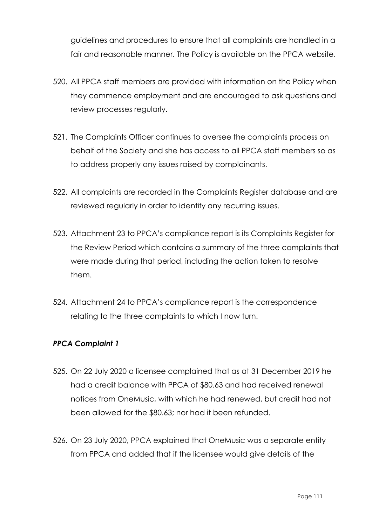guidelines and procedures to ensure that all complaints are handled in a fair and reasonable manner. The Policy is available on the PPCA website.

- 520. All PPCA staff members are provided with information on the Policy when they commence employment and are encouraged to ask questions and review processes regularly.
- 521. The Complaints Officer continues to oversee the complaints process on behalf of the Society and she has access to all PPCA staff members so as to address properly any issues raised by complainants.
- 522. All complaints are recorded in the Complaints Register database and are reviewed regularly in order to identify any recurring issues.
- 523. Attachment 23 to PPCA's compliance report is its Complaints Register for the Review Period which contains a summary of the three complaints that were made during that period, including the action taken to resolve them.
- 524. Attachment 24 to PPCA's compliance report is the correspondence relating to the three complaints to which I now turn.

#### *PPCA Complaint 1*

- 525. On 22 July 2020 a licensee complained that as at 31 December 2019 he had a credit balance with PPCA of \$80.63 and had received renewal notices from OneMusic, with which he had renewed, but credit had not been allowed for the \$80.63; nor had it been refunded.
- 526. On 23 July 2020, PPCA explained that OneMusic was a separate entity from PPCA and added that if the licensee would give details of the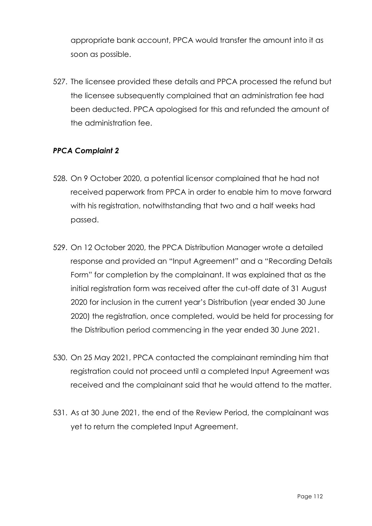appropriate bank account, PPCA would transfer the amount into it as soon as possible.

527. The licensee provided these details and PPCA processed the refund but the licensee subsequently complained that an administration fee had been deducted. PPCA apologised for this and refunded the amount of the administration fee.

### *PPCA Complaint 2*

- 528. On 9 October 2020, a potential licensor complained that he had not received paperwork from PPCA in order to enable him to move forward with his registration, notwithstanding that two and a half weeks had passed.
- 529. On 12 October 2020, the PPCA Distribution Manager wrote a detailed response and provided an "Input Agreement" and a "Recording Details Form" for completion by the complainant. It was explained that as the initial registration form was received after the cut-off date of 31 August 2020 for inclusion in the current year's Distribution (year ended 30 June 2020) the registration, once completed, would be held for processing for the Distribution period commencing in the year ended 30 June 2021.
- 530. On 25 May 2021, PPCA contacted the complainant reminding him that registration could not proceed until a completed Input Agreement was received and the complainant said that he would attend to the matter.
- 531. As at 30 June 2021, the end of the Review Period, the complainant was yet to return the completed Input Agreement.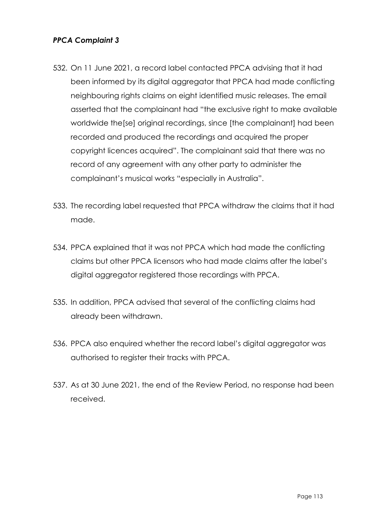- 532. On 11 June 2021, a record label contacted PPCA advising that it had been informed by its digital aggregator that PPCA had made conflicting neighbouring rights claims on eight identified music releases. The email asserted that the complainant had "the exclusive right to make available worldwide the [se] original recordings, since [the complainant] had been recorded and produced the recordings and acquired the proper copyright licences acquired". The complainant said that there was no record of any agreement with any other party to administer the complainant's musical works "especially in Australia".
- 533. The recording label requested that PPCA withdraw the claims that it had made.
- 534. PPCA explained that it was not PPCA which had made the conflicting claims but other PPCA licensors who had made claims after the label's digital aggregator registered those recordings with PPCA.
- 535. In addition, PPCA advised that several of the conflicting claims had already been withdrawn.
- 536. PPCA also enquired whether the record label's digital aggregator was authorised to register their tracks with PPCA.
- 537. As at 30 June 2021, the end of the Review Period, no response had been received.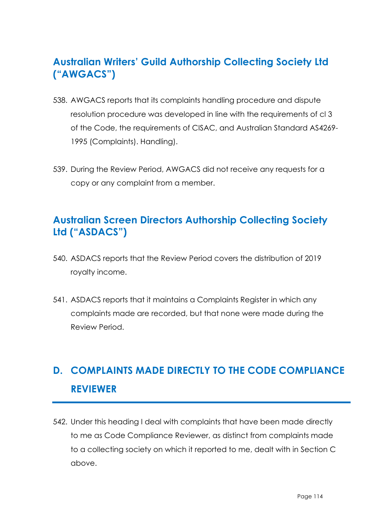### **Australian Writers' Guild Authorship Collecting Society Ltd ("AWGACS")**

- 538. AWGACS reports that its complaints handling procedure and dispute resolution procedure was developed in line with the requirements of cl 3 of the Code, the requirements of CISAC, and Australian Standard AS4269- 1995 (Complaints). Handling).
- 539. During the Review Period, AWGACS did not receive any requests for a copy or any complaint from a member.

### **Australian Screen Directors Authorship Collecting Society Ltd ("ASDACS")**

- 540. ASDACS reports that the Review Period covers the distribution of 2019 royalty income.
- 541. ASDACS reports that it maintains a Complaints Register in which any complaints made are recorded, but that none were made during the Review Period.

# **D. COMPLAINTS MADE DIRECTLY TO THE CODE COMPLIANCE REVIEWER**

542. Under this heading I deal with complaints that have been made directly to me as Code Compliance Reviewer, as distinct from complaints made to a collecting society on which it reported to me, dealt with in Section C above.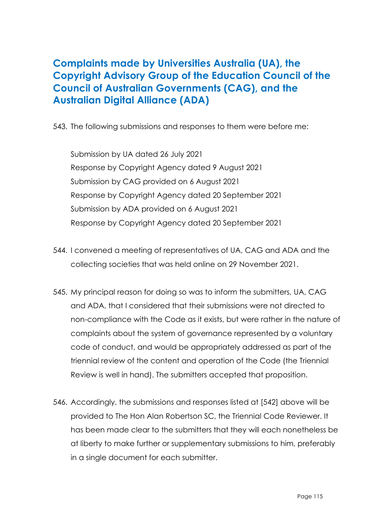### **Complaints made by Universities Australia (UA), the Copyright Advisory Group of the Education Council of the Council of Australian Governments (CAG), and the Australian Digital Alliance (ADA)**

543. The following submissions and responses to them were before me:

Submission by UA dated 26 July 2021 Response by Copyright Agency dated 9 August 2021 Submission by CAG provided on 6 August 2021 Response by Copyright Agency dated 20 September 2021 Submission by ADA provided on 6 August 2021 Response by Copyright Agency dated 20 September 2021

- 544. I convened a meeting of representatives of UA, CAG and ADA and the collecting societies that was held online on 29 November 2021.
- 545. My principal reason for doing so was to inform the submitters, UA, CAG and ADA, that I considered that their submissions were not directed to non-compliance with the Code as it exists, but were rather in the nature of complaints about the system of governance represented by a voluntary code of conduct, and would be appropriately addressed as part of the triennial review of the content and operation of the Code (the Triennial Review is well in hand). The submitters accepted that proposition.
- 546. Accordingly, the submissions and responses listed at [542] above will be provided to The Hon Alan Robertson SC, the Triennial Code Reviewer. It has been made clear to the submitters that they will each nonetheless be at liberty to make further or supplementary submissions to him, preferably in a single document for each submitter.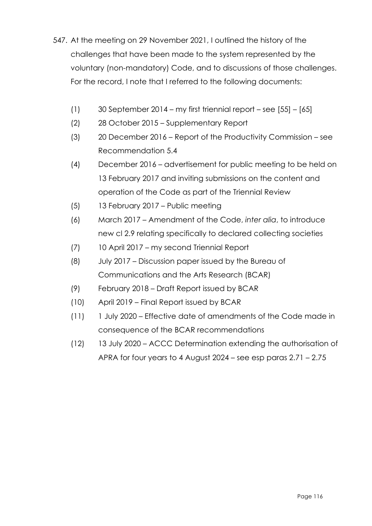- 547. At the meeting on 29 November 2021, I outlined the history of the challenges that have been made to the system represented by the voluntary (non-mandatory) Code, and to discussions of those challenges. For the record, I note that I referred to the following documents:
	- $(1)$  30 September 2014 my first triennial report see [55] [65]
	- (2) 28 October 2015 Supplementary Report
	- (3) 20 December 2016 Report of the Productivity Commission see Recommendation 5.4
	- (4) December 2016 advertisement for public meeting to be held on 13 February 2017 and inviting submissions on the content and operation of the Code as part of the Triennial Review
	- (5) 13 February 2017 Public meeting
	- (6) March 2017 Amendment of the Code, *inter alia*, to introduce new cl 2.9 relating specifically to declared collecting societies
	- (7) 10 April 2017 my second Triennial Report
	- (8) July 2017 Discussion paper issued by the Bureau of Communications and the Arts Research (BCAR)
	- (9) February 2018 Draft Report issued by BCAR
	- (10) April 2019 Final Report issued by BCAR
	- (11) 1 July 2020 Effective date of amendments of the Code made in consequence of the BCAR recommendations
	- (12) 13 July 2020 ACCC Determination extending the authorisation of APRA for four years to 4 August 2024 – see esp paras 2.71 – 2.75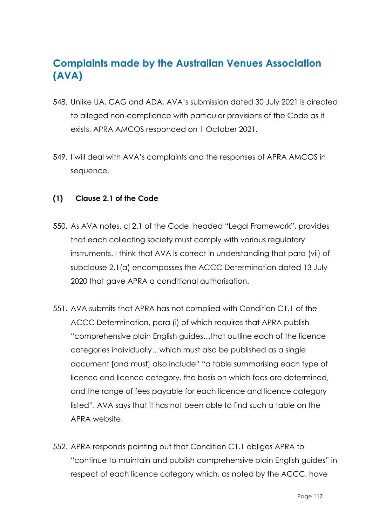### **Complaints made by the Australian Venues Association (AVA)**

- 548. Unlike UA, CAG and ADA, AVA's submission dated 30 July 2021 is directed to alleged non-compliance with particular provisions of the Code as it exists. APRA AMCOS responded on 1 October 2021.
- 549. I will deal with AVA's complaints and the responses of APRA AMCOS in sequence.

#### **(1) Clause 2.1 of the Code**

- 550. As AVA notes, cl 2.1 of the Code, headed "Legal Framework", provides that each collecting society must comply with various regulatory instruments. I think that AVA is correct in understanding that para (vii) of subclause 2.1(a) encompasses the ACCC Determination dated 13 July 2020 that gave APRA a conditional authorisation.
- 551. AVA submits that APRA has not complied with Condition C1.1 of the ACCC Determination, para (i) of which requires that APRA publish "comprehensive plain English guides…that outline each of the licence categories individually…which must also be published as a single document [and must] also include" "a table summarising each type of licence and licence category, the basis on which fees are determined, and the range of fees payable for each licence and licence category listed". AVA says that it has not been able to find such a table on the APRA website.
- 552. APRA responds pointing out that Condition C1.1 obliges APRA to "continue to maintain and publish comprehensive plain English guides" in respect of each licence category which, as noted by the ACCC, have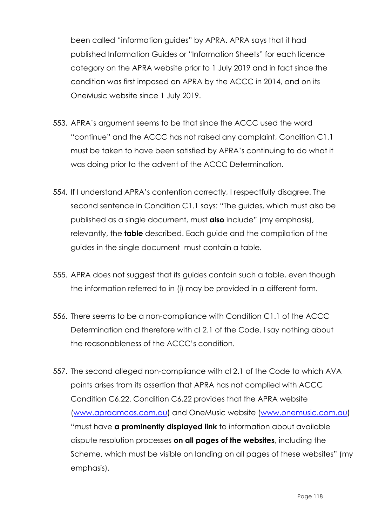been called "information guides" by APRA. APRA says that it had published Information Guides or "Information Sheets" for each licence category on the APRA website prior to 1 July 2019 and in fact since the condition was first imposed on APRA by the ACCC in 2014, and on its OneMusic website since 1 July 2019.

- 553. APRA's argument seems to be that since the ACCC used the word "continue" and the ACCC has not raised any complaint, Condition C1.1 must be taken to have been satisfied by APRA's continuing to do what it was doing prior to the advent of the ACCC Determination.
- 554. If I understand APRA's contention correctly, I respectfully disagree. The second sentence in Condition C1.1 says: "The guides, which must also be published as a single document, must **also** include" (my emphasis), relevantly, the **table** described. Each guide and the compilation of the guides in the single document must contain a table.
- 555. APRA does not suggest that its guides contain such a table, even though the information referred to in (i) may be provided in a different form.
- 556. There seems to be a non-compliance with Condition C1.1 of the ACCC Determination and therefore with cl 2.1 of the Code. I say nothing about the reasonableness of the ACCC's condition.
- 557. The second alleged non-compliance with cl 2.1 of the Code to which AVA points arises from its assertion that APRA has not complied with ACCC Condition C6.22. Condition C6.22 provides that the APRA website (www.apraamcos.com.au) and OneMusic website (www.onemusic.com.au) "must have **a prominently displayed link** to information about available dispute resolution processes **on all pages of the websites**, including the Scheme, which must be visible on landing on all pages of these websites" (my emphasis).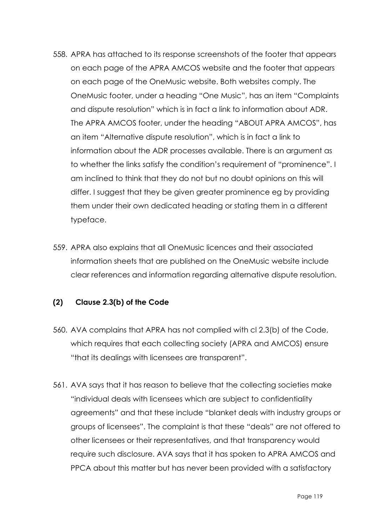- 558. APRA has attached to its response screenshots of the footer that appears on each page of the APRA AMCOS website and the footer that appears on each page of the OneMusic website. Both websites comply. The OneMusic footer, under a heading "One Music", has an item "Complaints and dispute resolution" which is in fact a link to information about ADR. The APRA AMCOS footer, under the heading "ABOUT APRA AMCOS", has an item "Alternative dispute resolution", which is in fact a link to information about the ADR processes available. There is an argument as to whether the links satisfy the condition's requirement of "prominence". I am inclined to think that they do not but no doubt opinions on this will differ. I suggest that they be given greater prominence eg by providing them under their own dedicated heading or stating them in a different typeface.
- 559. APRA also explains that all OneMusic licences and their associated information sheets that are published on the OneMusic website include clear references and information regarding alternative dispute resolution.

#### **(2) Clause 2.3(b) of the Code**

- 560. AVA complains that APRA has not complied with cl 2.3(b) of the Code, which requires that each collecting society (APRA and AMCOS) ensure "that its dealings with licensees are transparent".
- 561. AVA says that it has reason to believe that the collecting societies make "individual deals with licensees which are subject to confidentiality agreements" and that these include "blanket deals with industry groups or groups of licensees". The complaint is that these "deals" are not offered to other licensees or their representatives, and that transparency would require such disclosure. AVA says that it has spoken to APRA AMCOS and PPCA about this matter but has never been provided with a satisfactory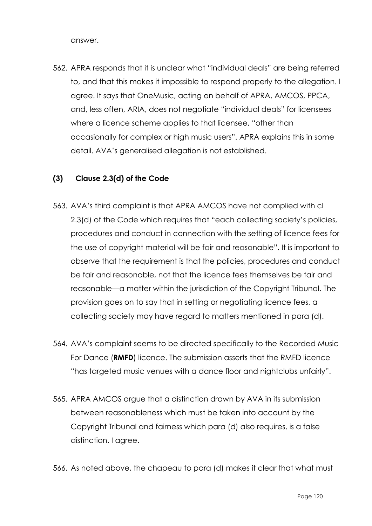answer.

562. APRA responds that it is unclear what "individual deals" are being referred to, and that this makes it impossible to respond properly to the allegation. I agree. It says that OneMusic, acting on behalf of APRA, AMCOS, PPCA, and, less often, ARIA, does not negotiate "individual deals" for licensees where a licence scheme applies to that licensee, "other than occasionally for complex or high music users". APRA explains this in some detail. AVA's generalised allegation is not established.

### **(3) Clause 2.3(d) of the Code**

- 563. AVA's third complaint is that APRA AMCOS have not complied with cl 2.3(d) of the Code which requires that "each collecting society's policies, procedures and conduct in connection with the setting of licence fees for the use of copyright material will be fair and reasonable". It is important to observe that the requirement is that the policies, procedures and conduct be fair and reasonable, not that the licence fees themselves be fair and reasonable—a matter within the jurisdiction of the Copyright Tribunal. The provision goes on to say that in setting or negotiating licence fees, a collecting society may have regard to matters mentioned in para (d).
- 564. AVA's complaint seems to be directed specifically to the Recorded Music For Dance (**RMFD**) licence. The submission asserts that the RMFD licence "has targeted music venues with a dance floor and nightclubs unfairly".
- 565. APRA AMCOS argue that a distinction drawn by AVA in its submission between reasonableness which must be taken into account by the Copyright Tribunal and fairness which para (d) also requires, is a false distinction. I agree.
- 566. As noted above, the chapeau to para (d) makes it clear that what must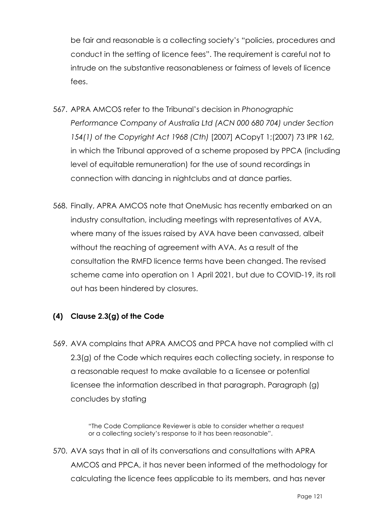be fair and reasonable is a collecting society's "policies, procedures and conduct in the setting of licence fees". The requirement is careful not to intrude on the substantive reasonableness or fairness of levels of licence fees.

- 567. APRA AMCOS refer to the Tribunal's decision in *Phonographic Performance Company of Australia Ltd (ACN 000 680 704) under Section 154(1) of the Copyright Act 1968 (Cth)* [2007] ACopyT 1;(2007) 73 IPR 162, in which the Tribunal approved of a scheme proposed by PPCA (including level of equitable remuneration) for the use of sound recordings in connection with dancing in nightclubs and at dance parties.
- 568. Finally, APRA AMCOS note that OneMusic has recently embarked on an industry consultation, including meetings with representatives of AVA, where many of the issues raised by AVA have been canvassed, albeit without the reaching of agreement with AVA. As a result of the consultation the RMFD licence terms have been changed. The revised scheme came into operation on 1 April 2021, but due to COVID-19, its roll out has been hindered by closures.

### **(4) Clause 2.3(g) of the Code**

569. AVA complains that APRA AMCOS and PPCA have not complied with cl 2.3(g) of the Code which requires each collecting society, in response to a reasonable request to make available to a licensee or potential licensee the information described in that paragraph. Paragraph (g) concludes by stating

> "The Code Compliance Reviewer is able to consider whether a request or a collecting society's response to it has been reasonable".

570. AVA says that in all of its conversations and consultations with APRA AMCOS and PPCA, it has never been informed of the methodology for calculating the licence fees applicable to its members, and has never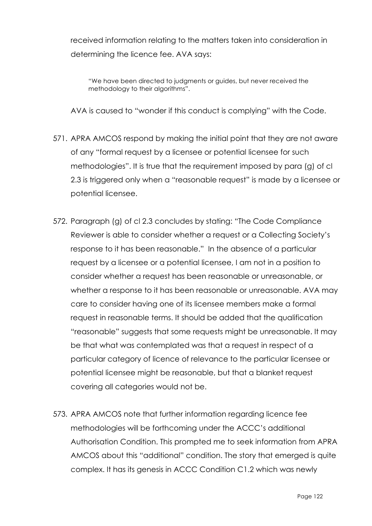received information relating to the matters taken into consideration in determining the licence fee. AVA says:

"We have been directed to judgments or guides, but never received the methodology to their algorithms".

AVA is caused to "wonder if this conduct is complying" with the Code.

- 571. APRA AMCOS respond by making the initial point that they are not aware of any "formal request by a licensee or potential licensee for such methodologies". It is true that the requirement imposed by para (g) of cl 2.3 is triggered only when a "reasonable request" is made by a licensee or potential licensee.
- 572. Paragraph (g) of cl 2.3 concludes by stating: "The Code Compliance Reviewer is able to consider whether a request or a Collecting Society's response to it has been reasonable." In the absence of a particular request by a licensee or a potential licensee, I am not in a position to consider whether a request has been reasonable or unreasonable, or whether a response to it has been reasonable or unreasonable. AVA may care to consider having one of its licensee members make a formal request in reasonable terms. It should be added that the qualification "reasonable" suggests that some requests might be unreasonable. It may be that what was contemplated was that a request in respect of a particular category of licence of relevance to the particular licensee or potential licensee might be reasonable, but that a blanket request covering all categories would not be.
- 573. APRA AMCOS note that further information regarding licence fee methodologies will be forthcoming under the ACCC's additional Authorisation Condition. This prompted me to seek information from APRA AMCOS about this "additional" condition. The story that emerged is quite complex. It has its genesis in ACCC Condition C1.2 which was newly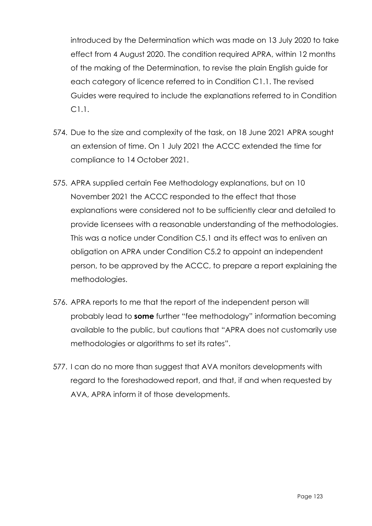introduced by the Determination which was made on 13 July 2020 to take effect from 4 August 2020. The condition required APRA, within 12 months of the making of the Determination, to revise the plain English guide for each category of licence referred to in Condition C1.1. The revised Guides were required to include the explanations referred to in Condition C1.1.

- 574. Due to the size and complexity of the task, on 18 June 2021 APRA sought an extension of time. On 1 July 2021 the ACCC extended the time for compliance to 14 October 2021.
- 575. APRA supplied certain Fee Methodology explanations, but on 10 November 2021 the ACCC responded to the effect that those explanations were considered not to be sufficiently clear and detailed to provide licensees with a reasonable understanding of the methodologies. This was a notice under Condition C5.1 and its effect was to enliven an obligation on APRA under Condition C5.2 to appoint an independent person, to be approved by the ACCC, to prepare a report explaining the methodologies.
- 576. APRA reports to me that the report of the independent person will probably lead to **some** further "fee methodology" information becoming available to the public, but cautions that "APRA does not customarily use methodologies or algorithms to set its rates".
- 577. I can do no more than suggest that AVA monitors developments with regard to the foreshadowed report, and that, if and when requested by AVA, APRA inform it of those developments.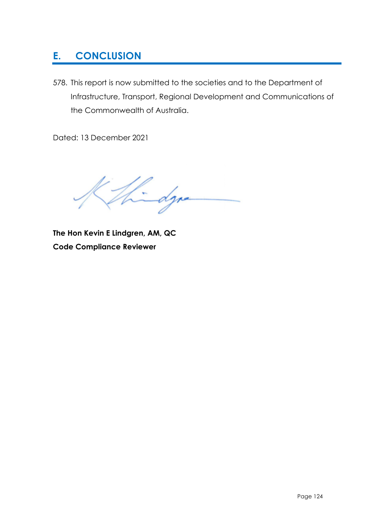## **E. CONCLUSION**

578. This report is now submitted to the societies and to the Department of Infrastructure, Transport, Regional Development and Communications of the Commonwealth of Australia.

Dated: 13 December 2021

Edga

**The Hon Kevin E Lindgren, AM, QC Code Compliance Reviewer**